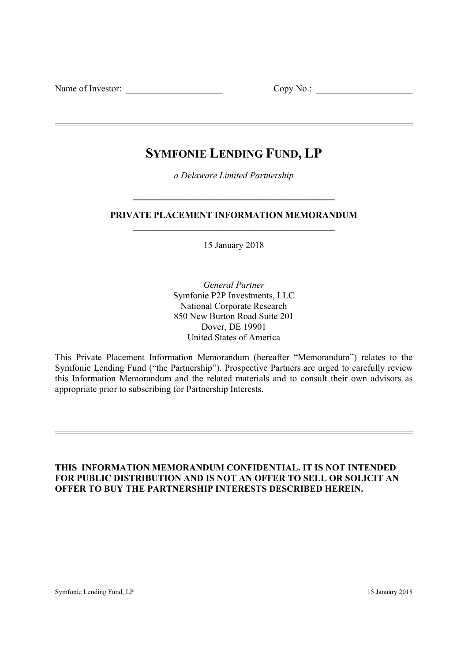Name of Investor: \_\_\_\_\_\_\_\_\_\_\_\_\_\_\_\_\_\_\_\_\_ Copy No.: \_\_\_\_\_\_\_\_\_\_\_\_\_\_\_\_\_\_\_\_\_

# **SYMFONIE LENDING FUND, LP**

*a Delaware Limited Partnership* 

**\_\_\_\_\_\_\_\_\_\_\_\_\_\_\_\_\_\_\_\_\_\_\_\_\_\_\_\_\_\_\_\_\_\_\_\_\_\_\_\_\_\_\_\_** 

# **PRIVATE PLACEMENT INFORMATION MEMORANDUM \_\_\_\_\_\_\_\_\_\_\_\_\_\_\_\_\_\_\_\_\_\_\_\_\_\_\_\_\_\_\_\_\_\_\_\_\_\_\_\_\_\_\_\_**

15 January 2018

*General Partner* Symfonie P2P Investments, LLC National Corporate Research 850 New Burton Road Suite 201 Dover, DE 19901 United States of America

This Private Placement Information Memorandum (hereafter "Memorandum") relates to the Symfonie Lending Fund ("the Partnership"). Prospective Partners are urged to carefully review this Information Memorandum and the related materials and to consult their own advisors as appropriate prior to subscribing for Partnership Interests.

# **THIS INFORMATION MEMORANDUM CONFIDENTIAL. IT IS NOT INTENDED FOR PUBLIC DISTRIBUTION AND IS NOT AN OFFER TO SELL OR SOLICIT AN OFFER TO BUY THE PARTNERSHIP INTERESTS DESCRIBED HEREIN.**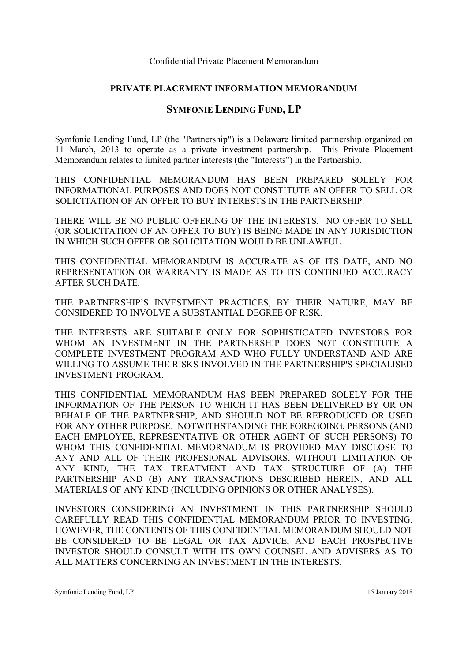# **PRIVATE PLACEMENT INFORMATION MEMORANDUM**

# **SYMFONIE LENDING FUND, LP**

Symfonie Lending Fund, LP (the "Partnership") is a Delaware limited partnership organized on 11 March, 2013 to operate as a private investment partnership. This Private Placement Memorandum relates to limited partner interests (the "Interests") in the Partnership**.** 

THIS CONFIDENTIAL MEMORANDUM HAS BEEN PREPARED SOLELY FOR INFORMATIONAL PURPOSES AND DOES NOT CONSTITUTE AN OFFER TO SELL OR SOLICITATION OF AN OFFER TO BUY INTERESTS IN THE PARTNERSHIP.

THERE WILL BE NO PUBLIC OFFERING OF THE INTERESTS. NO OFFER TO SELL (OR SOLICITATION OF AN OFFER TO BUY) IS BEING MADE IN ANY JURISDICTION IN WHICH SUCH OFFER OR SOLICITATION WOULD BE UNLAWFUL.

THIS CONFIDENTIAL MEMORANDUM IS ACCURATE AS OF ITS DATE, AND NO REPRESENTATION OR WARRANTY IS MADE AS TO ITS CONTINUED ACCURACY AFTER SUCH DATE.

THE PARTNERSHIP'S INVESTMENT PRACTICES, BY THEIR NATURE, MAY BE CONSIDERED TO INVOLVE A SUBSTANTIAL DEGREE OF RISK.

THE INTERESTS ARE SUITABLE ONLY FOR SOPHISTICATED INVESTORS FOR WHOM AN INVESTMENT IN THE PARTNERSHIP DOES NOT CONSTITUTE A COMPLETE INVESTMENT PROGRAM AND WHO FULLY UNDERSTAND AND ARE WILLING TO ASSUME THE RISKS INVOLVED IN THE PARTNERSHIP'S SPECIALISED INVESTMENT PROGRAM.

THIS CONFIDENTIAL MEMORANDUM HAS BEEN PREPARED SOLELY FOR THE INFORMATION OF THE PERSON TO WHICH IT HAS BEEN DELIVERED BY OR ON BEHALF OF THE PARTNERSHIP, AND SHOULD NOT BE REPRODUCED OR USED FOR ANY OTHER PURPOSE. NOTWITHSTANDING THE FOREGOING, PERSONS (AND EACH EMPLOYEE, REPRESENTATIVE OR OTHER AGENT OF SUCH PERSONS) TO WHOM THIS CONFIDENTIAL MEMORNADUM IS PROVIDED MAY DISCLOSE TO ANY AND ALL OF THEIR PROFESIONAL ADVISORS, WITHOUT LIMITATION OF ANY KIND, THE TAX TREATMENT AND TAX STRUCTURE OF (A) THE PARTNERSHIP AND (B) ANY TRANSACTIONS DESCRIBED HEREIN, AND ALL MATERIALS OF ANY KIND (INCLUDING OPINIONS OR OTHER ANALYSES).

INVESTORS CONSIDERING AN INVESTMENT IN THIS PARTNERSHIP SHOULD CAREFULLY READ THIS CONFIDENTIAL MEMORANDUM PRIOR TO INVESTING. HOWEVER, THE CONTENTS OF THIS CONFIDENTIAL MEMORANDUM SHOULD NOT BE CONSIDERED TO BE LEGAL OR TAX ADVICE, AND EACH PROSPECTIVE INVESTOR SHOULD CONSULT WITH ITS OWN COUNSEL AND ADVISERS AS TO ALL MATTERS CONCERNING AN INVESTMENT IN THE INTERESTS.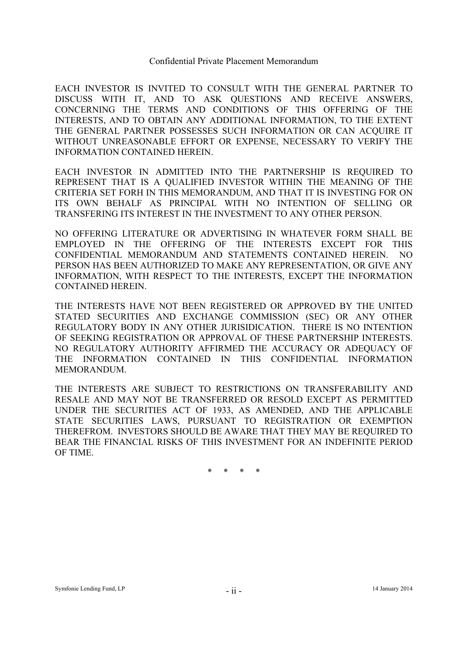EACH INVESTOR IS INVITED TO CONSULT WITH THE GENERAL PARTNER TO DISCUSS WITH IT, AND TO ASK QUESTIONS AND RECEIVE ANSWERS, CONCERNING THE TERMS AND CONDITIONS OF THIS OFFERING OF THE INTERESTS, AND TO OBTAIN ANY ADDITIONAL INFORMATION, TO THE EXTENT THE GENERAL PARTNER POSSESSES SUCH INFORMATION OR CAN ACQUIRE IT WITHOUT UNREASONABLE EFFORT OR EXPENSE, NECESSARY TO VERIFY THE INFORMATION CONTAINED HEREIN.

EACH INVESTOR IN ADMITTED INTO THE PARTNERSHIP IS REQUIRED TO REPRESENT THAT IS A QUALIFIED INVESTOR WITHIN THE MEANING OF THE CRITERIA SET FORH IN THIS MEMORANDUM, AND THAT IT IS INVESTING FOR ON ITS OWN BEHALF AS PRINCIPAL WITH NO INTENTION OF SELLING OR TRANSFERING ITS INTEREST IN THE INVESTMENT TO ANY OTHER PERSON.

NO OFFERING LITERATURE OR ADVERTISING IN WHATEVER FORM SHALL BE EMPLOYED IN THE OFFERING OF THE INTERESTS EXCEPT FOR THIS CONFIDENTIAL MEMORANDUM AND STATEMENTS CONTAINED HEREIN. NO PERSON HAS BEEN AUTHORIZED TO MAKE ANY REPRESENTATION, OR GIVE ANY INFORMATION, WITH RESPECT TO THE INTERESTS, EXCEPT THE INFORMATION CONTAINED HEREIN.

THE INTERESTS HAVE NOT BEEN REGISTERED OR APPROVED BY THE UNITED STATED SECURITIES AND EXCHANGE COMMISSION (SEC) OR ANY OTHER REGULATORY BODY IN ANY OTHER JURISIDICATION. THERE IS NO INTENTION OF SEEKING REGISTRATION OR APPROVAL OF THESE PARTNERSHIP INTERESTS. NO REGULATORY AUTHORITY AFFIRMED THE ACCURACY OR ADEQUACY OF THE INFORMATION CONTAINED IN THIS CONFIDENTIAL INFORMATION MEMORANDUM.

THE INTERESTS ARE SUBJECT TO RESTRICTIONS ON TRANSFERABILITY AND RESALE AND MAY NOT BE TRANSFERRED OR RESOLD EXCEPT AS PERMITTED UNDER THE SECURITIES ACT OF 1933, AS AMENDED, AND THE APPLICABLE STATE SECURITIES LAWS, PURSUANT TO REGISTRATION OR EXEMPTION THEREFROM. INVESTORS SHOULD BE AWARE THAT THEY MAY BE REQUIRED TO BEAR THE FINANCIAL RISKS OF THIS INVESTMENT FOR AN INDEFINITE PERIOD OF TIME.

\* \* \* \*

Symfonie Lending Fund, LP <sup>11</sup> - <sup>11</sup> - <sup>11</sup> - <sup>11</sup> - <sup>14</sup> January 2014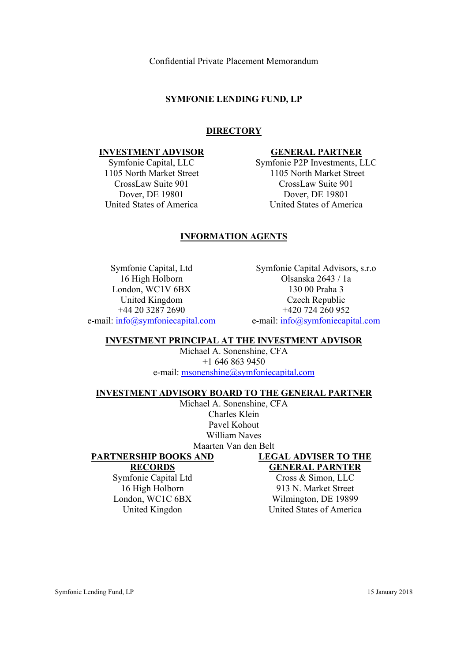# **SYMFONIE LENDING FUND, LP**

# **DIRECTORY**

#### **INVESTMENT ADVISOR**

Symfonie Capital, LLC 1105 North Market Street CrossLaw Suite 901 Dover, DE 19801 United States of America

# **GENERAL PARTNER**

Symfonie P2P Investments, LLC 1105 North Market Street CrossLaw Suite 901 Dover, DE 19801 United States of America

# **INFORMATION AGENTS**

Symfonie Capital, Ltd 16 High Holborn London, WC1V 6BX United Kingdom +44 20 3287 2690 e-mail: info@symfoniecapital.com

Symfonie Capital Advisors, s.r.o Olsanska 2643 / 1a 130 00 Praha 3 Czech Republic +420 724 260 952 e-mail: info@symfoniecapital.com

# **INVESTMENT PRINCIPAL AT THE INVESTMENT ADVISOR**

Michael A. Sonenshine, CFA +1 646 863 9450 e-mail: msonenshine@symfoniecapital.com

#### **INVESTMENT ADVISORY BOARD TO THE GENERAL PARTNER**

Michael A. Sonenshine, CFA Charles Klein Pavel Kohout William Naves Maarten Van den Belt

# **PARTNERSHIP BOOKS AND**

**RECORDS** 

Symfonie Capital Ltd 16 High Holborn London, WC1C 6BX United Kingdon

# **LEGAL ADVISER TO THE GENERAL PARNTER**

Cross & Simon, LLC 913 N. Market Street Wilmington, DE 19899 United States of America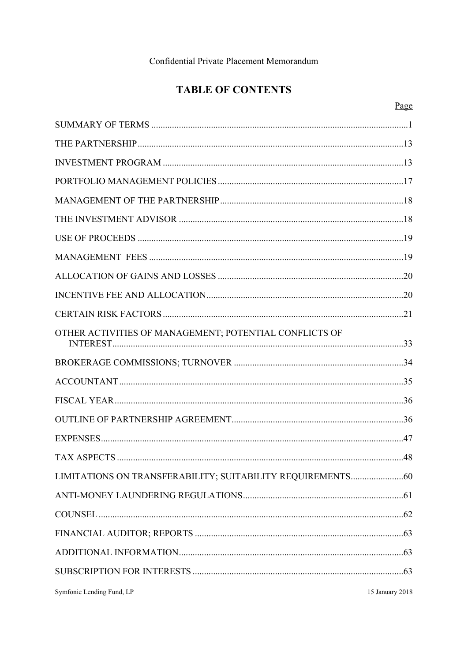# **TABLE OF CONTENTS**

|--|

| OTHER ACTIVITIES OF MANAGEMENT; POTENTIAL CONFLICTS OF |                 |
|--------------------------------------------------------|-----------------|
|                                                        |                 |
|                                                        |                 |
|                                                        |                 |
|                                                        |                 |
|                                                        |                 |
|                                                        |                 |
|                                                        |                 |
|                                                        |                 |
|                                                        |                 |
|                                                        |                 |
|                                                        |                 |
|                                                        |                 |
| Symfonie Lending Fund, LP                              | 15 January 2018 |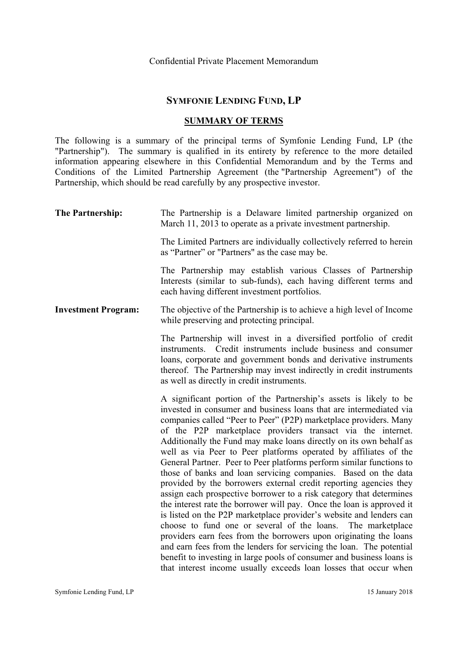# **SYMFONIE LENDING FUND, LP**

# **SUMMARY OF TERMS**

The following is a summary of the principal terms of Symfonie Lending Fund, LP (the "Partnership"). The summary is qualified in its entirety by reference to the more detailed information appearing elsewhere in this Confidential Memorandum and by the Terms and Conditions of the Limited Partnership Agreement (the "Partnership Agreement") of the Partnership, which should be read carefully by any prospective investor.

| The Partnership:           | The Partnership is a Delaware limited partnership organized on<br>March 11, 2013 to operate as a private investment partnership.                                                                                                                                                                                                                                                                                                                                                                                                                                                                                                                                                                                                                                                                                                                                                                                                                                                                                                                                                                                                                                                                                     |
|----------------------------|----------------------------------------------------------------------------------------------------------------------------------------------------------------------------------------------------------------------------------------------------------------------------------------------------------------------------------------------------------------------------------------------------------------------------------------------------------------------------------------------------------------------------------------------------------------------------------------------------------------------------------------------------------------------------------------------------------------------------------------------------------------------------------------------------------------------------------------------------------------------------------------------------------------------------------------------------------------------------------------------------------------------------------------------------------------------------------------------------------------------------------------------------------------------------------------------------------------------|
|                            | The Limited Partners are individually collectively referred to herein<br>as "Partner" or "Partners" as the case may be.                                                                                                                                                                                                                                                                                                                                                                                                                                                                                                                                                                                                                                                                                                                                                                                                                                                                                                                                                                                                                                                                                              |
|                            | The Partnership may establish various Classes of Partnership<br>Interests (similar to sub-funds), each having different terms and<br>each having different investment portfolios.                                                                                                                                                                                                                                                                                                                                                                                                                                                                                                                                                                                                                                                                                                                                                                                                                                                                                                                                                                                                                                    |
| <b>Investment Program:</b> | The objective of the Partnership is to achieve a high level of Income<br>while preserving and protecting principal.                                                                                                                                                                                                                                                                                                                                                                                                                                                                                                                                                                                                                                                                                                                                                                                                                                                                                                                                                                                                                                                                                                  |
|                            | The Partnership will invest in a diversified portfolio of credit<br>instruments. Credit instruments include business and consumer<br>loans, corporate and government bonds and derivative instruments<br>thereof. The Partnership may invest indirectly in credit instruments<br>as well as directly in credit instruments.                                                                                                                                                                                                                                                                                                                                                                                                                                                                                                                                                                                                                                                                                                                                                                                                                                                                                          |
|                            | A significant portion of the Partnership's assets is likely to be<br>invested in consumer and business loans that are intermediated via<br>companies called "Peer to Peer" (P2P) marketplace providers. Many<br>of the P2P marketplace providers transact via the internet.<br>Additionally the Fund may make loans directly on its own behalf as<br>well as via Peer to Peer platforms operated by affiliates of the<br>General Partner. Peer to Peer platforms perform similar functions to<br>those of banks and loan servicing companies. Based on the data<br>provided by the borrowers external credit reporting agencies they<br>assign each prospective borrower to a risk category that determines<br>the interest rate the borrower will pay. Once the loan is approved it<br>is listed on the P2P marketplace provider's website and lenders can<br>choose to fund one or several of the loans. The marketplace<br>providers earn fees from the borrowers upon originating the loans<br>and earn fees from the lenders for servicing the loan. The potential<br>benefit to investing in large pools of consumer and business loans is<br>that interest income usually exceeds loan losses that occur when |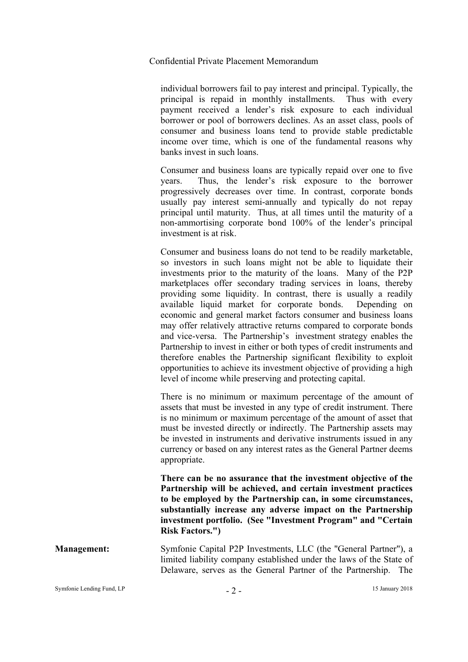individual borrowers fail to pay interest and principal. Typically, the principal is repaid in monthly installments. Thus with every payment received a lender's risk exposure to each individual borrower or pool of borrowers declines. As an asset class, pools of consumer and business loans tend to provide stable predictable income over time, which is one of the fundamental reasons why banks invest in such loans.

Consumer and business loans are typically repaid over one to five years. Thus, the lender's risk exposure to the borrower progressively decreases over time. In contrast, corporate bonds usually pay interest semi-annually and typically do not repay principal until maturity. Thus, at all times until the maturity of a non-ammortising corporate bond 100% of the lender's principal investment is at risk.

Consumer and business loans do not tend to be readily marketable, so investors in such loans might not be able to liquidate their investments prior to the maturity of the loans. Many of the P2P marketplaces offer secondary trading services in loans, thereby providing some liquidity. In contrast, there is usually a readily available liquid market for corporate bonds. Depending on economic and general market factors consumer and business loans may offer relatively attractive returns compared to corporate bonds and vice-versa. The Partnership's investment strategy enables the Partnership to invest in either or both types of credit instruments and therefore enables the Partnership significant flexibility to exploit opportunities to achieve its investment objective of providing a high level of income while preserving and protecting capital.

There is no minimum or maximum percentage of the amount of assets that must be invested in any type of credit instrument. There is no minimum or maximum percentage of the amount of asset that must be invested directly or indirectly. The Partnership assets may be invested in instruments and derivative instruments issued in any currency or based on any interest rates as the General Partner deems appropriate.

**There can be no assurance that the investment objective of the Partnership will be achieved, and certain investment practices to be employed by the Partnership can, in some circumstances, substantially increase any adverse impact on the Partnership investment portfolio. (See "Investment Program" and "Certain Risk Factors.")**

**Management:** Symfonie Capital P2P Investments, LLC (the "General Partner"), a limited liability company established under the laws of the State of Delaware, serves as the General Partner of the Partnership. The

Symfonie Lending Fund, LP  $2^2$  - 15 January 2018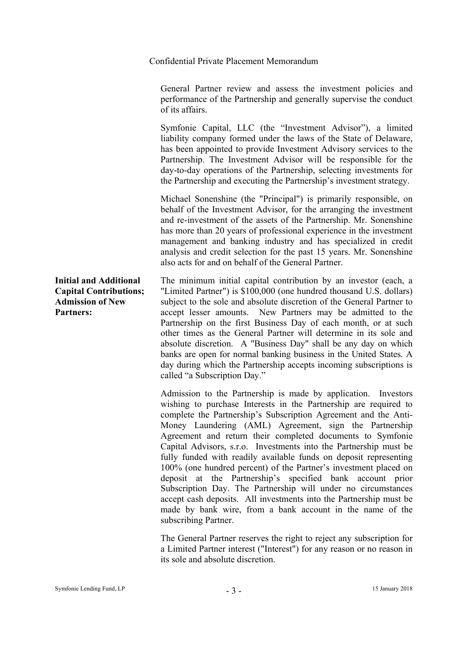General Partner review and assess the investment policies and performance of the Partnership and generally supervise the conduct of its affairs.

Symfonie Capital, LLC (the "Investment Advisor"), a limited liability company formed under the laws of the State of Delaware, has been appointed to provide Investment Advisory services to the Partnership. The Investment Advisor will be responsible for the day-to-day operations of the Partnership, selecting investments for the Partnership and executing the Partnership's investment strategy.

Michael Sonenshine (the "Principal") is primarily responsible, on behalf of the Investment Advisor, for the arranging the investment and re-investment of the assets of the Partnership. Mr. Sonenshine has more than 20 years of professional experience in the investment management and banking industry and has specialized in credit analysis and credit selection for the past 15 years. Mr. Sonenshine also acts for and on behalf of the General Partner.

**Initial and Additional Capital Contributions; Admission of New Partners:**  The minimum initial capital contribution by an investor (each, a "Limited Partner") is \$100,000 (one hundred thousand U.S. dollars) subject to the sole and absolute discretion of the General Partner to accept lesser amounts. New Partners may be admitted to the Partnership on the first Business Day of each month, or at such other times as the General Partner will determine in its sole and absolute discretion. A "Business Day" shall be any day on which banks are open for normal banking business in the United States. A day during which the Partnership accepts incoming subscriptions is called "a Subscription Day."

> Admission to the Partnership is made by application. Investors wishing to purchase Interests in the Partnership are required to complete the Partnership's Subscription Agreement and the Anti-Money Laundering (AML) Agreement, sign the Partnership Agreement and return their completed documents to Symfonie Capital Advisors, s.r.o. Investments into the Partnership must be fully funded with readily available funds on deposit representing 100% (one hundred percent) of the Partner's investment placed on deposit at the Partnership's specified bank account prior Subscription Day. The Partnership will under no circumstances accept cash deposits. All investments into the Partnership must be made by bank wire, from a bank account in the name of the subscribing Partner.

> The General Partner reserves the right to reject any subscription for a Limited Partner interest ("Interest") for any reason or no reason in its sole and absolute discretion.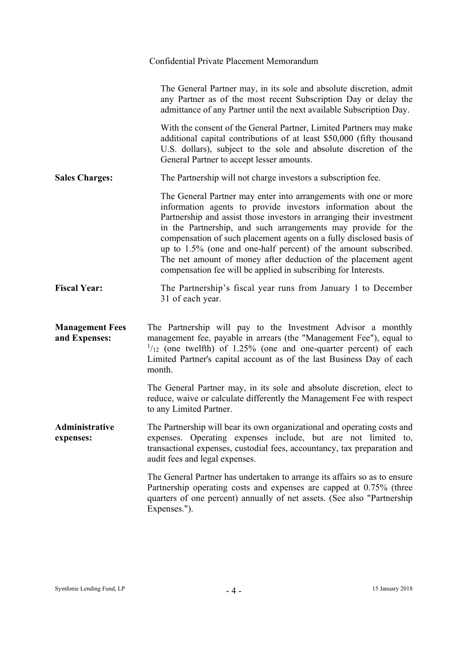| Confidential Private Placement Memorandum                                                                                                                                                                                                                                                                                                                                                                                                                                                                                                                |
|----------------------------------------------------------------------------------------------------------------------------------------------------------------------------------------------------------------------------------------------------------------------------------------------------------------------------------------------------------------------------------------------------------------------------------------------------------------------------------------------------------------------------------------------------------|
| The General Partner may, in its sole and absolute discretion, admit<br>any Partner as of the most recent Subscription Day or delay the<br>admittance of any Partner until the next available Subscription Day.                                                                                                                                                                                                                                                                                                                                           |
| With the consent of the General Partner, Limited Partners may make<br>additional capital contributions of at least \$50,000 (fifty thousand<br>U.S. dollars), subject to the sole and absolute discretion of the<br>General Partner to accept lesser amounts.                                                                                                                                                                                                                                                                                            |
| The Partnership will not charge investors a subscription fee.                                                                                                                                                                                                                                                                                                                                                                                                                                                                                            |
| The General Partner may enter into arrangements with one or more<br>information agents to provide investors information about the<br>Partnership and assist those investors in arranging their investment<br>in the Partnership, and such arrangements may provide for the<br>compensation of such placement agents on a fully disclosed basis of<br>up to 1.5% (one and one-half percent) of the amount subscribed.<br>The net amount of money after deduction of the placement agent<br>compensation fee will be applied in subscribing for Interests. |
| The Partnership's fiscal year runs from January 1 to December<br>31 of each year.                                                                                                                                                                                                                                                                                                                                                                                                                                                                        |
| The Partnership will pay to the Investment Advisor a monthly<br>management fee, payable in arrears (the "Management Fee"), equal to<br>$\frac{1}{12}$ (one twelfth) of 1.25% (one and one-quarter percent) of each<br>Limited Partner's capital account as of the last Business Day of each<br>month.                                                                                                                                                                                                                                                    |
| The General Partner may, in its sole and absolute discretion, elect to<br>reduce, waive or calculate differently the Management Fee with respect<br>to any Limited Partner.                                                                                                                                                                                                                                                                                                                                                                              |
| The Partnership will bear its own organizational and operating costs and<br>expenses. Operating expenses include, but are not limited to,<br>transactional expenses, custodial fees, accountancy, tax preparation and<br>audit fees and legal expenses.                                                                                                                                                                                                                                                                                                  |
| The General Partner has undertaken to arrange its affairs so as to ensure<br>Partnership operating costs and expenses are capped at 0.75% (three<br>quarters of one percent) annually of net assets. (See also "Partnership<br>Expenses.").                                                                                                                                                                                                                                                                                                              |
|                                                                                                                                                                                                                                                                                                                                                                                                                                                                                                                                                          |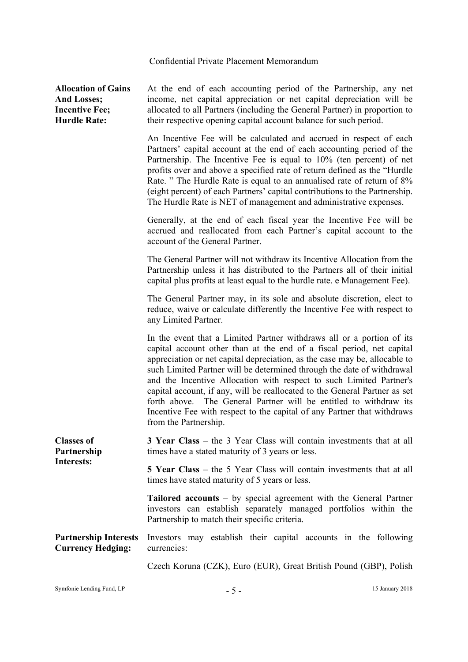**Allocation of Gains And Losses; Incentive Fee; Hurdle Rate:**  At the end of each accounting period of the Partnership, any net income, net capital appreciation or net capital depreciation will be allocated to all Partners (including the General Partner) in proportion to their respective opening capital account balance for such period. An Incentive Fee will be calculated and accrued in respect of each Partners' capital account at the end of each accounting period of the Partnership. The Incentive Fee is equal to 10% (ten percent) of net profits over and above a specified rate of return defined as the "Hurdle Rate. " The Hurdle Rate is equal to an annualised rate of return of 8% (eight percent) of each Partners' capital contributions to the Partnership. The Hurdle Rate is NET of management and administrative expenses. Generally, at the end of each fiscal year the Incentive Fee will be accrued and reallocated from each Partner's capital account to the account of the General Partner. The General Partner will not withdraw its Incentive Allocation from the Partnership unless it has distributed to the Partners all of their initial capital plus profits at least equal to the hurdle rate. e Management Fee). The General Partner may, in its sole and absolute discretion, elect to reduce, waive or calculate differently the Incentive Fee with respect to any Limited Partner. In the event that a Limited Partner withdraws all or a portion of its capital account other than at the end of a fiscal period, net capital appreciation or net capital depreciation, as the case may be, allocable to such Limited Partner will be determined through the date of withdrawal and the Incentive Allocation with respect to such Limited Partner's capital account, if any, will be reallocated to the General Partner as set forth above. The General Partner will be entitled to withdraw its Incentive Fee with respect to the capital of any Partner that withdraws from the Partnership. **Classes of Partnership Interests: 3 Year Class** – the 3 Year Class will contain investments that at all times have a stated maturity of 3 years or less. **5 Year Class** – the 5 Year Class will contain investments that at all times have stated maturity of 5 years or less. **Tailored accounts** – by special agreement with the General Partner investors can establish separately managed portfolios within the Partnership to match their specific criteria. **Partnership Interests Currency Hedging:**  Investors may establish their capital accounts in the following currencies: Czech Koruna (CZK), Euro (EUR), Great British Pound (GBP), Polish

Symfonie Lending Fund, LP  $-$  5 - 15 January 2018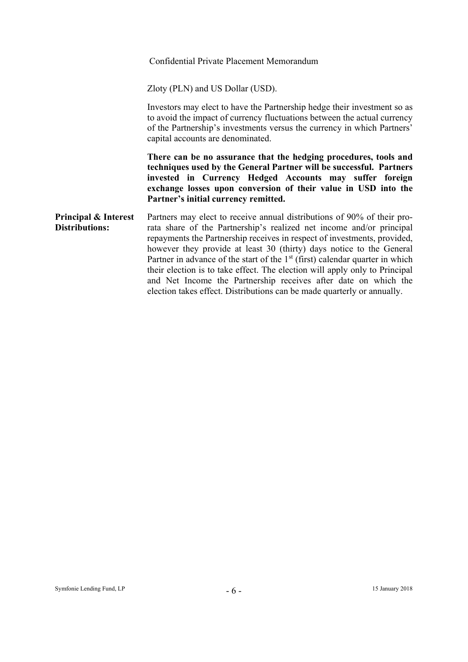|                                        | Confidential Private Placement Memorandum                                                                                                                                                                                                                                                                                                                                                                                                                                                                                                                                                                          |
|----------------------------------------|--------------------------------------------------------------------------------------------------------------------------------------------------------------------------------------------------------------------------------------------------------------------------------------------------------------------------------------------------------------------------------------------------------------------------------------------------------------------------------------------------------------------------------------------------------------------------------------------------------------------|
|                                        | Zloty (PLN) and US Dollar (USD).                                                                                                                                                                                                                                                                                                                                                                                                                                                                                                                                                                                   |
|                                        | Investors may elect to have the Partnership hedge their investment so as<br>to avoid the impact of currency fluctuations between the actual currency<br>of the Partnership's investments versus the currency in which Partners'<br>capital accounts are denominated.                                                                                                                                                                                                                                                                                                                                               |
|                                        | There can be no assurance that the hedging procedures, tools and<br>techniques used by the General Partner will be successful. Partners<br>invested in Currency Hedged Accounts may suffer foreign<br>exchange losses upon conversion of their value in USD into the<br>Partner's initial currency remitted.                                                                                                                                                                                                                                                                                                       |
| Principal & Interest<br>Distributions: | Partners may elect to receive annual distributions of 90% of their pro-<br>rata share of the Partnership's realized net income and/or principal<br>repayments the Partnership receives in respect of investments, provided,<br>however they provide at least 30 (thirty) days notice to the General<br>Partner in advance of the start of the $1st$ (first) calendar quarter in which<br>their election is to take effect. The election will apply only to Principal<br>and Net Income the Partnership receives after date on which the<br>election takes effect. Distributions can be made quarterly or annually. |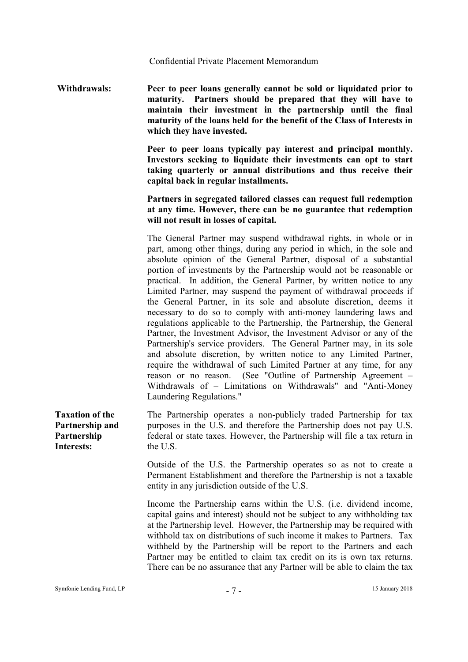**Withdrawals: Peer to peer loans generally cannot be sold or liquidated prior to maturity. Partners should be prepared that they will have to maintain their investment in the partnership until the final maturity of the loans held for the benefit of the Class of Interests in which they have invested.** 

> **Peer to peer loans typically pay interest and principal monthly. Investors seeking to liquidate their investments can opt to start taking quarterly or annual distributions and thus receive their capital back in regular installments.**

> **Partners in segregated tailored classes can request full redemption at any time. However, there can be no guarantee that redemption will not result in losses of capital.**

> The General Partner may suspend withdrawal rights, in whole or in part, among other things, during any period in which, in the sole and absolute opinion of the General Partner, disposal of a substantial portion of investments by the Partnership would not be reasonable or practical. In addition, the General Partner, by written notice to any Limited Partner, may suspend the payment of withdrawal proceeds if the General Partner, in its sole and absolute discretion, deems it necessary to do so to comply with anti-money laundering laws and regulations applicable to the Partnership, the Partnership, the General Partner, the Investment Advisor, the Investment Advisor or any of the Partnership's service providers. The General Partner may, in its sole and absolute discretion, by written notice to any Limited Partner, require the withdrawal of such Limited Partner at any time, for any reason or no reason. (See "Outline of Partnership Agreement – Withdrawals of – Limitations on Withdrawals" and "Anti-Money Laundering Regulations."

**Taxation of the Partnership and Partnership Interests:**  The Partnership operates a non-publicly traded Partnership for tax purposes in the U.S. and therefore the Partnership does not pay U.S. federal or state taxes. However, the Partnership will file a tax return in the U.S.

> Outside of the U.S. the Partnership operates so as not to create a Permanent Establishment and therefore the Partnership is not a taxable entity in any jurisdiction outside of the U.S.

> Income the Partnership earns within the U.S. (i.e. dividend income, capital gains and interest) should not be subject to any withholding tax at the Partnership level. However, the Partnership may be required with withhold tax on distributions of such income it makes to Partners. Tax withheld by the Partnership will be report to the Partners and each Partner may be entitled to claim tax credit on its is own tax returns. There can be no assurance that any Partner will be able to claim the tax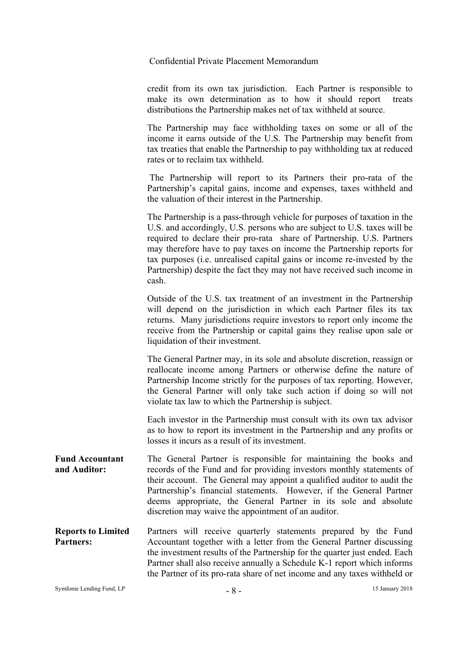credit from its own tax jurisdiction. Each Partner is responsible to make its own determination as to how it should report treats distributions the Partnership makes net of tax withheld at source.

The Partnership may face withholding taxes on some or all of the income it earns outside of the U.S. The Partnership may benefit from tax treaties that enable the Partnership to pay withholding tax at reduced rates or to reclaim tax withheld.

 The Partnership will report to its Partners their pro-rata of the Partnership's capital gains, income and expenses, taxes withheld and the valuation of their interest in the Partnership.

The Partnership is a pass-through vehicle for purposes of taxation in the U.S. and accordingly, U.S. persons who are subject to U.S. taxes will be required to declare their pro-rata share of Partnership. U.S. Partners may therefore have to pay taxes on income the Partnership reports for tax purposes (i.e. unrealised capital gains or income re-invested by the Partnership) despite the fact they may not have received such income in cash.

Outside of the U.S. tax treatment of an investment in the Partnership will depend on the jurisdiction in which each Partner files its tax returns. Many jurisdictions require investors to report only income the receive from the Partnership or capital gains they realise upon sale or liquidation of their investment.

The General Partner may, in its sole and absolute discretion, reassign or reallocate income among Partners or otherwise define the nature of Partnership Income strictly for the purposes of tax reporting. However, the General Partner will only take such action if doing so will not violate tax law to which the Partnership is subject.

Each investor in the Partnership must consult with its own tax advisor as to how to report its investment in the Partnership and any profits or losses it incurs as a result of its investment.

- **Fund Accountant and Auditor:**  The General Partner is responsible for maintaining the books and records of the Fund and for providing investors monthly statements of their account. The General may appoint a qualified auditor to audit the Partnership's financial statements. However, if the General Partner deems appropriate, the General Partner in its sole and absolute discretion may waive the appointment of an auditor.
- **Reports to Limited Partners:**  Partners will receive quarterly statements prepared by the Fund Accountant together with a letter from the General Partner discussing the investment results of the Partnership for the quarter just ended. Each Partner shall also receive annually a Schedule K-1 report which informs the Partner of its pro-rata share of net income and any taxes withheld or

Symfonie Lending Fund, LP  $-8 -$  15 January 2018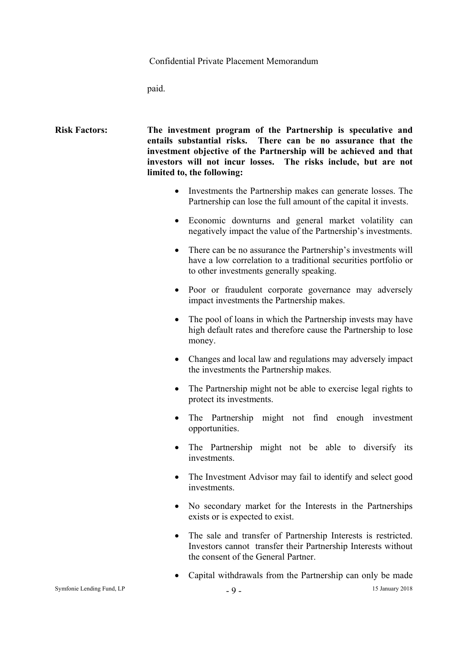paid.

| <b>Risk Factors:</b> | The investment program of the Partnership is speculative and      |
|----------------------|-------------------------------------------------------------------|
|                      | entails substantial risks. There can be no assurance that the     |
|                      | investment objective of the Partnership will be achieved and that |
|                      | investors will not incur losses. The risks include, but are not   |
|                      | limited to, the following:                                        |

- Investments the Partnership makes can generate losses. The Partnership can lose the full amount of the capital it invests.
- Economic downturns and general market volatility can negatively impact the value of the Partnership's investments.
- There can be no assurance the Partnership's investments will have a low correlation to a traditional securities portfolio or to other investments generally speaking.
- Poor or fraudulent corporate governance may adversely impact investments the Partnership makes.
- The pool of loans in which the Partnership invests may have high default rates and therefore cause the Partnership to lose money.
- Changes and local law and regulations may adversely impact the investments the Partnership makes.
- The Partnership might not be able to exercise legal rights to protect its investments.
- The Partnership might not find enough investment opportunities.
- The Partnership might not be able to diversify its investments.
- The Investment Advisor may fail to identify and select good investments.
- No secondary market for the Interests in the Partnerships exists or is expected to exist.
- The sale and transfer of Partnership Interests is restricted. Investors cannot transfer their Partnership Interests without the consent of the General Partner.
- Capital withdrawals from the Partnership can only be made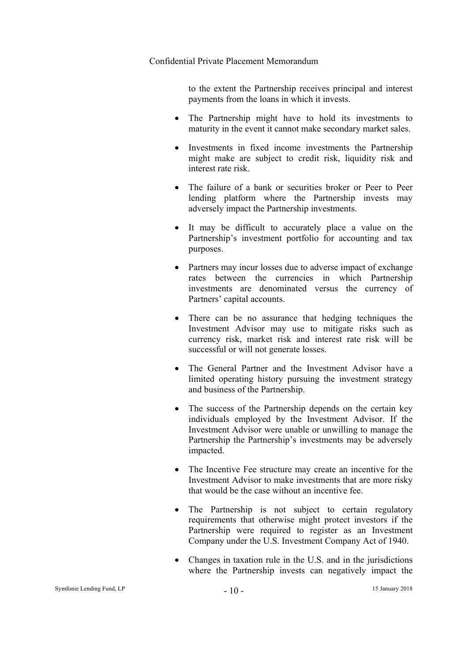to the extent the Partnership receives principal and interest payments from the loans in which it invests.

- The Partnership might have to hold its investments to maturity in the event it cannot make secondary market sales.
- Investments in fixed income investments the Partnership might make are subject to credit risk, liquidity risk and interest rate risk.
- The failure of a bank or securities broker or Peer to Peer lending platform where the Partnership invests may adversely impact the Partnership investments.
- It may be difficult to accurately place a value on the Partnership's investment portfolio for accounting and tax purposes.
- Partners may incur losses due to adverse impact of exchange rates between the currencies in which Partnership investments are denominated versus the currency of Partners' capital accounts.
- There can be no assurance that hedging techniques the Investment Advisor may use to mitigate risks such as currency risk, market risk and interest rate risk will be successful or will not generate losses.
- The General Partner and the Investment Advisor have a limited operating history pursuing the investment strategy and business of the Partnership.
- The success of the Partnership depends on the certain key individuals employed by the Investment Advisor. If the Investment Advisor were unable or unwilling to manage the Partnership the Partnership's investments may be adversely impacted.
- The Incentive Fee structure may create an incentive for the Investment Advisor to make investments that are more risky that would be the case without an incentive fee.
- The Partnership is not subject to certain regulatory requirements that otherwise might protect investors if the Partnership were required to register as an Investment Company under the U.S. Investment Company Act of 1940.
- Changes in taxation rule in the U.S. and in the jurisdictions where the Partnership invests can negatively impact the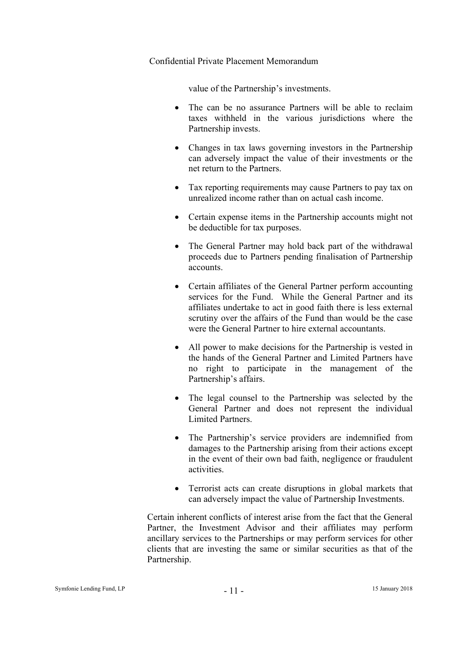value of the Partnership's investments.

- The can be no assurance Partners will be able to reclaim taxes withheld in the various jurisdictions where the Partnership invests.
- Changes in tax laws governing investors in the Partnership can adversely impact the value of their investments or the net return to the Partners.
- Tax reporting requirements may cause Partners to pay tax on unrealized income rather than on actual cash income.
- Certain expense items in the Partnership accounts might not be deductible for tax purposes.
- The General Partner may hold back part of the withdrawal proceeds due to Partners pending finalisation of Partnership accounts.
- Certain affiliates of the General Partner perform accounting services for the Fund. While the General Partner and its affiliates undertake to act in good faith there is less external scrutiny over the affairs of the Fund than would be the case were the General Partner to hire external accountants.
- All power to make decisions for the Partnership is vested in the hands of the General Partner and Limited Partners have no right to participate in the management of the Partnership's affairs.
- The legal counsel to the Partnership was selected by the General Partner and does not represent the individual Limited Partners.
- The Partnership's service providers are indemnified from damages to the Partnership arising from their actions except in the event of their own bad faith, negligence or fraudulent activities.
- Terrorist acts can create disruptions in global markets that can adversely impact the value of Partnership Investments.

Certain inherent conflicts of interest arise from the fact that the General Partner, the Investment Advisor and their affiliates may perform ancillary services to the Partnerships or may perform services for other clients that are investing the same or similar securities as that of the Partnership.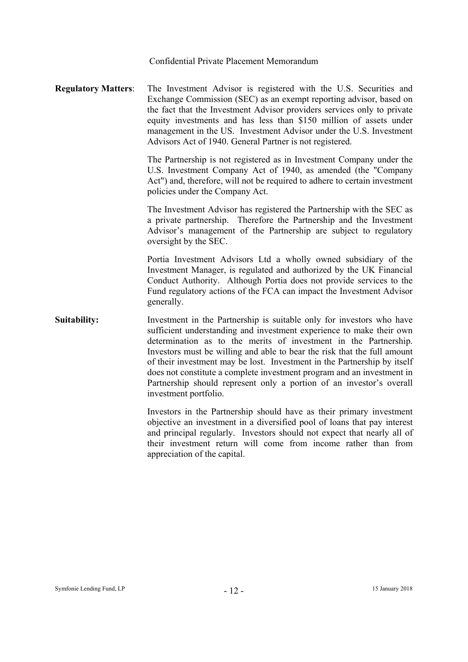**Regulatory Matters**: The Investment Advisor is registered with the U.S. Securities and Exchange Commission (SEC) as an exempt reporting advisor, based on the fact that the Investment Advisor providers services only to private equity investments and has less than \$150 million of assets under management in the US. Investment Advisor under the U.S. Investment Advisors Act of 1940. General Partner is not registered.

> The Partnership is not registered as in Investment Company under the U.S. Investment Company Act of 1940, as amended (the "Company Act") and, therefore, will not be required to adhere to certain investment policies under the Company Act.

> The Investment Advisor has registered the Partnership with the SEC as a private partnership. Therefore the Partnership and the Investment Advisor's management of the Partnership are subject to regulatory oversight by the SEC.

> Portia Investment Advisors Ltd a wholly owned subsidiary of the Investment Manager, is regulated and authorized by the UK Financial Conduct Authority. Although Portia does not provide services to the Fund regulatory actions of the FCA can impact the Investment Advisor generally.

# **Suitability:** Investment in the Partnership is suitable only for investors who have sufficient understanding and investment experience to make their own determination as to the merits of investment in the Partnership. Investors must be willing and able to bear the risk that the full amount of their investment may be lost. Investment in the Partnership by itself does not constitute a complete investment program and an investment in Partnership should represent only a portion of an investor's overall investment portfolio.

Investors in the Partnership should have as their primary investment objective an investment in a diversified pool of loans that pay interest and principal regularly. Investors should not expect that nearly all of their investment return will come from income rather than from appreciation of the capital.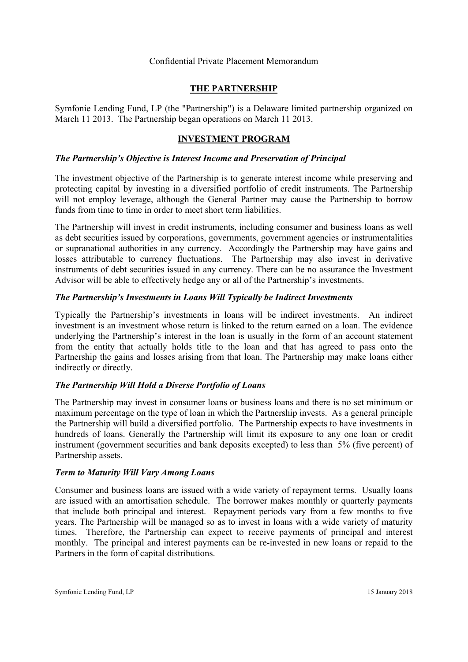# **THE PARTNERSHIP**

Symfonie Lending Fund, LP (the "Partnership") is a Delaware limited partnership organized on March 11 2013. The Partnership began operations on March 11 2013.

# **INVESTMENT PROGRAM**

# *The Partnership's Objective is Interest Income and Preservation of Principal*

The investment objective of the Partnership is to generate interest income while preserving and protecting capital by investing in a diversified portfolio of credit instruments. The Partnership will not employ leverage, although the General Partner may cause the Partnership to borrow funds from time to time in order to meet short term liabilities.

The Partnership will invest in credit instruments, including consumer and business loans as well as debt securities issued by corporations, governments, government agencies or instrumentalities or supranational authorities in any currency. Accordingly the Partnership may have gains and losses attributable to currency fluctuations. The Partnership may also invest in derivative instruments of debt securities issued in any currency. There can be no assurance the Investment Advisor will be able to effectively hedge any or all of the Partnership's investments.

# *The Partnership's Investments in Loans Will Typically be Indirect Investments*

Typically the Partnership's investments in loans will be indirect investments. An indirect investment is an investment whose return is linked to the return earned on a loan. The evidence underlying the Partnership's interest in the loan is usually in the form of an account statement from the entity that actually holds title to the loan and that has agreed to pass onto the Partnership the gains and losses arising from that loan. The Partnership may make loans either indirectly or directly.

# *The Partnership Will Hold a Diverse Portfolio of Loans*

The Partnership may invest in consumer loans or business loans and there is no set minimum or maximum percentage on the type of loan in which the Partnership invests. As a general principle the Partnership will build a diversified portfolio. The Partnership expects to have investments in hundreds of loans. Generally the Partnership will limit its exposure to any one loan or credit instrument (government securities and bank deposits excepted) to less than 5% (five percent) of Partnership assets.

# *Term to Maturity Will Vary Among Loans*

Consumer and business loans are issued with a wide variety of repayment terms. Usually loans are issued with an amortisation schedule. The borrower makes monthly or quarterly payments that include both principal and interest. Repayment periods vary from a few months to five years. The Partnership will be managed so as to invest in loans with a wide variety of maturity times. Therefore, the Partnership can expect to receive payments of principal and interest monthly. The principal and interest payments can be re-invested in new loans or repaid to the Partners in the form of capital distributions.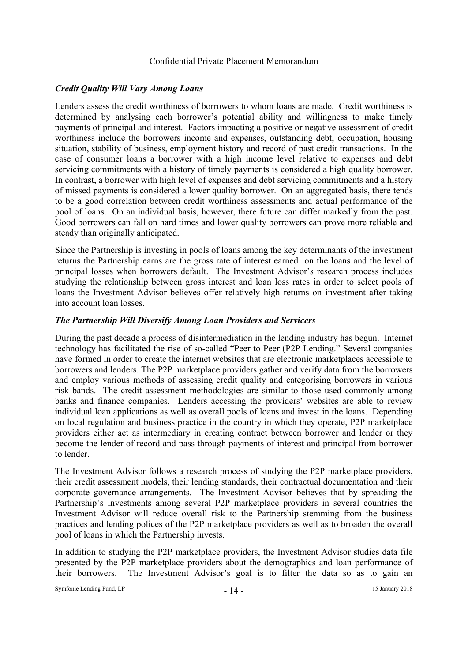# *Credit Quality Will Vary Among Loans*

Lenders assess the credit worthiness of borrowers to whom loans are made. Credit worthiness is determined by analysing each borrower's potential ability and willingness to make timely payments of principal and interest. Factors impacting a positive or negative assessment of credit worthiness include the borrowers income and expenses, outstanding debt, occupation, housing situation, stability of business, employment history and record of past credit transactions. In the case of consumer loans a borrower with a high income level relative to expenses and debt servicing commitments with a history of timely payments is considered a high quality borrower. In contrast, a borrower with high level of expenses and debt servicing commitments and a history of missed payments is considered a lower quality borrower. On an aggregated basis, there tends to be a good correlation between credit worthiness assessments and actual performance of the pool of loans. On an individual basis, however, there future can differ markedly from the past. Good borrowers can fall on hard times and lower quality borrowers can prove more reliable and steady than originally anticipated.

Since the Partnership is investing in pools of loans among the key determinants of the investment returns the Partnership earns are the gross rate of interest earned on the loans and the level of principal losses when borrowers default. The Investment Advisor's research process includes studying the relationship between gross interest and loan loss rates in order to select pools of loans the Investment Advisor believes offer relatively high returns on investment after taking into account loan losses.

# *The Partnership Will Diversify Among Loan Providers and Servicers*

During the past decade a process of disintermediation in the lending industry has begun. Internet technology has facilitated the rise of so-called "Peer to Peer (P2P Lending." Several companies have formed in order to create the internet websites that are electronic marketplaces accessible to borrowers and lenders. The P2P marketplace providers gather and verify data from the borrowers and employ various methods of assessing credit quality and categorising borrowers in various risk bands. The credit assessment methodologies are similar to those used commonly among banks and finance companies. Lenders accessing the providers' websites are able to review individual loan applications as well as overall pools of loans and invest in the loans. Depending on local regulation and business practice in the country in which they operate, P2P marketplace providers either act as intermediary in creating contract between borrower and lender or they become the lender of record and pass through payments of interest and principal from borrower to lender.

The Investment Advisor follows a research process of studying the P2P marketplace providers, their credit assessment models, their lending standards, their contractual documentation and their corporate governance arrangements. The Investment Advisor believes that by spreading the Partnership's investments among several P2P marketplace providers in several countries the Investment Advisor will reduce overall risk to the Partnership stemming from the business practices and lending polices of the P2P marketplace providers as well as to broaden the overall pool of loans in which the Partnership invests.

In addition to studying the P2P marketplace providers, the Investment Advisor studies data file presented by the P2P marketplace providers about the demographics and loan performance of their borrowers. The Investment Advisor's goal is to filter the data so as to gain an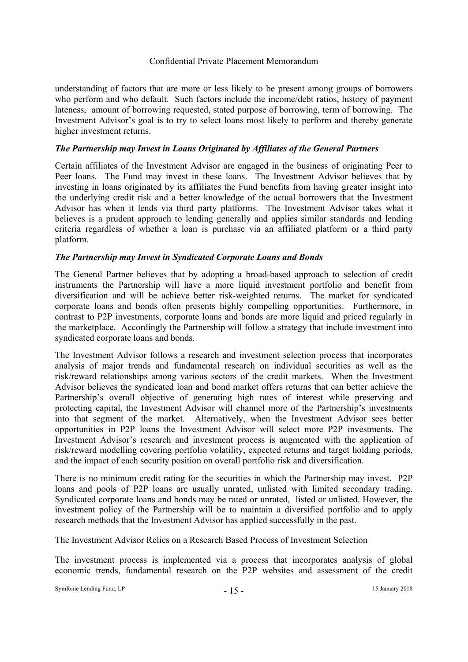understanding of factors that are more or less likely to be present among groups of borrowers who perform and who default. Such factors include the income/debt ratios, history of payment lateness, amount of borrowing requested, stated purpose of borrowing, term of borrowing. The Investment Advisor's goal is to try to select loans most likely to perform and thereby generate higher investment returns.

# *The Partnership may Invest in Loans Originated by Affiliates of the General Partners*

Certain affiliates of the Investment Advisor are engaged in the business of originating Peer to Peer loans. The Fund may invest in these loans. The Investment Advisor believes that by investing in loans originated by its affiliates the Fund benefits from having greater insight into the underlying credit risk and a better knowledge of the actual borrowers that the Investment Advisor has when it lends via third party platforms. The Investment Advisor takes what it believes is a prudent approach to lending generally and applies similar standards and lending criteria regardless of whether a loan is purchase via an affiliated platform or a third party platform.

# *The Partnership may Invest in Syndicated Corporate Loans and Bonds*

The General Partner believes that by adopting a broad-based approach to selection of credit instruments the Partnership will have a more liquid investment portfolio and benefit from diversification and will be achieve better risk-weighted returns. The market for syndicated corporate loans and bonds often presents highly compelling opportunities. Furthermore, in contrast to P2P investments, corporate loans and bonds are more liquid and priced regularly in the marketplace. Accordingly the Partnership will follow a strategy that include investment into syndicated corporate loans and bonds.

The Investment Advisor follows a research and investment selection process that incorporates analysis of major trends and fundamental research on individual securities as well as the risk/reward relationships among various sectors of the credit markets. When the Investment Advisor believes the syndicated loan and bond market offers returns that can better achieve the Partnership's overall objective of generating high rates of interest while preserving and protecting capital, the Investment Advisor will channel more of the Partnership's investments into that segment of the market. Alternatively, when the Investment Advisor sees better opportunities in P2P loans the Investment Advisor will select more P2P investments. The Investment Advisor's research and investment process is augmented with the application of risk/reward modelling covering portfolio volatility, expected returns and target holding periods, and the impact of each security position on overall portfolio risk and diversification.

There is no minimum credit rating for the securities in which the Partnership may invest. P2P loans and pools of P2P loans are usually unrated, unlisted with limited secondary trading. Syndicated corporate loans and bonds may be rated or unrated, listed or unlisted. However, the investment policy of the Partnership will be to maintain a diversified portfolio and to apply research methods that the Investment Advisor has applied successfully in the past.

The Investment Advisor Relies on a Research Based Process of Investment Selection

The investment process is implemented via a process that incorporates analysis of global economic trends, fundamental research on the P2P websites and assessment of the credit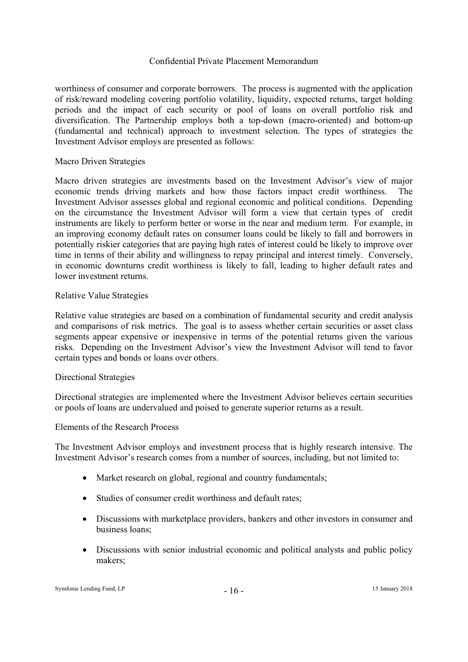worthiness of consumer and corporate borrowers. The process is augmented with the application of risk/reward modeling covering portfolio volatility, liquidity, expected returns, target holding periods and the impact of each security or pool of loans on overall portfolio risk and diversification. The Partnership employs both a top-down (macro-oriented) and bottom-up (fundamental and technical) approach to investment selection. The types of strategies the Investment Advisor employs are presented as follows:

# Macro Driven Strategies

Macro driven strategies are investments based on the Investment Advisor's view of major economic trends driving markets and how those factors impact credit worthiness. The Investment Advisor assesses global and regional economic and political conditions. Depending on the circumstance the Investment Advisor will form a view that certain types of credit instruments are likely to perform better or worse in the near and medium term. For example, in an improving economy default rates on consumer loans could be likely to fall and borrowers in potentially riskier categories that are paying high rates of interest could be likely to improve over time in terms of their ability and willingness to repay principal and interest timely. Conversely, in economic downturns credit worthiness is likely to fall, leading to higher default rates and lower investment returns.

# Relative Value Strategies

Relative value strategies are based on a combination of fundamental security and credit analysis and comparisons of risk metrics. The goal is to assess whether certain securities or asset class segments appear expensive or inexpensive in terms of the potential returns given the various risks. Depending on the Investment Advisor's view the Investment Advisor will tend to favor certain types and bonds or loans over others.

#### Directional Strategies

Directional strategies are implemented where the Investment Advisor believes certain securities or pools of loans are undervalued and poised to generate superior returns as a result.

#### Elements of the Research Process

The Investment Advisor employs and investment process that is highly research intensive. The Investment Advisor's research comes from a number of sources, including, but not limited to:

- Market research on global, regional and country fundamentals;
- Studies of consumer credit worthiness and default rates;
- Discussions with marketplace providers, bankers and other investors in consumer and business loans;
- Discussions with senior industrial economic and political analysts and public policy makers;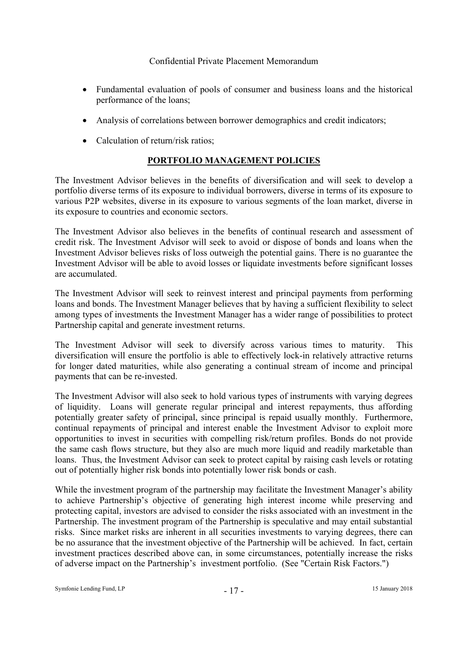- Fundamental evaluation of pools of consumer and business loans and the historical performance of the loans;
- Analysis of correlations between borrower demographics and credit indicators;
- Calculation of return/risk ratios;

# **PORTFOLIO MANAGEMENT POLICIES**

The Investment Advisor believes in the benefits of diversification and will seek to develop a portfolio diverse terms of its exposure to individual borrowers, diverse in terms of its exposure to various P2P websites, diverse in its exposure to various segments of the loan market, diverse in its exposure to countries and economic sectors.

The Investment Advisor also believes in the benefits of continual research and assessment of credit risk. The Investment Advisor will seek to avoid or dispose of bonds and loans when the Investment Advisor believes risks of loss outweigh the potential gains. There is no guarantee the Investment Advisor will be able to avoid losses or liquidate investments before significant losses are accumulated.

The Investment Advisor will seek to reinvest interest and principal payments from performing loans and bonds. The Investment Manager believes that by having a sufficient flexibility to select among types of investments the Investment Manager has a wider range of possibilities to protect Partnership capital and generate investment returns.

The Investment Advisor will seek to diversify across various times to maturity. This diversification will ensure the portfolio is able to effectively lock-in relatively attractive returns for longer dated maturities, while also generating a continual stream of income and principal payments that can be re-invested.

The Investment Advisor will also seek to hold various types of instruments with varying degrees of liquidity. Loans will generate regular principal and interest repayments, thus affording potentially greater safety of principal, since principal is repaid usually monthly. Furthermore, continual repayments of principal and interest enable the Investment Advisor to exploit more opportunities to invest in securities with compelling risk/return profiles. Bonds do not provide the same cash flows structure, but they also are much more liquid and readily marketable than loans. Thus, the Investment Advisor can seek to protect capital by raising cash levels or rotating out of potentially higher risk bonds into potentially lower risk bonds or cash.

While the investment program of the partnership may facilitate the Investment Manager's ability to achieve Partnership's objective of generating high interest income while preserving and protecting capital, investors are advised to consider the risks associated with an investment in the Partnership. The investment program of the Partnership is speculative and may entail substantial risks. Since market risks are inherent in all securities investments to varying degrees, there can be no assurance that the investment objective of the Partnership will be achieved. In fact, certain investment practices described above can, in some circumstances, potentially increase the risks of adverse impact on the Partnership's investment portfolio. (See "Certain Risk Factors.")

Symfonie Lending Fund, LP  $\qquad \qquad -17 -$  15 January 2018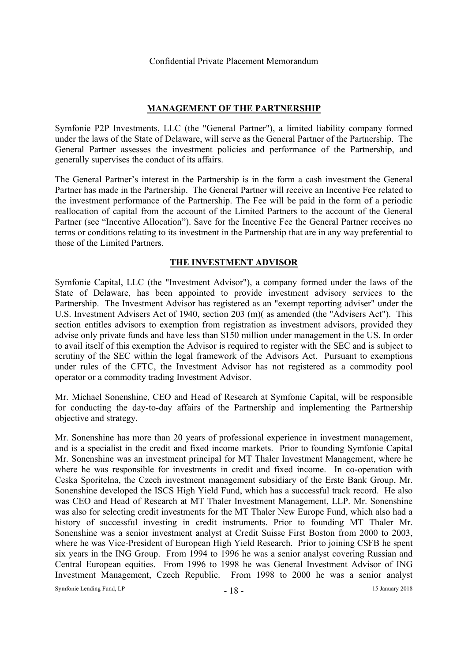# **MANAGEMENT OF THE PARTNERSHIP**

Symfonie P2P Investments, LLC (the "General Partner"), a limited liability company formed under the laws of the State of Delaware, will serve as the General Partner of the Partnership. The General Partner assesses the investment policies and performance of the Partnership, and generally supervises the conduct of its affairs.

The General Partner's interest in the Partnership is in the form a cash investment the General Partner has made in the Partnership. The General Partner will receive an Incentive Fee related to the investment performance of the Partnership. The Fee will be paid in the form of a periodic reallocation of capital from the account of the Limited Partners to the account of the General Partner (see "Incentive Allocation"). Save for the Incentive Fee the General Partner receives no terms or conditions relating to its investment in the Partnership that are in any way preferential to those of the Limited Partners.

# **THE INVESTMENT ADVISOR**

Symfonie Capital, LLC (the "Investment Advisor"), a company formed under the laws of the State of Delaware, has been appointed to provide investment advisory services to the Partnership. The Investment Advisor has registered as an "exempt reporting adviser" under the U.S. Investment Advisers Act of 1940, section 203 (m)( as amended (the "Advisers Act"). This section entitles advisors to exemption from registration as investment advisors, provided they advise only private funds and have less than \$150 million under management in the US. In order to avail itself of this exemption the Advisor is required to register with the SEC and is subject to scrutiny of the SEC within the legal framework of the Advisors Act. Pursuant to exemptions under rules of the CFTC, the Investment Advisor has not registered as a commodity pool operator or a commodity trading Investment Advisor.

Mr. Michael Sonenshine, CEO and Head of Research at Symfonie Capital, will be responsible for conducting the day-to-day affairs of the Partnership and implementing the Partnership objective and strategy.

Mr. Sonenshine has more than 20 years of professional experience in investment management, and is a specialist in the credit and fixed income markets. Prior to founding Symfonie Capital Mr. Sonenshine was an investment principal for MT Thaler Investment Management, where he where he was responsible for investments in credit and fixed income. In co-operation with Ceska Sporitelna, the Czech investment management subsidiary of the Erste Bank Group, Mr. Sonenshine developed the ISCS High Yield Fund, which has a successful track record. He also was CEO and Head of Research at MT Thaler Investment Management, LLP. Mr. Sonenshine was also for selecting credit investments for the MT Thaler New Europe Fund, which also had a history of successful investing in credit instruments. Prior to founding MT Thaler Mr. Sonenshine was a senior investment analyst at Credit Suisse First Boston from 2000 to 2003, where he was Vice-President of European High Yield Research. Prior to joining CSFB he spent six years in the ING Group. From 1994 to 1996 he was a senior analyst covering Russian and Central European equities. From 1996 to 1998 he was General Investment Advisor of ING Investment Management, Czech Republic. From 1998 to 2000 he was a senior analyst

Symfonie Lending Fund, LP <sup>18</sup> - <sup>18</sup> - <sup>18</sup> - <sup>18</sup> - <sup>18</sup> - <sup>18</sup> - <sup>18</sup> - <sup>18</sup> - <sup>18</sup> - <sup>18</sup> - <sup>18</sup> - <sup>18</sup> - <sup>19</sup> - <sup>19</sup> - <sup>19</sup> - <sup>19</sup> - <sup>19</sup> - <sup>19</sup> - <sup>19</sup> - <sup>19</sup> - <sup>19</sup> - <sup>19</sup> - <sup>19</sup> - <sup>19</sup> - <sup>19</sup> - <sup>19</sup> - <sup>19</sup> - <sup>19</sup> -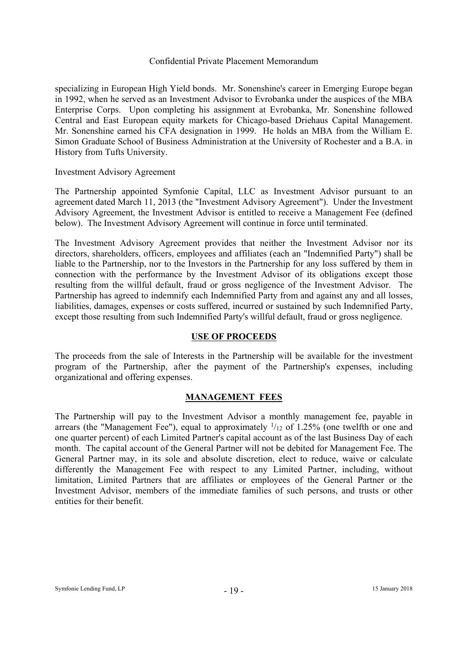specializing in European High Yield bonds. Mr. Sonenshine's career in Emerging Europe began in 1992, when he served as an Investment Advisor to Evrobanka under the auspices of the MBA Enterprise Corps. Upon completing his assignment at Evrobanka, Mr. Sonenshine followed Central and East European equity markets for Chicago-based Driehaus Capital Management. Mr. Sonenshine earned his CFA designation in 1999. He holds an MBA from the William E. Simon Graduate School of Business Administration at the University of Rochester and a B.A. in History from Tufts University.

Investment Advisory Agreement

The Partnership appointed Symfonie Capital, LLC as Investment Advisor pursuant to an agreement dated March 11, 2013 (the "Investment Advisory Agreement"). Under the Investment Advisory Agreement, the Investment Advisor is entitled to receive a Management Fee (defined below). The Investment Advisory Agreement will continue in force until terminated.

The Investment Advisory Agreement provides that neither the Investment Advisor nor its directors, shareholders, officers, employees and affiliates (each an "Indemnified Party") shall be liable to the Partnership, nor to the Investors in the Partnership for any loss suffered by them in connection with the performance by the Investment Advisor of its obligations except those resulting from the willful default, fraud or gross negligence of the Investment Advisor. The Partnership has agreed to indemnify each Indemnified Party from and against any and all losses, liabilities, damages, expenses or costs suffered, incurred or sustained by such Indemnified Party, except those resulting from such Indemnified Party's willful default, fraud or gross negligence.

# **USE OF PROCEEDS**

The proceeds from the sale of Interests in the Partnership will be available for the investment program of the Partnership, after the payment of the Partnership's expenses, including organizational and offering expenses.

# **MANAGEMENT FEES**

The Partnership will pay to the Investment Advisor a monthly management fee, payable in arrears (the "Management Fee"), equal to approximately  $\frac{1}{12}$  of 1.25% (one twelfth or one and one quarter percent) of each Limited Partner's capital account as of the last Business Day of each month. The capital account of the General Partner will not be debited for Management Fee. The General Partner may, in its sole and absolute discretion, elect to reduce, waive or calculate differently the Management Fee with respect to any Limited Partner, including, without limitation, Limited Partners that are affiliates or employees of the General Partner or the Investment Advisor, members of the immediate families of such persons, and trusts or other entities for their benefit.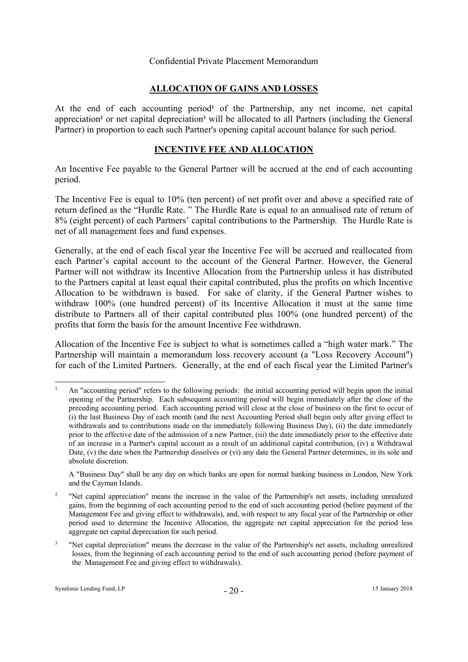# **ALLOCATION OF GAINS AND LOSSES**

At the end of each accounting period<sup>1</sup> of the Partnership, any net income, net capital appreciation<sup>2</sup> or net capital depreciation<sup>3</sup> will be allocated to all Partners (including the General Partner) in proportion to each such Partner's opening capital account balance for such period.

# **INCENTIVE FEE AND ALLOCATION**

An Incentive Fee payable to the General Partner will be accrued at the end of each accounting period.

The Incentive Fee is equal to 10% (ten percent) of net profit over and above a specified rate of return defined as the "Hurdle Rate. " The Hurdle Rate is equal to an annualised rate of return of 8% (eight percent) of each Partners' capital contributions to the Partnership. The Hurdle Rate is net of all management fees and fund expenses.

Generally, at the end of each fiscal year the Incentive Fee will be accrued and reallocated from each Partner's capital account to the account of the General Partner. However, the General Partner will not withdraw its Incentive Allocation from the Partnership unless it has distributed to the Partners capital at least equal their capital contributed, plus the profits on which Incentive Allocation to be withdrawn is based. For sake of clarity, if the General Partner wishes to withdraw 100% (one hundred percent) of its Incentive Allocation it must at the same time distribute to Partners all of their capital contributed plus 100% (one hundred percent) of the profits that form the basis for the amount Incentive Fee withdrawn.

Allocation of the Incentive Fee is subject to what is sometimes called a "high water mark." The Partnership will maintain a memorandum loss recovery account (a "Loss Recovery Account") for each of the Limited Partners. Generally, at the end of each fiscal year the Limited Partner's

-

<sup>1</sup> An "accounting period" refers to the following periods: the initial accounting period will begin upon the initial opening of the Partnership. Each subsequent accounting period will begin immediately after the close of the preceding accounting period. Each accounting period will close at the close of business on the first to occur of (i) the last Business Day of each month (and the next Accounting Period shall begin only after giving effect to withdrawals and to contributions made on the immediately following Business Day), (ii) the date immediately prior to the effective date of the admission of a new Partner, (iii) the date immediately prior to the effective date of an increase in a Partner's capital account as a result of an additional capital contribution, (iv) a Withdrawal Date, (v) the date when the Partnership dissolves or (vi) any date the General Partner determines, in its sole and absolute discretion.

A "Business Day" shall be any day on which banks are open for normal banking business in London, New York and the Cayman Islands.

<sup>&</sup>lt;sup>2</sup> "Net capital appreciation" means the increase in the value of the Partnership's net assets, including unrealized gains, from the beginning of each accounting period to the end of such accounting period (before payment of the Management Fee and giving effect to withdrawals), and, with respect to any fiscal year of the Partnership or other period used to determine the Incentive Allocation, the aggregate net capital appreciation for the period less aggregate net capital depreciation for such period.

<sup>3</sup> "Net capital depreciation" means the decrease in the value of the Partnership's net assets, including unrealized losses, from the beginning of each accounting period to the end of such accounting period (before payment of the Management Fee and giving effect to withdrawals).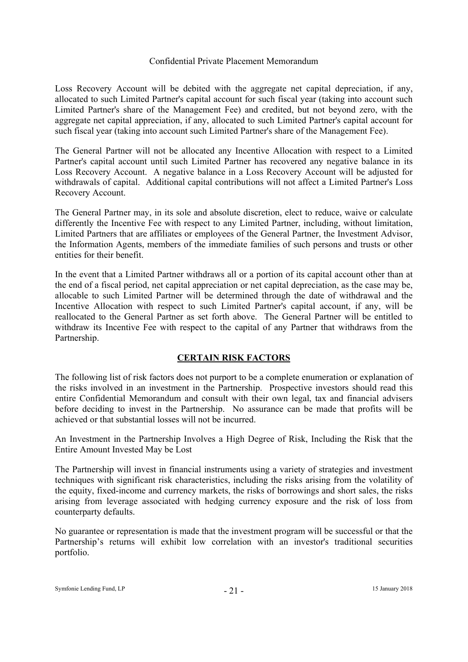Loss Recovery Account will be debited with the aggregate net capital depreciation, if any, allocated to such Limited Partner's capital account for such fiscal year (taking into account such Limited Partner's share of the Management Fee) and credited, but not beyond zero, with the aggregate net capital appreciation, if any, allocated to such Limited Partner's capital account for such fiscal year (taking into account such Limited Partner's share of the Management Fee).

The General Partner will not be allocated any Incentive Allocation with respect to a Limited Partner's capital account until such Limited Partner has recovered any negative balance in its Loss Recovery Account. A negative balance in a Loss Recovery Account will be adjusted for withdrawals of capital. Additional capital contributions will not affect a Limited Partner's Loss Recovery Account.

The General Partner may, in its sole and absolute discretion, elect to reduce, waive or calculate differently the Incentive Fee with respect to any Limited Partner, including, without limitation, Limited Partners that are affiliates or employees of the General Partner, the Investment Advisor, the Information Agents, members of the immediate families of such persons and trusts or other entities for their benefit.

In the event that a Limited Partner withdraws all or a portion of its capital account other than at the end of a fiscal period, net capital appreciation or net capital depreciation, as the case may be, allocable to such Limited Partner will be determined through the date of withdrawal and the Incentive Allocation with respect to such Limited Partner's capital account, if any, will be reallocated to the General Partner as set forth above. The General Partner will be entitled to withdraw its Incentive Fee with respect to the capital of any Partner that withdraws from the Partnership.

# **CERTAIN RISK FACTORS**

The following list of risk factors does not purport to be a complete enumeration or explanation of the risks involved in an investment in the Partnership. Prospective investors should read this entire Confidential Memorandum and consult with their own legal, tax and financial advisers before deciding to invest in the Partnership. No assurance can be made that profits will be achieved or that substantial losses will not be incurred.

An Investment in the Partnership Involves a High Degree of Risk, Including the Risk that the Entire Amount Invested May be Lost

The Partnership will invest in financial instruments using a variety of strategies and investment techniques with significant risk characteristics, including the risks arising from the volatility of the equity, fixed-income and currency markets, the risks of borrowings and short sales, the risks arising from leverage associated with hedging currency exposure and the risk of loss from counterparty defaults.

No guarantee or representation is made that the investment program will be successful or that the Partnership's returns will exhibit low correlation with an investor's traditional securities portfolio.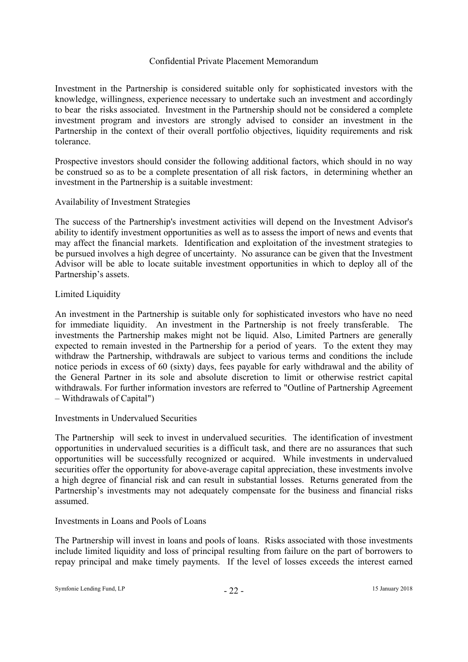Investment in the Partnership is considered suitable only for sophisticated investors with the knowledge, willingness, experience necessary to undertake such an investment and accordingly to bear the risks associated. Investment in the Partnership should not be considered a complete investment program and investors are strongly advised to consider an investment in the Partnership in the context of their overall portfolio objectives, liquidity requirements and risk tolerance.

Prospective investors should consider the following additional factors, which should in no way be construed so as to be a complete presentation of all risk factors, in determining whether an investment in the Partnership is a suitable investment:

# Availability of Investment Strategies

The success of the Partnership's investment activities will depend on the Investment Advisor's ability to identify investment opportunities as well as to assess the import of news and events that may affect the financial markets. Identification and exploitation of the investment strategies to be pursued involves a high degree of uncertainty. No assurance can be given that the Investment Advisor will be able to locate suitable investment opportunities in which to deploy all of the Partnership's assets.

# Limited Liquidity

An investment in the Partnership is suitable only for sophisticated investors who have no need for immediate liquidity. An investment in the Partnership is not freely transferable. The investments the Partnership makes might not be liquid. Also, Limited Partners are generally expected to remain invested in the Partnership for a period of years. To the extent they may withdraw the Partnership, withdrawals are subject to various terms and conditions the include notice periods in excess of 60 (sixty) days, fees payable for early withdrawal and the ability of the General Partner in its sole and absolute discretion to limit or otherwise restrict capital withdrawals. For further information investors are referred to "Outline of Partnership Agreement – Withdrawals of Capital")

# Investments in Undervalued Securities

The Partnership will seek to invest in undervalued securities. The identification of investment opportunities in undervalued securities is a difficult task, and there are no assurances that such opportunities will be successfully recognized or acquired. While investments in undervalued securities offer the opportunity for above-average capital appreciation, these investments involve a high degree of financial risk and can result in substantial losses. Returns generated from the Partnership's investments may not adequately compensate for the business and financial risks assumed.

#### Investments in Loans and Pools of Loans

The Partnership will invest in loans and pools of loans. Risks associated with those investments include limited liquidity and loss of principal resulting from failure on the part of borrowers to repay principal and make timely payments. If the level of losses exceeds the interest earned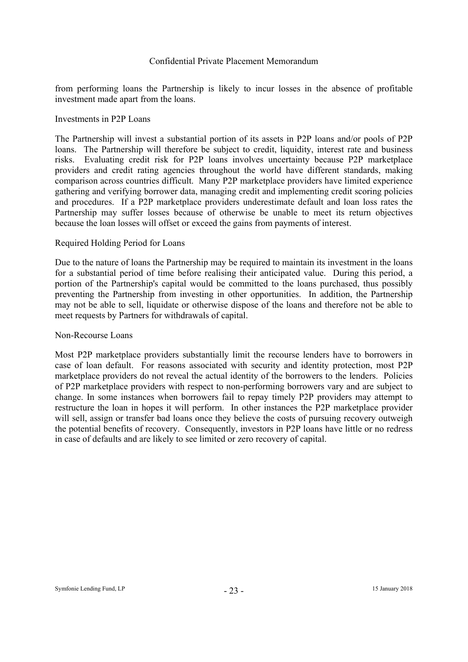from performing loans the Partnership is likely to incur losses in the absence of profitable investment made apart from the loans.

#### Investments in P2P Loans

The Partnership will invest a substantial portion of its assets in P2P loans and/or pools of P2P loans. The Partnership will therefore be subject to credit, liquidity, interest rate and business risks. Evaluating credit risk for P2P loans involves uncertainty because P2P marketplace providers and credit rating agencies throughout the world have different standards, making comparison across countries difficult. Many P2P marketplace providers have limited experience gathering and verifying borrower data, managing credit and implementing credit scoring policies and procedures. If a P2P marketplace providers underestimate default and loan loss rates the Partnership may suffer losses because of otherwise be unable to meet its return objectives because the loan losses will offset or exceed the gains from payments of interest.

# Required Holding Period for Loans

Due to the nature of loans the Partnership may be required to maintain its investment in the loans for a substantial period of time before realising their anticipated value. During this period, a portion of the Partnership's capital would be committed to the loans purchased, thus possibly preventing the Partnership from investing in other opportunities. In addition, the Partnership may not be able to sell, liquidate or otherwise dispose of the loans and therefore not be able to meet requests by Partners for withdrawals of capital.

#### Non-Recourse Loans

Most P2P marketplace providers substantially limit the recourse lenders have to borrowers in case of loan default. For reasons associated with security and identity protection, most P2P marketplace providers do not reveal the actual identity of the borrowers to the lenders. Policies of P2P marketplace providers with respect to non-performing borrowers vary and are subject to change. In some instances when borrowers fail to repay timely P2P providers may attempt to restructure the loan in hopes it will perform. In other instances the P2P marketplace provider will sell, assign or transfer bad loans once they believe the costs of pursuing recovery outweigh the potential benefits of recovery. Consequently, investors in P2P loans have little or no redress in case of defaults and are likely to see limited or zero recovery of capital.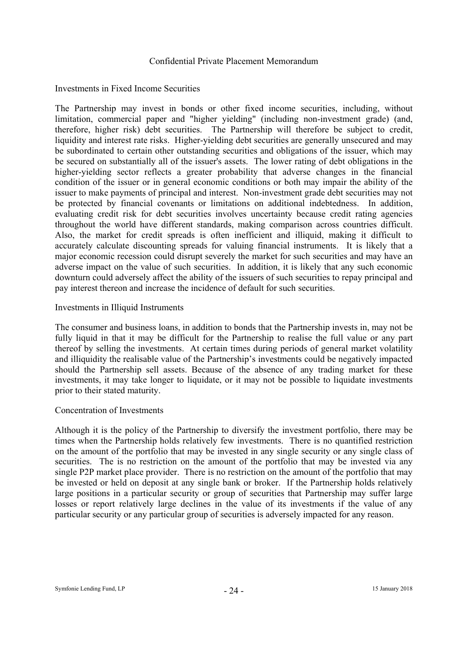# Investments in Fixed Income Securities

The Partnership may invest in bonds or other fixed income securities, including, without limitation, commercial paper and "higher yielding" (including non-investment grade) (and, therefore, higher risk) debt securities. The Partnership will therefore be subject to credit, liquidity and interest rate risks. Higher-yielding debt securities are generally unsecured and may be subordinated to certain other outstanding securities and obligations of the issuer, which may be secured on substantially all of the issuer's assets. The lower rating of debt obligations in the higher-yielding sector reflects a greater probability that adverse changes in the financial condition of the issuer or in general economic conditions or both may impair the ability of the issuer to make payments of principal and interest. Non-investment grade debt securities may not be protected by financial covenants or limitations on additional indebtedness. In addition, evaluating credit risk for debt securities involves uncertainty because credit rating agencies throughout the world have different standards, making comparison across countries difficult. Also, the market for credit spreads is often inefficient and illiquid, making it difficult to accurately calculate discounting spreads for valuing financial instruments. It is likely that a major economic recession could disrupt severely the market for such securities and may have an adverse impact on the value of such securities. In addition, it is likely that any such economic downturn could adversely affect the ability of the issuers of such securities to repay principal and pay interest thereon and increase the incidence of default for such securities.

# Investments in Illiquid Instruments

The consumer and business loans, in addition to bonds that the Partnership invests in, may not be fully liquid in that it may be difficult for the Partnership to realise the full value or any part thereof by selling the investments. At certain times during periods of general market volatility and illiquidity the realisable value of the Partnership's investments could be negatively impacted should the Partnership sell assets. Because of the absence of any trading market for these investments, it may take longer to liquidate, or it may not be possible to liquidate investments prior to their stated maturity.

#### Concentration of Investments

Although it is the policy of the Partnership to diversify the investment portfolio, there may be times when the Partnership holds relatively few investments. There is no quantified restriction on the amount of the portfolio that may be invested in any single security or any single class of securities. The is no restriction on the amount of the portfolio that may be invested via any single P2P market place provider. There is no restriction on the amount of the portfolio that may be invested or held on deposit at any single bank or broker. If the Partnership holds relatively large positions in a particular security or group of securities that Partnership may suffer large losses or report relatively large declines in the value of its investments if the value of any particular security or any particular group of securities is adversely impacted for any reason.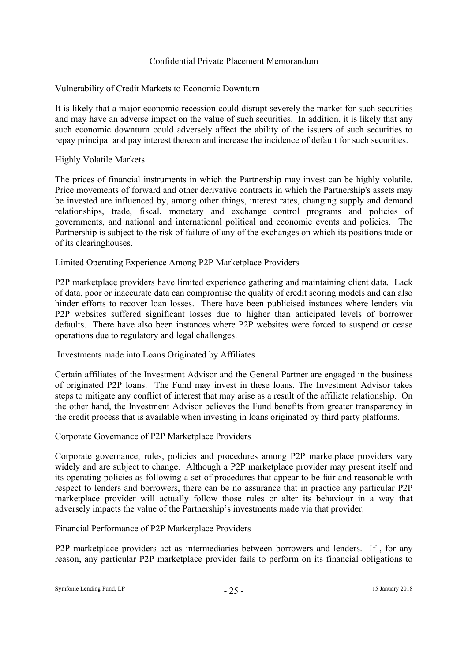# Vulnerability of Credit Markets to Economic Downturn

It is likely that a major economic recession could disrupt severely the market for such securities and may have an adverse impact on the value of such securities. In addition, it is likely that any such economic downturn could adversely affect the ability of the issuers of such securities to repay principal and pay interest thereon and increase the incidence of default for such securities.

# Highly Volatile Markets

The prices of financial instruments in which the Partnership may invest can be highly volatile. Price movements of forward and other derivative contracts in which the Partnership's assets may be invested are influenced by, among other things, interest rates, changing supply and demand relationships, trade, fiscal, monetary and exchange control programs and policies of governments, and national and international political and economic events and policies. The Partnership is subject to the risk of failure of any of the exchanges on which its positions trade or of its clearinghouses.

# Limited Operating Experience Among P2P Marketplace Providers

P2P marketplace providers have limited experience gathering and maintaining client data. Lack of data, poor or inaccurate data can compromise the quality of credit scoring models and can also hinder efforts to recover loan losses. There have been publicised instances where lenders via P2P websites suffered significant losses due to higher than anticipated levels of borrower defaults. There have also been instances where P2P websites were forced to suspend or cease operations due to regulatory and legal challenges.

# Investments made into Loans Originated by Affiliates

Certain affiliates of the Investment Advisor and the General Partner are engaged in the business of originated P2P loans. The Fund may invest in these loans. The Investment Advisor takes steps to mitigate any conflict of interest that may arise as a result of the affiliate relationship. On the other hand, the Investment Advisor believes the Fund benefits from greater transparency in the credit process that is available when investing in loans originated by third party platforms.

# Corporate Governance of P2P Marketplace Providers

Corporate governance, rules, policies and procedures among P2P marketplace providers vary widely and are subject to change. Although a P2P marketplace provider may present itself and its operating policies as following a set of procedures that appear to be fair and reasonable with respect to lenders and borrowers, there can be no assurance that in practice any particular P2P marketplace provider will actually follow those rules or alter its behaviour in a way that adversely impacts the value of the Partnership's investments made via that provider.

# Financial Performance of P2P Marketplace Providers

P2P marketplace providers act as intermediaries between borrowers and lenders. If , for any reason, any particular P2P marketplace provider fails to perform on its financial obligations to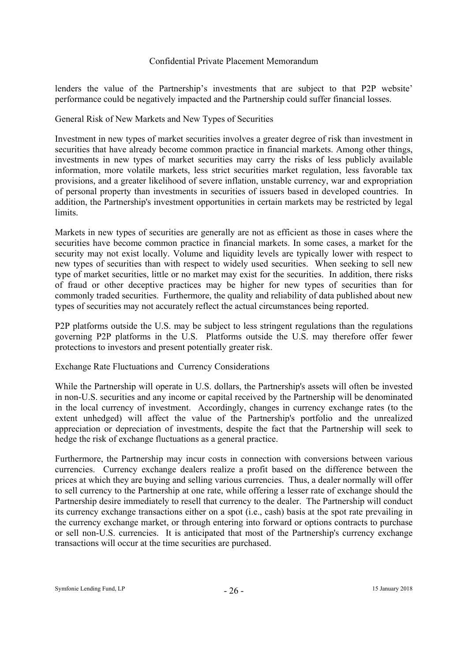lenders the value of the Partnership's investments that are subject to that P2P website' performance could be negatively impacted and the Partnership could suffer financial losses.

# General Risk of New Markets and New Types of Securities

Investment in new types of market securities involves a greater degree of risk than investment in securities that have already become common practice in financial markets. Among other things, investments in new types of market securities may carry the risks of less publicly available information, more volatile markets, less strict securities market regulation, less favorable tax provisions, and a greater likelihood of severe inflation, unstable currency, war and expropriation of personal property than investments in securities of issuers based in developed countries. In addition, the Partnership's investment opportunities in certain markets may be restricted by legal limits.

Markets in new types of securities are generally are not as efficient as those in cases where the securities have become common practice in financial markets. In some cases, a market for the security may not exist locally. Volume and liquidity levels are typically lower with respect to new types of securities than with respect to widely used securities. When seeking to sell new type of market securities, little or no market may exist for the securities. In addition, there risks of fraud or other deceptive practices may be higher for new types of securities than for commonly traded securities. Furthermore, the quality and reliability of data published about new types of securities may not accurately reflect the actual circumstances being reported.

P2P platforms outside the U.S. may be subject to less stringent regulations than the regulations governing P2P platforms in the U.S. Platforms outside the U.S. may therefore offer fewer protections to investors and present potentially greater risk.

# Exchange Rate Fluctuations and Currency Considerations

While the Partnership will operate in U.S. dollars, the Partnership's assets will often be invested in non-U.S. securities and any income or capital received by the Partnership will be denominated in the local currency of investment. Accordingly, changes in currency exchange rates (to the extent unhedged) will affect the value of the Partnership's portfolio and the unrealized appreciation or depreciation of investments, despite the fact that the Partnership will seek to hedge the risk of exchange fluctuations as a general practice.

Furthermore, the Partnership may incur costs in connection with conversions between various currencies. Currency exchange dealers realize a profit based on the difference between the prices at which they are buying and selling various currencies. Thus, a dealer normally will offer to sell currency to the Partnership at one rate, while offering a lesser rate of exchange should the Partnership desire immediately to resell that currency to the dealer. The Partnership will conduct its currency exchange transactions either on a spot (i.e., cash) basis at the spot rate prevailing in the currency exchange market, or through entering into forward or options contracts to purchase or sell non-U.S. currencies. It is anticipated that most of the Partnership's currency exchange transactions will occur at the time securities are purchased.

Symfonie Lending Fund, LP  $-26$  - 15 January 2018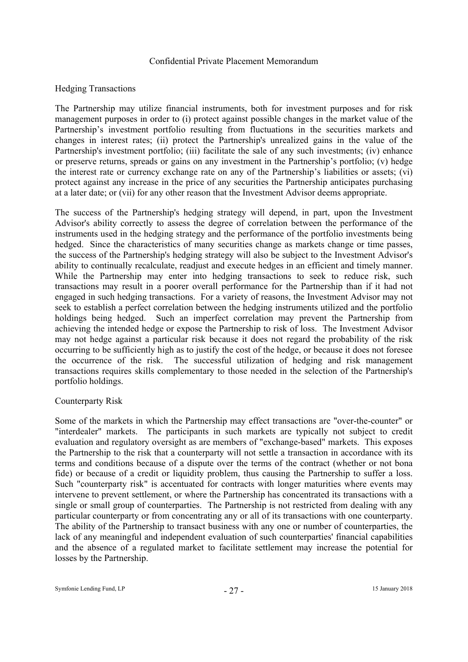# Hedging Transactions

The Partnership may utilize financial instruments, both for investment purposes and for risk management purposes in order to (i) protect against possible changes in the market value of the Partnership's investment portfolio resulting from fluctuations in the securities markets and changes in interest rates; (ii) protect the Partnership's unrealized gains in the value of the Partnership's investment portfolio; (iii) facilitate the sale of any such investments; (iv) enhance or preserve returns, spreads or gains on any investment in the Partnership's portfolio; (v) hedge the interest rate or currency exchange rate on any of the Partnership's liabilities or assets; (vi) protect against any increase in the price of any securities the Partnership anticipates purchasing at a later date; or (vii) for any other reason that the Investment Advisor deems appropriate.

The success of the Partnership's hedging strategy will depend, in part, upon the Investment Advisor's ability correctly to assess the degree of correlation between the performance of the instruments used in the hedging strategy and the performance of the portfolio investments being hedged. Since the characteristics of many securities change as markets change or time passes, the success of the Partnership's hedging strategy will also be subject to the Investment Advisor's ability to continually recalculate, readjust and execute hedges in an efficient and timely manner. While the Partnership may enter into hedging transactions to seek to reduce risk, such transactions may result in a poorer overall performance for the Partnership than if it had not engaged in such hedging transactions. For a variety of reasons, the Investment Advisor may not seek to establish a perfect correlation between the hedging instruments utilized and the portfolio holdings being hedged. Such an imperfect correlation may prevent the Partnership from achieving the intended hedge or expose the Partnership to risk of loss. The Investment Advisor may not hedge against a particular risk because it does not regard the probability of the risk occurring to be sufficiently high as to justify the cost of the hedge, or because it does not foresee the occurrence of the risk. The successful utilization of hedging and risk management transactions requires skills complementary to those needed in the selection of the Partnership's portfolio holdings.

#### Counterparty Risk

Some of the markets in which the Partnership may effect transactions are "over-the-counter" or "interdealer" markets. The participants in such markets are typically not subject to credit evaluation and regulatory oversight as are members of "exchange-based" markets. This exposes the Partnership to the risk that a counterparty will not settle a transaction in accordance with its terms and conditions because of a dispute over the terms of the contract (whether or not bona fide) or because of a credit or liquidity problem, thus causing the Partnership to suffer a loss. Such "counterparty risk" is accentuated for contracts with longer maturities where events may intervene to prevent settlement, or where the Partnership has concentrated its transactions with a single or small group of counterparties. The Partnership is not restricted from dealing with any particular counterparty or from concentrating any or all of its transactions with one counterparty. The ability of the Partnership to transact business with any one or number of counterparties, the lack of any meaningful and independent evaluation of such counterparties' financial capabilities and the absence of a regulated market to facilitate settlement may increase the potential for losses by the Partnership.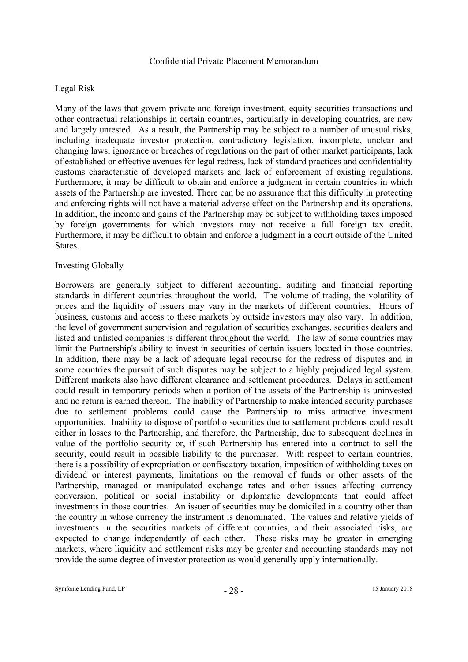# Legal Risk

Many of the laws that govern private and foreign investment, equity securities transactions and other contractual relationships in certain countries, particularly in developing countries, are new and largely untested. As a result, the Partnership may be subject to a number of unusual risks, including inadequate investor protection, contradictory legislation, incomplete, unclear and changing laws, ignorance or breaches of regulations on the part of other market participants, lack of established or effective avenues for legal redress, lack of standard practices and confidentiality customs characteristic of developed markets and lack of enforcement of existing regulations. Furthermore, it may be difficult to obtain and enforce a judgment in certain countries in which assets of the Partnership are invested. There can be no assurance that this difficulty in protecting and enforcing rights will not have a material adverse effect on the Partnership and its operations. In addition, the income and gains of the Partnership may be subject to withholding taxes imposed by foreign governments for which investors may not receive a full foreign tax credit. Furthermore, it may be difficult to obtain and enforce a judgment in a court outside of the United States.

#### Investing Globally

Borrowers are generally subject to different accounting, auditing and financial reporting standards in different countries throughout the world. The volume of trading, the volatility of prices and the liquidity of issuers may vary in the markets of different countries. Hours of business, customs and access to these markets by outside investors may also vary. In addition, the level of government supervision and regulation of securities exchanges, securities dealers and listed and unlisted companies is different throughout the world. The law of some countries may limit the Partnership's ability to invest in securities of certain issuers located in those countries. In addition, there may be a lack of adequate legal recourse for the redress of disputes and in some countries the pursuit of such disputes may be subject to a highly prejudiced legal system. Different markets also have different clearance and settlement procedures. Delays in settlement could result in temporary periods when a portion of the assets of the Partnership is uninvested and no return is earned thereon. The inability of Partnership to make intended security purchases due to settlement problems could cause the Partnership to miss attractive investment opportunities. Inability to dispose of portfolio securities due to settlement problems could result either in losses to the Partnership, and therefore, the Partnership, due to subsequent declines in value of the portfolio security or, if such Partnership has entered into a contract to sell the security, could result in possible liability to the purchaser. With respect to certain countries, there is a possibility of expropriation or confiscatory taxation, imposition of withholding taxes on dividend or interest payments, limitations on the removal of funds or other assets of the Partnership, managed or manipulated exchange rates and other issues affecting currency conversion, political or social instability or diplomatic developments that could affect investments in those countries. An issuer of securities may be domiciled in a country other than the country in whose currency the instrument is denominated. The values and relative yields of investments in the securities markets of different countries, and their associated risks, are expected to change independently of each other. These risks may be greater in emerging markets, where liquidity and settlement risks may be greater and accounting standards may not provide the same degree of investor protection as would generally apply internationally.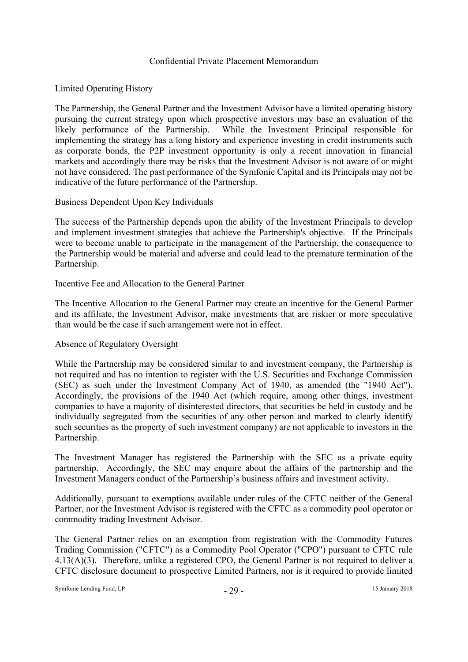# Limited Operating History

The Partnership, the General Partner and the Investment Advisor have a limited operating history pursuing the current strategy upon which prospective investors may base an evaluation of the likely performance of the Partnership. While the Investment Principal responsible for implementing the strategy has a long history and experience investing in credit instruments such as corporate bonds, the P2P investment opportunity is only a recent innovation in financial markets and accordingly there may be risks that the Investment Advisor is not aware of or might not have considered. The past performance of the Symfonie Capital and its Principals may not be indicative of the future performance of the Partnership.

# Business Dependent Upon Key Individuals

The success of the Partnership depends upon the ability of the Investment Principals to develop and implement investment strategies that achieve the Partnership's objective. If the Principals were to become unable to participate in the management of the Partnership, the consequence to the Partnership would be material and adverse and could lead to the premature termination of the Partnership.

# Incentive Fee and Allocation to the General Partner

The Incentive Allocation to the General Partner may create an incentive for the General Partner and its affiliate, the Investment Advisor, make investments that are riskier or more speculative than would be the case if such arrangement were not in effect.

# Absence of Regulatory Oversight

While the Partnership may be considered similar to and investment company, the Partnership is not required and has no intention to register with the U.S. Securities and Exchange Commission (SEC) as such under the Investment Company Act of 1940, as amended (the "1940 Act"). Accordingly, the provisions of the 1940 Act (which require, among other things, investment companies to have a majority of disinterested directors, that securities be held in custody and be individually segregated from the securities of any other person and marked to clearly identify such securities as the property of such investment company) are not applicable to investors in the Partnership.

The Investment Manager has registered the Partnership with the SEC as a private equity partnership. Accordingly, the SEC may enquire about the affairs of the partnership and the Investment Managers conduct of the Partnership's business affairs and investment activity.

Additionally, pursuant to exemptions available under rules of the CFTC neither of the General Partner, nor the Investment Advisor is registered with the CFTC as a commodity pool operator or commodity trading Investment Advisor.

The General Partner relies on an exemption from registration with the Commodity Futures Trading Commission ("CFTC") as a Commodity Pool Operator ("CPO") pursuant to CFTC rule 4.13(A)(3). Therefore, unlike a registered CPO, the General Partner is not required to deliver a CFTC disclosure document to prospective Limited Partners, nor is it required to provide limited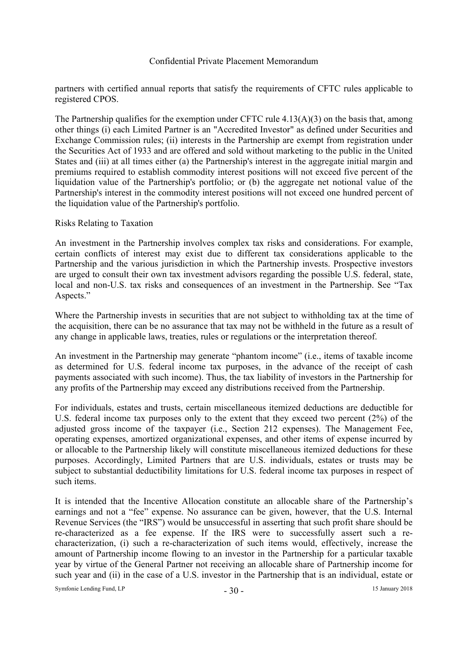partners with certified annual reports that satisfy the requirements of CFTC rules applicable to registered CPOS.

The Partnership qualifies for the exemption under CFTC rule  $4.13(A)(3)$  on the basis that, among other things (i) each Limited Partner is an "Accredited Investor" as defined under Securities and Exchange Commission rules; (ii) interests in the Partnership are exempt from registration under the Securities Act of 1933 and are offered and sold without marketing to the public in the United States and (iii) at all times either (a) the Partnership's interest in the aggregate initial margin and premiums required to establish commodity interest positions will not exceed five percent of the liquidation value of the Partnership's portfolio; or (b) the aggregate net notional value of the Partnership's interest in the commodity interest positions will not exceed one hundred percent of the liquidation value of the Partnership's portfolio.

# Risks Relating to Taxation

An investment in the Partnership involves complex tax risks and considerations. For example, certain conflicts of interest may exist due to different tax considerations applicable to the Partnership and the various jurisdiction in which the Partnership invests. Prospective investors are urged to consult their own tax investment advisors regarding the possible U.S. federal, state, local and non-U.S. tax risks and consequences of an investment in the Partnership. See "Tax Aspects."

Where the Partnership invests in securities that are not subject to withholding tax at the time of the acquisition, there can be no assurance that tax may not be withheld in the future as a result of any change in applicable laws, treaties, rules or regulations or the interpretation thereof.

An investment in the Partnership may generate "phantom income" (i.e., items of taxable income as determined for U.S. federal income tax purposes, in the advance of the receipt of cash payments associated with such income). Thus, the tax liability of investors in the Partnership for any profits of the Partnership may exceed any distributions received from the Partnership.

For individuals, estates and trusts, certain miscellaneous itemized deductions are deductible for U.S. federal income tax purposes only to the extent that they exceed two percent (2%) of the adjusted gross income of the taxpayer (i.e., Section 212 expenses). The Management Fee, operating expenses, amortized organizational expenses, and other items of expense incurred by or allocable to the Partnership likely will constitute miscellaneous itemized deductions for these purposes. Accordingly, Limited Partners that are U.S. individuals, estates or trusts may be subject to substantial deductibility limitations for U.S. federal income tax purposes in respect of such items.

It is intended that the Incentive Allocation constitute an allocable share of the Partnership's earnings and not a "fee" expense. No assurance can be given, however, that the U.S. Internal Revenue Services (the "IRS") would be unsuccessful in asserting that such profit share should be re-characterized as a fee expense. If the IRS were to successfully assert such a recharacterization, (i) such a re-characterization of such items would, effectively, increase the amount of Partnership income flowing to an investor in the Partnership for a particular taxable year by virtue of the General Partner not receiving an allocable share of Partnership income for such year and (ii) in the case of a U.S. investor in the Partnership that is an individual, estate or

Symfonie Lending Fund, LP  $-30 -$  15 January 2018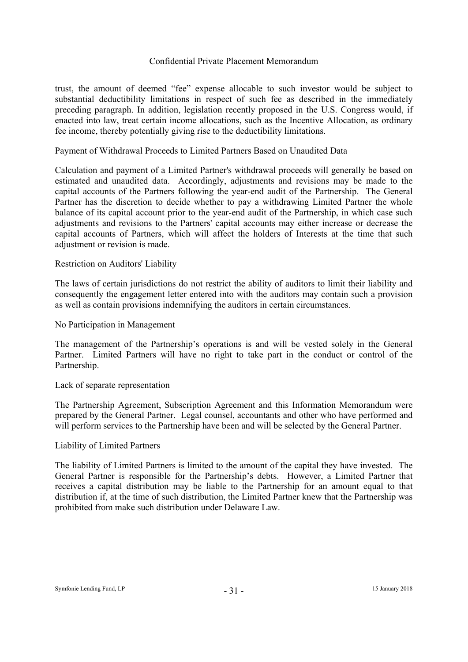trust, the amount of deemed "fee" expense allocable to such investor would be subject to substantial deductibility limitations in respect of such fee as described in the immediately preceding paragraph. In addition, legislation recently proposed in the U.S. Congress would, if enacted into law, treat certain income allocations, such as the Incentive Allocation, as ordinary fee income, thereby potentially giving rise to the deductibility limitations.

# Payment of Withdrawal Proceeds to Limited Partners Based on Unaudited Data

Calculation and payment of a Limited Partner's withdrawal proceeds will generally be based on estimated and unaudited data. Accordingly, adjustments and revisions may be made to the capital accounts of the Partners following the year-end audit of the Partnership. The General Partner has the discretion to decide whether to pay a withdrawing Limited Partner the whole balance of its capital account prior to the year-end audit of the Partnership, in which case such adjustments and revisions to the Partners' capital accounts may either increase or decrease the capital accounts of Partners, which will affect the holders of Interests at the time that such adjustment or revision is made.

# Restriction on Auditors' Liability

The laws of certain jurisdictions do not restrict the ability of auditors to limit their liability and consequently the engagement letter entered into with the auditors may contain such a provision as well as contain provisions indemnifying the auditors in certain circumstances.

No Participation in Management

The management of the Partnership's operations is and will be vested solely in the General Partner. Limited Partners will have no right to take part in the conduct or control of the Partnership.

#### Lack of separate representation

The Partnership Agreement, Subscription Agreement and this Information Memorandum were prepared by the General Partner. Legal counsel, accountants and other who have performed and will perform services to the Partnership have been and will be selected by the General Partner.

#### Liability of Limited Partners

The liability of Limited Partners is limited to the amount of the capital they have invested. The General Partner is responsible for the Partnership's debts. However, a Limited Partner that receives a capital distribution may be liable to the Partnership for an amount equal to that distribution if, at the time of such distribution, the Limited Partner knew that the Partnership was prohibited from make such distribution under Delaware Law.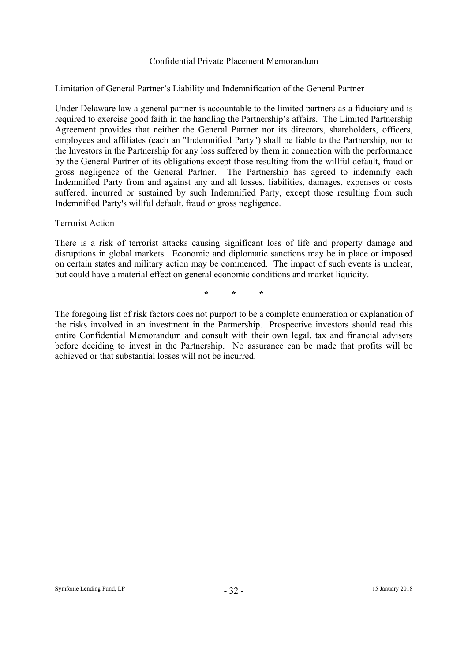# Limitation of General Partner's Liability and Indemnification of the General Partner

Under Delaware law a general partner is accountable to the limited partners as a fiduciary and is required to exercise good faith in the handling the Partnership's affairs. The Limited Partnership Agreement provides that neither the General Partner nor its directors, shareholders, officers, employees and affiliates (each an "Indemnified Party") shall be liable to the Partnership, nor to the Investors in the Partnership for any loss suffered by them in connection with the performance by the General Partner of its obligations except those resulting from the willful default, fraud or gross negligence of the General Partner. The Partnership has agreed to indemnify each Indemnified Party from and against any and all losses, liabilities, damages, expenses or costs suffered, incurred or sustained by such Indemnified Party, except those resulting from such Indemnified Party's willful default, fraud or gross negligence.

# Terrorist Action

There is a risk of terrorist attacks causing significant loss of life and property damage and disruptions in global markets. Economic and diplomatic sanctions may be in place or imposed on certain states and military action may be commenced. The impact of such events is unclear, but could have a material effect on general economic conditions and market liquidity.

**\* \* \*** 

The foregoing list of risk factors does not purport to be a complete enumeration or explanation of the risks involved in an investment in the Partnership. Prospective investors should read this entire Confidential Memorandum and consult with their own legal, tax and financial advisers before deciding to invest in the Partnership. No assurance can be made that profits will be achieved or that substantial losses will not be incurred.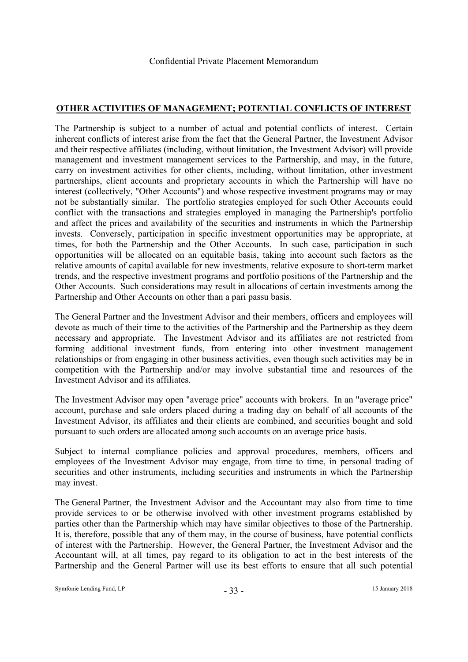# **OTHER ACTIVITIES OF MANAGEMENT; POTENTIAL CONFLICTS OF INTEREST**

The Partnership is subject to a number of actual and potential conflicts of interest. Certain inherent conflicts of interest arise from the fact that the General Partner, the Investment Advisor and their respective affiliates (including, without limitation, the Investment Advisor) will provide management and investment management services to the Partnership, and may, in the future, carry on investment activities for other clients, including, without limitation, other investment partnerships, client accounts and proprietary accounts in which the Partnership will have no interest (collectively, "Other Accounts") and whose respective investment programs may or may not be substantially similar. The portfolio strategies employed for such Other Accounts could conflict with the transactions and strategies employed in managing the Partnership's portfolio and affect the prices and availability of the securities and instruments in which the Partnership invests. Conversely, participation in specific investment opportunities may be appropriate, at times, for both the Partnership and the Other Accounts. In such case, participation in such opportunities will be allocated on an equitable basis, taking into account such factors as the relative amounts of capital available for new investments, relative exposure to short-term market trends, and the respective investment programs and portfolio positions of the Partnership and the Other Accounts. Such considerations may result in allocations of certain investments among the Partnership and Other Accounts on other than a pari passu basis.

The General Partner and the Investment Advisor and their members, officers and employees will devote as much of their time to the activities of the Partnership and the Partnership as they deem necessary and appropriate. The Investment Advisor and its affiliates are not restricted from forming additional investment funds, from entering into other investment management relationships or from engaging in other business activities, even though such activities may be in competition with the Partnership and/or may involve substantial time and resources of the Investment Advisor and its affiliates.

The Investment Advisor may open "average price" accounts with brokers. In an "average price" account, purchase and sale orders placed during a trading day on behalf of all accounts of the Investment Advisor, its affiliates and their clients are combined, and securities bought and sold pursuant to such orders are allocated among such accounts on an average price basis.

Subject to internal compliance policies and approval procedures, members, officers and employees of the Investment Advisor may engage, from time to time, in personal trading of securities and other instruments, including securities and instruments in which the Partnership may invest.

The General Partner, the Investment Advisor and the Accountant may also from time to time provide services to or be otherwise involved with other investment programs established by parties other than the Partnership which may have similar objectives to those of the Partnership. It is, therefore, possible that any of them may, in the course of business, have potential conflicts of interest with the Partnership. However, the General Partner, the Investment Advisor and the Accountant will, at all times, pay regard to its obligation to act in the best interests of the Partnership and the General Partner will use its best efforts to ensure that all such potential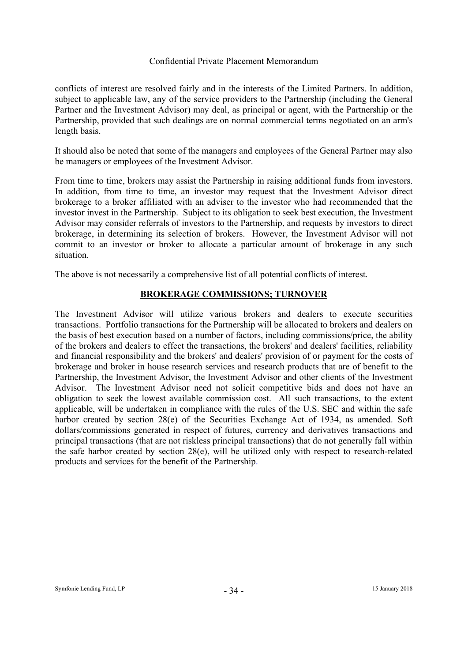conflicts of interest are resolved fairly and in the interests of the Limited Partners. In addition, subject to applicable law, any of the service providers to the Partnership (including the General Partner and the Investment Advisor) may deal, as principal or agent, with the Partnership or the Partnership, provided that such dealings are on normal commercial terms negotiated on an arm's length basis.

It should also be noted that some of the managers and employees of the General Partner may also be managers or employees of the Investment Advisor.

From time to time, brokers may assist the Partnership in raising additional funds from investors. In addition, from time to time, an investor may request that the Investment Advisor direct brokerage to a broker affiliated with an adviser to the investor who had recommended that the investor invest in the Partnership. Subject to its obligation to seek best execution, the Investment Advisor may consider referrals of investors to the Partnership, and requests by investors to direct brokerage, in determining its selection of brokers. However, the Investment Advisor will not commit to an investor or broker to allocate a particular amount of brokerage in any such situation.

The above is not necessarily a comprehensive list of all potential conflicts of interest.

# **BROKERAGE COMMISSIONS; TURNOVER**

The Investment Advisor will utilize various brokers and dealers to execute securities transactions. Portfolio transactions for the Partnership will be allocated to brokers and dealers on the basis of best execution based on a number of factors, including commissions/price, the ability of the brokers and dealers to effect the transactions, the brokers' and dealers' facilities, reliability and financial responsibility and the brokers' and dealers' provision of or payment for the costs of brokerage and broker in house research services and research products that are of benefit to the Partnership, the Investment Advisor, the Investment Advisor and other clients of the Investment Advisor. The Investment Advisor need not solicit competitive bids and does not have an obligation to seek the lowest available commission cost. All such transactions, to the extent applicable, will be undertaken in compliance with the rules of the U.S. SEC and within the safe harbor created by section 28(e) of the Securities Exchange Act of 1934, as amended. Soft dollars/commissions generated in respect of futures, currency and derivatives transactions and principal transactions (that are not riskless principal transactions) that do not generally fall within the safe harbor created by section 28(e), will be utilized only with respect to research-related products and services for the benefit of the Partnership.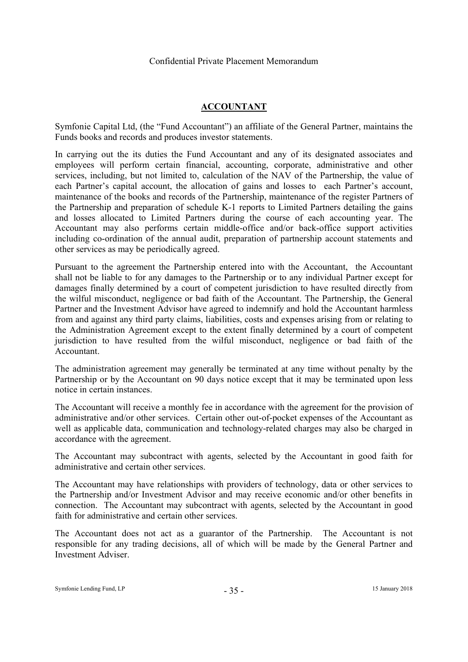# **ACCOUNTANT**

Symfonie Capital Ltd, (the "Fund Accountant") an affiliate of the General Partner, maintains the Funds books and records and produces investor statements.

In carrying out the its duties the Fund Accountant and any of its designated associates and employees will perform certain financial, accounting, corporate, administrative and other services, including, but not limited to, calculation of the NAV of the Partnership, the value of each Partner's capital account, the allocation of gains and losses to each Partner's account, maintenance of the books and records of the Partnership, maintenance of the register Partners of the Partnership and preparation of schedule K-1 reports to Limited Partners detailing the gains and losses allocated to Limited Partners during the course of each accounting year. The Accountant may also performs certain middle-office and/or back-office support activities including co-ordination of the annual audit, preparation of partnership account statements and other services as may be periodically agreed.

Pursuant to the agreement the Partnership entered into with the Accountant, the Accountant shall not be liable to for any damages to the Partnership or to any individual Partner except for damages finally determined by a court of competent jurisdiction to have resulted directly from the wilful misconduct, negligence or bad faith of the Accountant. The Partnership, the General Partner and the Investment Advisor have agreed to indemnify and hold the Accountant harmless from and against any third party claims, liabilities, costs and expenses arising from or relating to the Administration Agreement except to the extent finally determined by a court of competent jurisdiction to have resulted from the wilful misconduct, negligence or bad faith of the Accountant.

The administration agreement may generally be terminated at any time without penalty by the Partnership or by the Accountant on 90 days notice except that it may be terminated upon less notice in certain instances.

The Accountant will receive a monthly fee in accordance with the agreement for the provision of administrative and/or other services. Certain other out-of-pocket expenses of the Accountant as well as applicable data, communication and technology-related charges may also be charged in accordance with the agreement.

The Accountant may subcontract with agents, selected by the Accountant in good faith for administrative and certain other services.

The Accountant may have relationships with providers of technology, data or other services to the Partnership and/or Investment Advisor and may receive economic and/or other benefits in connection. The Accountant may subcontract with agents, selected by the Accountant in good faith for administrative and certain other services.

The Accountant does not act as a guarantor of the Partnership. The Accountant is not responsible for any trading decisions, all of which will be made by the General Partner and Investment Adviser.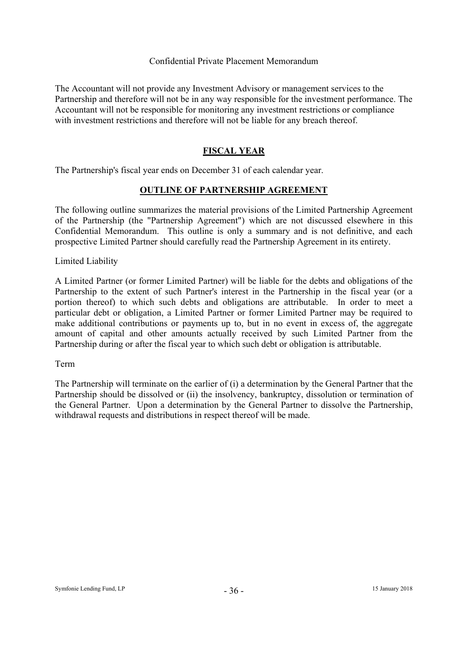The Accountant will not provide any Investment Advisory or management services to the Partnership and therefore will not be in any way responsible for the investment performance. The Accountant will not be responsible for monitoring any investment restrictions or compliance with investment restrictions and therefore will not be liable for any breach thereof.

# **FISCAL YEAR**

The Partnership's fiscal year ends on December 31 of each calendar year.

# **OUTLINE OF PARTNERSHIP AGREEMENT**

The following outline summarizes the material provisions of the Limited Partnership Agreement of the Partnership (the "Partnership Agreement") which are not discussed elsewhere in this Confidential Memorandum. This outline is only a summary and is not definitive, and each prospective Limited Partner should carefully read the Partnership Agreement in its entirety.

Limited Liability

A Limited Partner (or former Limited Partner) will be liable for the debts and obligations of the Partnership to the extent of such Partner's interest in the Partnership in the fiscal year (or a portion thereof) to which such debts and obligations are attributable. In order to meet a particular debt or obligation, a Limited Partner or former Limited Partner may be required to make additional contributions or payments up to, but in no event in excess of, the aggregate amount of capital and other amounts actually received by such Limited Partner from the Partnership during or after the fiscal year to which such debt or obligation is attributable.

Term

The Partnership will terminate on the earlier of (i) a determination by the General Partner that the Partnership should be dissolved or (ii) the insolvency, bankruptcy, dissolution or termination of the General Partner. Upon a determination by the General Partner to dissolve the Partnership, withdrawal requests and distributions in respect thereof will be made.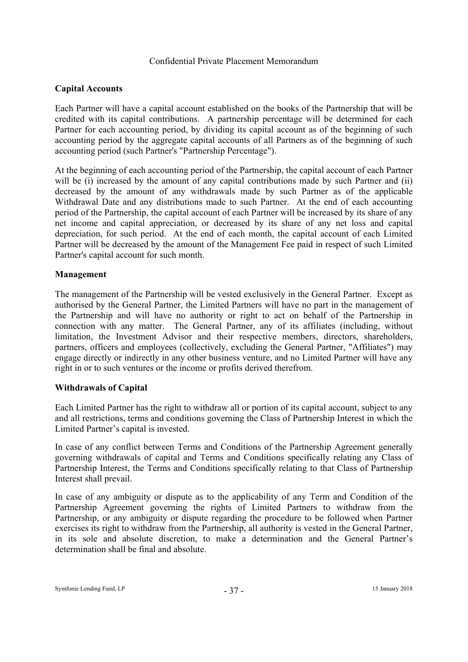# **Capital Accounts**

Each Partner will have a capital account established on the books of the Partnership that will be credited with its capital contributions. A partnership percentage will be determined for each Partner for each accounting period, by dividing its capital account as of the beginning of such accounting period by the aggregate capital accounts of all Partners as of the beginning of such accounting period (such Partner's "Partnership Percentage").

At the beginning of each accounting period of the Partnership, the capital account of each Partner will be (i) increased by the amount of any capital contributions made by such Partner and (ii) decreased by the amount of any withdrawals made by such Partner as of the applicable Withdrawal Date and any distributions made to such Partner. At the end of each accounting period of the Partnership, the capital account of each Partner will be increased by its share of any net income and capital appreciation, or decreased by its share of any net loss and capital depreciation, for such period. At the end of each month, the capital account of each Limited Partner will be decreased by the amount of the Management Fee paid in respect of such Limited Partner's capital account for such month.

# **Management**

The management of the Partnership will be vested exclusively in the General Partner. Except as authorised by the General Partner, the Limited Partners will have no part in the management of the Partnership and will have no authority or right to act on behalf of the Partnership in connection with any matter. The General Partner, any of its affiliates (including, without limitation, the Investment Advisor and their respective members, directors, shareholders, partners, officers and employees (collectively, excluding the General Partner, "Affiliates") may engage directly or indirectly in any other business venture, and no Limited Partner will have any right in or to such ventures or the income or profits derived therefrom.

# **Withdrawals of Capital**

Each Limited Partner has the right to withdraw all or portion of its capital account, subject to any and all restrictions, terms and conditions governing the Class of Partnership Interest in which the Limited Partner's capital is invested.

In case of any conflict between Terms and Conditions of the Partnership Agreement generally governing withdrawals of capital and Terms and Conditions specifically relating any Class of Partnership Interest, the Terms and Conditions specifically relating to that Class of Partnership Interest shall prevail.

In case of any ambiguity or dispute as to the applicability of any Term and Condition of the Partnership Agreement governing the rights of Limited Partners to withdraw from the Partnership, or any ambiguity or dispute regarding the procedure to be followed when Partner exercises its right to withdraw from the Partnership, all authority is vested in the General Partner, in its sole and absolute discretion, to make a determination and the General Partner's determination shall be final and absolute.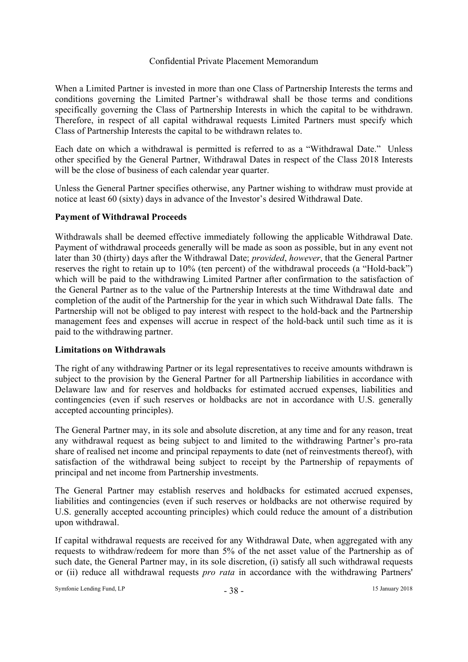When a Limited Partner is invested in more than one Class of Partnership Interests the terms and conditions governing the Limited Partner's withdrawal shall be those terms and conditions specifically governing the Class of Partnership Interests in which the capital to be withdrawn. Therefore, in respect of all capital withdrawal requests Limited Partners must specify which Class of Partnership Interests the capital to be withdrawn relates to.

Each date on which a withdrawal is permitted is referred to as a "Withdrawal Date." Unless other specified by the General Partner, Withdrawal Dates in respect of the Class 2018 Interests will be the close of business of each calendar year quarter.

Unless the General Partner specifies otherwise, any Partner wishing to withdraw must provide at notice at least 60 (sixty) days in advance of the Investor's desired Withdrawal Date.

# **Payment of Withdrawal Proceeds**

Withdrawals shall be deemed effective immediately following the applicable Withdrawal Date. Payment of withdrawal proceeds generally will be made as soon as possible, but in any event not later than 30 (thirty) days after the Withdrawal Date; *provided*, *however*, that the General Partner reserves the right to retain up to 10% (ten percent) of the withdrawal proceeds (a "Hold-back") which will be paid to the withdrawing Limited Partner after confirmation to the satisfaction of the General Partner as to the value of the Partnership Interests at the time Withdrawal date and completion of the audit of the Partnership for the year in which such Withdrawal Date falls. The Partnership will not be obliged to pay interest with respect to the hold-back and the Partnership management fees and expenses will accrue in respect of the hold-back until such time as it is paid to the withdrawing partner.

#### **Limitations on Withdrawals**

The right of any withdrawing Partner or its legal representatives to receive amounts withdrawn is subject to the provision by the General Partner for all Partnership liabilities in accordance with Delaware law and for reserves and holdbacks for estimated accrued expenses, liabilities and contingencies (even if such reserves or holdbacks are not in accordance with U.S. generally accepted accounting principles).

The General Partner may, in its sole and absolute discretion, at any time and for any reason, treat any withdrawal request as being subject to and limited to the withdrawing Partner's pro-rata share of realised net income and principal repayments to date (net of reinvestments thereof), with satisfaction of the withdrawal being subject to receipt by the Partnership of repayments of principal and net income from Partnership investments.

The General Partner may establish reserves and holdbacks for estimated accrued expenses, liabilities and contingencies (even if such reserves or holdbacks are not otherwise required by U.S. generally accepted accounting principles) which could reduce the amount of a distribution upon withdrawal.

If capital withdrawal requests are received for any Withdrawal Date, when aggregated with any requests to withdraw/redeem for more than 5% of the net asset value of the Partnership as of such date, the General Partner may, in its sole discretion, (i) satisfy all such withdrawal requests or (ii) reduce all withdrawal requests *pro rata* in accordance with the withdrawing Partners'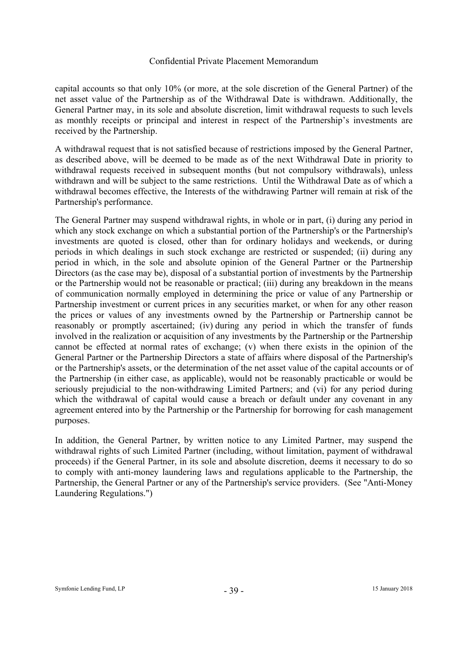capital accounts so that only 10% (or more, at the sole discretion of the General Partner) of the net asset value of the Partnership as of the Withdrawal Date is withdrawn. Additionally, the General Partner may, in its sole and absolute discretion, limit withdrawal requests to such levels as monthly receipts or principal and interest in respect of the Partnership's investments are received by the Partnership.

A withdrawal request that is not satisfied because of restrictions imposed by the General Partner, as described above, will be deemed to be made as of the next Withdrawal Date in priority to withdrawal requests received in subsequent months (but not compulsory withdrawals), unless withdrawn and will be subject to the same restrictions. Until the Withdrawal Date as of which a withdrawal becomes effective, the Interests of the withdrawing Partner will remain at risk of the Partnership's performance.

The General Partner may suspend withdrawal rights, in whole or in part, (i) during any period in which any stock exchange on which a substantial portion of the Partnership's or the Partnership's investments are quoted is closed, other than for ordinary holidays and weekends, or during periods in which dealings in such stock exchange are restricted or suspended; (ii) during any period in which, in the sole and absolute opinion of the General Partner or the Partnership Directors (as the case may be), disposal of a substantial portion of investments by the Partnership or the Partnership would not be reasonable or practical; (iii) during any breakdown in the means of communication normally employed in determining the price or value of any Partnership or Partnership investment or current prices in any securities market, or when for any other reason the prices or values of any investments owned by the Partnership or Partnership cannot be reasonably or promptly ascertained; (iv) during any period in which the transfer of funds involved in the realization or acquisition of any investments by the Partnership or the Partnership cannot be effected at normal rates of exchange; (v) when there exists in the opinion of the General Partner or the Partnership Directors a state of affairs where disposal of the Partnership's or the Partnership's assets, or the determination of the net asset value of the capital accounts or of the Partnership (in either case, as applicable), would not be reasonably practicable or would be seriously prejudicial to the non-withdrawing Limited Partners; and (vi) for any period during which the withdrawal of capital would cause a breach or default under any covenant in any agreement entered into by the Partnership or the Partnership for borrowing for cash management purposes.

In addition, the General Partner, by written notice to any Limited Partner, may suspend the withdrawal rights of such Limited Partner (including, without limitation, payment of withdrawal proceeds) if the General Partner, in its sole and absolute discretion, deems it necessary to do so to comply with anti-money laundering laws and regulations applicable to the Partnership, the Partnership, the General Partner or any of the Partnership's service providers. (See "Anti-Money Laundering Regulations.")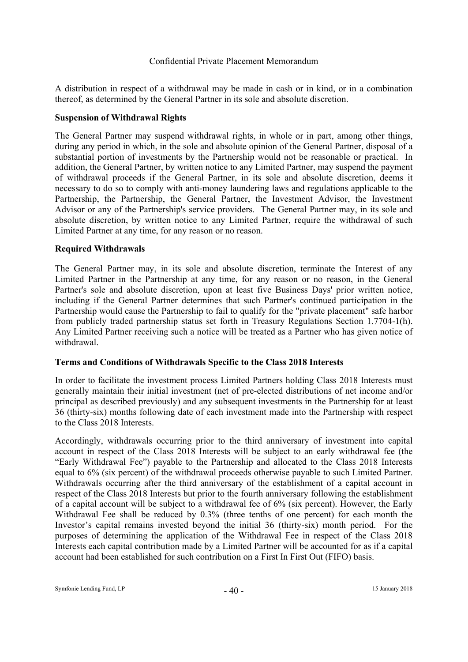A distribution in respect of a withdrawal may be made in cash or in kind, or in a combination thereof, as determined by the General Partner in its sole and absolute discretion.

# **Suspension of Withdrawal Rights**

The General Partner may suspend withdrawal rights, in whole or in part, among other things, during any period in which, in the sole and absolute opinion of the General Partner, disposal of a substantial portion of investments by the Partnership would not be reasonable or practical. In addition, the General Partner, by written notice to any Limited Partner, may suspend the payment of withdrawal proceeds if the General Partner, in its sole and absolute discretion, deems it necessary to do so to comply with anti-money laundering laws and regulations applicable to the Partnership, the Partnership, the General Partner, the Investment Advisor, the Investment Advisor or any of the Partnership's service providers. The General Partner may, in its sole and absolute discretion, by written notice to any Limited Partner, require the withdrawal of such Limited Partner at any time, for any reason or no reason.

# **Required Withdrawals**

The General Partner may, in its sole and absolute discretion, terminate the Interest of any Limited Partner in the Partnership at any time, for any reason or no reason, in the General Partner's sole and absolute discretion, upon at least five Business Days' prior written notice, including if the General Partner determines that such Partner's continued participation in the Partnership would cause the Partnership to fail to qualify for the "private placement" safe harbor from publicly traded partnership status set forth in Treasury Regulations Section 1.7704-1(h). Any Limited Partner receiving such a notice will be treated as a Partner who has given notice of withdrawal.

# **Terms and Conditions of Withdrawals Specific to the Class 2018 Interests**

In order to facilitate the investment process Limited Partners holding Class 2018 Interests must generally maintain their initial investment (net of pre-elected distributions of net income and/or principal as described previously) and any subsequent investments in the Partnership for at least 36 (thirty-six) months following date of each investment made into the Partnership with respect to the Class 2018 Interests.

Accordingly, withdrawals occurring prior to the third anniversary of investment into capital account in respect of the Class 2018 Interests will be subject to an early withdrawal fee (the "Early Withdrawal Fee") payable to the Partnership and allocated to the Class 2018 Interests equal to 6% (six percent) of the withdrawal proceeds otherwise payable to such Limited Partner. Withdrawals occurring after the third anniversary of the establishment of a capital account in respect of the Class 2018 Interests but prior to the fourth anniversary following the establishment of a capital account will be subject to a withdrawal fee of 6% (six percent). However, the Early Withdrawal Fee shall be reduced by 0.3% (three tenths of one percent) for each month the Investor's capital remains invested beyond the initial 36 (thirty-six) month period. For the purposes of determining the application of the Withdrawal Fee in respect of the Class 2018 Interests each capital contribution made by a Limited Partner will be accounted for as if a capital account had been established for such contribution on a First In First Out (FIFO) basis.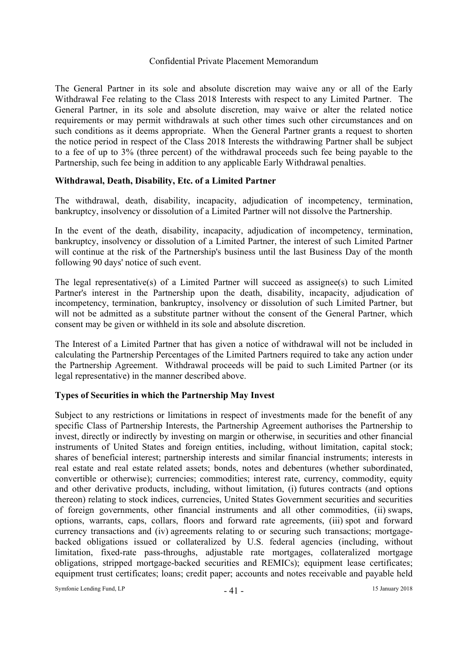The General Partner in its sole and absolute discretion may waive any or all of the Early Withdrawal Fee relating to the Class 2018 Interests with respect to any Limited Partner. The General Partner, in its sole and absolute discretion, may waive or alter the related notice requirements or may permit withdrawals at such other times such other circumstances and on such conditions as it deems appropriate. When the General Partner grants a request to shorten the notice period in respect of the Class 2018 Interests the withdrawing Partner shall be subject to a fee of up to 3% (three percent) of the withdrawal proceeds such fee being payable to the Partnership, such fee being in addition to any applicable Early Withdrawal penalties.

# **Withdrawal, Death, Disability, Etc. of a Limited Partner**

The withdrawal, death, disability, incapacity, adjudication of incompetency, termination, bankruptcy, insolvency or dissolution of a Limited Partner will not dissolve the Partnership.

In the event of the death, disability, incapacity, adjudication of incompetency, termination, bankruptcy, insolvency or dissolution of a Limited Partner, the interest of such Limited Partner will continue at the risk of the Partnership's business until the last Business Day of the month following 90 days' notice of such event.

The legal representative(s) of a Limited Partner will succeed as assignee(s) to such Limited Partner's interest in the Partnership upon the death, disability, incapacity, adjudication of incompetency, termination, bankruptcy, insolvency or dissolution of such Limited Partner, but will not be admitted as a substitute partner without the consent of the General Partner, which consent may be given or withheld in its sole and absolute discretion.

The Interest of a Limited Partner that has given a notice of withdrawal will not be included in calculating the Partnership Percentages of the Limited Partners required to take any action under the Partnership Agreement. Withdrawal proceeds will be paid to such Limited Partner (or its legal representative) in the manner described above.

# **Types of Securities in which the Partnership May Invest**

Subject to any restrictions or limitations in respect of investments made for the benefit of any specific Class of Partnership Interests, the Partnership Agreement authorises the Partnership to invest, directly or indirectly by investing on margin or otherwise, in securities and other financial instruments of United States and foreign entities, including, without limitation, capital stock; shares of beneficial interest; partnership interests and similar financial instruments; interests in real estate and real estate related assets; bonds, notes and debentures (whether subordinated, convertible or otherwise); currencies; commodities; interest rate, currency, commodity, equity and other derivative products, including, without limitation, (i) futures contracts (and options thereon) relating to stock indices, currencies, United States Government securities and securities of foreign governments, other financial instruments and all other commodities, (ii) swaps, options, warrants, caps, collars, floors and forward rate agreements, (iii) spot and forward currency transactions and (iv) agreements relating to or securing such transactions; mortgagebacked obligations issued or collateralized by U.S. federal agencies (including, without limitation, fixed-rate pass-throughs, adjustable rate mortgages, collateralized mortgage obligations, stripped mortgage-backed securities and REMICs); equipment lease certificates; equipment trust certificates; loans; credit paper; accounts and notes receivable and payable held

Symfonie Lending Fund, LP  $-41 -$  15 January 2018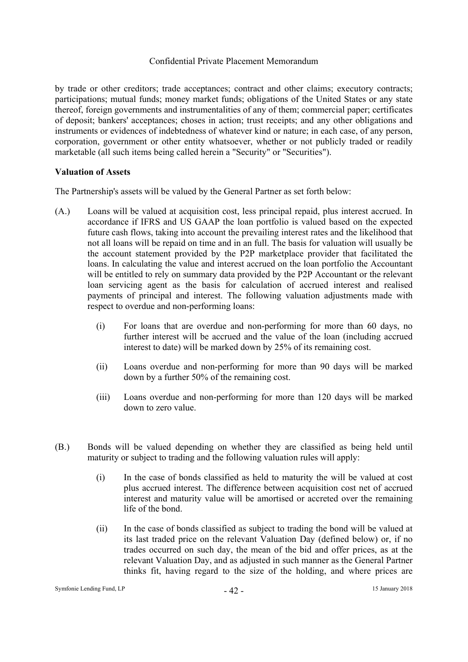by trade or other creditors; trade acceptances; contract and other claims; executory contracts; participations; mutual funds; money market funds; obligations of the United States or any state thereof, foreign governments and instrumentalities of any of them; commercial paper; certificates of deposit; bankers' acceptances; choses in action; trust receipts; and any other obligations and instruments or evidences of indebtedness of whatever kind or nature; in each case, of any person, corporation, government or other entity whatsoever, whether or not publicly traded or readily marketable (all such items being called herein a "Security" or "Securities").

# **Valuation of Assets**

The Partnership's assets will be valued by the General Partner as set forth below:

- (A.) Loans will be valued at acquisition cost, less principal repaid, plus interest accrued. In accordance if IFRS and US GAAP the loan portfolio is valued based on the expected future cash flows, taking into account the prevailing interest rates and the likelihood that not all loans will be repaid on time and in an full. The basis for valuation will usually be the account statement provided by the P2P marketplace provider that facilitated the loans. In calculating the value and interest accrued on the loan portfolio the Accountant will be entitled to rely on summary data provided by the P2P Accountant or the relevant loan servicing agent as the basis for calculation of accrued interest and realised payments of principal and interest. The following valuation adjustments made with respect to overdue and non-performing loans:
	- (i) For loans that are overdue and non-performing for more than 60 days, no further interest will be accrued and the value of the loan (including accrued interest to date) will be marked down by 25% of its remaining cost.
	- (ii) Loans overdue and non-performing for more than 90 days will be marked down by a further 50% of the remaining cost.
	- (iii) Loans overdue and non-performing for more than 120 days will be marked down to zero value.
- (B.) Bonds will be valued depending on whether they are classified as being held until maturity or subject to trading and the following valuation rules will apply:
	- (i) In the case of bonds classified as held to maturity the will be valued at cost plus accrued interest. The difference between acquisition cost net of accrued interest and maturity value will be amortised or accreted over the remaining life of the bond.
	- (ii) In the case of bonds classified as subject to trading the bond will be valued at its last traded price on the relevant Valuation Day (defined below) or, if no trades occurred on such day, the mean of the bid and offer prices, as at the relevant Valuation Day, and as adjusted in such manner as the General Partner thinks fit, having regard to the size of the holding, and where prices are

#### Symfonie Lending Fund, LP  $-42 -$  15 January 2018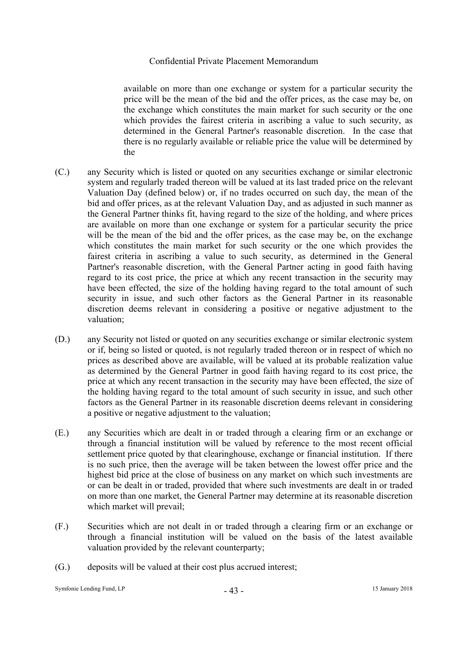available on more than one exchange or system for a particular security the price will be the mean of the bid and the offer prices, as the case may be, on the exchange which constitutes the main market for such security or the one which provides the fairest criteria in ascribing a value to such security, as determined in the General Partner's reasonable discretion. In the case that there is no regularly available or reliable price the value will be determined by the

- (C.) any Security which is listed or quoted on any securities exchange or similar electronic system and regularly traded thereon will be valued at its last traded price on the relevant Valuation Day (defined below) or, if no trades occurred on such day, the mean of the bid and offer prices, as at the relevant Valuation Day, and as adjusted in such manner as the General Partner thinks fit, having regard to the size of the holding, and where prices are available on more than one exchange or system for a particular security the price will be the mean of the bid and the offer prices, as the case may be, on the exchange which constitutes the main market for such security or the one which provides the fairest criteria in ascribing a value to such security, as determined in the General Partner's reasonable discretion, with the General Partner acting in good faith having regard to its cost price, the price at which any recent transaction in the security may have been effected, the size of the holding having regard to the total amount of such security in issue, and such other factors as the General Partner in its reasonable discretion deems relevant in considering a positive or negative adjustment to the valuation;
- (D.) any Security not listed or quoted on any securities exchange or similar electronic system or if, being so listed or quoted, is not regularly traded thereon or in respect of which no prices as described above are available, will be valued at its probable realization value as determined by the General Partner in good faith having regard to its cost price, the price at which any recent transaction in the security may have been effected, the size of the holding having regard to the total amount of such security in issue, and such other factors as the General Partner in its reasonable discretion deems relevant in considering a positive or negative adjustment to the valuation;
- (E.) any Securities which are dealt in or traded through a clearing firm or an exchange or through a financial institution will be valued by reference to the most recent official settlement price quoted by that clearinghouse, exchange or financial institution. If there is no such price, then the average will be taken between the lowest offer price and the highest bid price at the close of business on any market on which such investments are or can be dealt in or traded, provided that where such investments are dealt in or traded on more than one market, the General Partner may determine at its reasonable discretion which market will prevail;
- (F.) Securities which are not dealt in or traded through a clearing firm or an exchange or through a financial institution will be valued on the basis of the latest available valuation provided by the relevant counterparty;
- (G.) deposits will be valued at their cost plus accrued interest;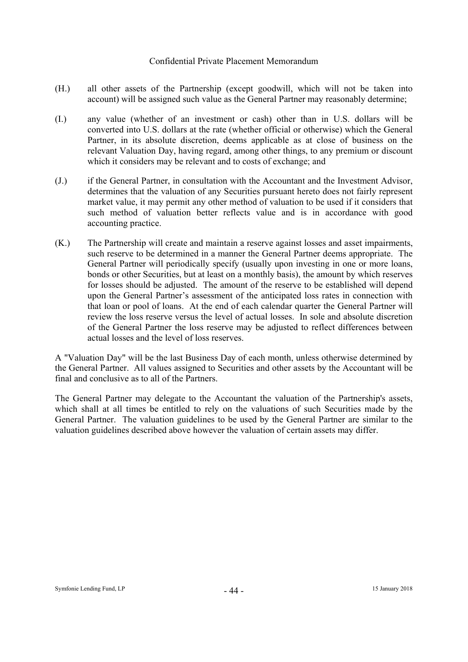- (H.) all other assets of the Partnership (except goodwill, which will not be taken into account) will be assigned such value as the General Partner may reasonably determine;
- (I.) any value (whether of an investment or cash) other than in U.S. dollars will be converted into U.S. dollars at the rate (whether official or otherwise) which the General Partner, in its absolute discretion, deems applicable as at close of business on the relevant Valuation Day, having regard, among other things, to any premium or discount which it considers may be relevant and to costs of exchange; and
- (J.) if the General Partner, in consultation with the Accountant and the Investment Advisor, determines that the valuation of any Securities pursuant hereto does not fairly represent market value, it may permit any other method of valuation to be used if it considers that such method of valuation better reflects value and is in accordance with good accounting practice.
- (K.) The Partnership will create and maintain a reserve against losses and asset impairments, such reserve to be determined in a manner the General Partner deems appropriate. The General Partner will periodically specify (usually upon investing in one or more loans, bonds or other Securities, but at least on a monthly basis), the amount by which reserves for losses should be adjusted. The amount of the reserve to be established will depend upon the General Partner's assessment of the anticipated loss rates in connection with that loan or pool of loans. At the end of each calendar quarter the General Partner will review the loss reserve versus the level of actual losses. In sole and absolute discretion of the General Partner the loss reserve may be adjusted to reflect differences between actual losses and the level of loss reserves.

A "Valuation Day" will be the last Business Day of each month, unless otherwise determined by the General Partner. All values assigned to Securities and other assets by the Accountant will be final and conclusive as to all of the Partners.

The General Partner may delegate to the Accountant the valuation of the Partnership's assets, which shall at all times be entitled to rely on the valuations of such Securities made by the General Partner. The valuation guidelines to be used by the General Partner are similar to the valuation guidelines described above however the valuation of certain assets may differ.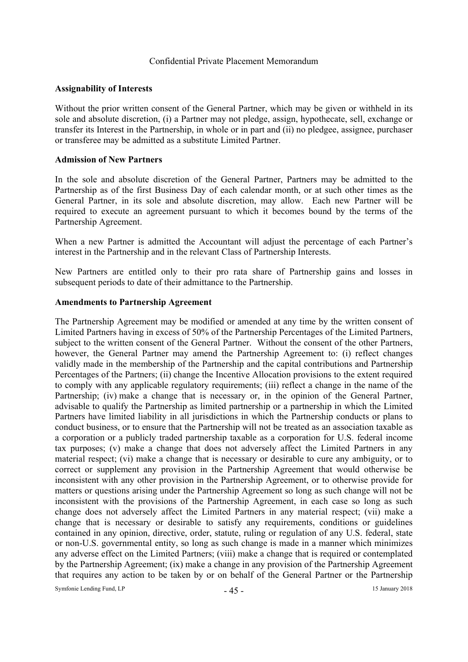#### **Assignability of Interests**

Without the prior written consent of the General Partner, which may be given or withheld in its sole and absolute discretion, (i) a Partner may not pledge, assign, hypothecate, sell, exchange or transfer its Interest in the Partnership, in whole or in part and (ii) no pledgee, assignee, purchaser or transferee may be admitted as a substitute Limited Partner.

#### **Admission of New Partners**

In the sole and absolute discretion of the General Partner, Partners may be admitted to the Partnership as of the first Business Day of each calendar month, or at such other times as the General Partner, in its sole and absolute discretion, may allow. Each new Partner will be required to execute an agreement pursuant to which it becomes bound by the terms of the Partnership Agreement.

When a new Partner is admitted the Accountant will adjust the percentage of each Partner's interest in the Partnership and in the relevant Class of Partnership Interests.

New Partners are entitled only to their pro rata share of Partnership gains and losses in subsequent periods to date of their admittance to the Partnership.

#### **Amendments to Partnership Agreement**

The Partnership Agreement may be modified or amended at any time by the written consent of Limited Partners having in excess of 50% of the Partnership Percentages of the Limited Partners, subject to the written consent of the General Partner. Without the consent of the other Partners, however, the General Partner may amend the Partnership Agreement to: (i) reflect changes validly made in the membership of the Partnership and the capital contributions and Partnership Percentages of the Partners; (ii) change the Incentive Allocation provisions to the extent required to comply with any applicable regulatory requirements; (iii) reflect a change in the name of the Partnership; (iv) make a change that is necessary or, in the opinion of the General Partner, advisable to qualify the Partnership as limited partnership or a partnership in which the Limited Partners have limited liability in all jurisdictions in which the Partnership conducts or plans to conduct business, or to ensure that the Partnership will not be treated as an association taxable as a corporation or a publicly traded partnership taxable as a corporation for U.S. federal income tax purposes; (v) make a change that does not adversely affect the Limited Partners in any material respect; (vi) make a change that is necessary or desirable to cure any ambiguity, or to correct or supplement any provision in the Partnership Agreement that would otherwise be inconsistent with any other provision in the Partnership Agreement, or to otherwise provide for matters or questions arising under the Partnership Agreement so long as such change will not be inconsistent with the provisions of the Partnership Agreement, in each case so long as such change does not adversely affect the Limited Partners in any material respect; (vii) make a change that is necessary or desirable to satisfy any requirements, conditions or guidelines contained in any opinion, directive, order, statute, ruling or regulation of any U.S. federal, state or non-U.S. governmental entity, so long as such change is made in a manner which minimizes any adverse effect on the Limited Partners; (viii) make a change that is required or contemplated by the Partnership Agreement; (ix) make a change in any provision of the Partnership Agreement that requires any action to be taken by or on behalf of the General Partner or the Partnership

Symfonie Lending Fund, LP  $-45 -$  15 January 2018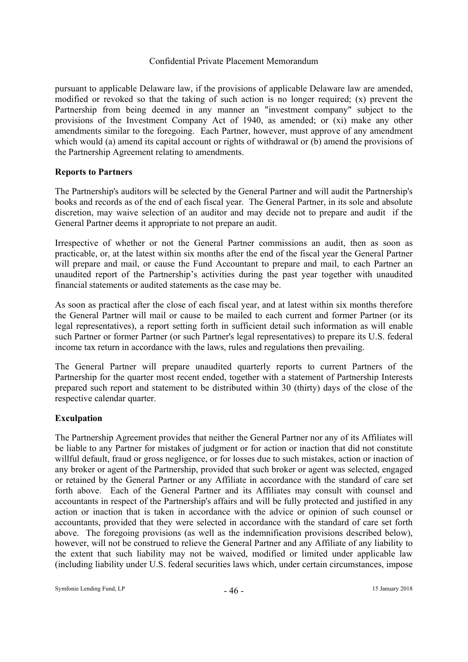pursuant to applicable Delaware law, if the provisions of applicable Delaware law are amended, modified or revoked so that the taking of such action is no longer required; (x) prevent the Partnership from being deemed in any manner an "investment company" subject to the provisions of the Investment Company Act of 1940, as amended; or (xi) make any other amendments similar to the foregoing. Each Partner, however, must approve of any amendment which would (a) amend its capital account or rights of withdrawal or (b) amend the provisions of the Partnership Agreement relating to amendments.

# **Reports to Partners**

The Partnership's auditors will be selected by the General Partner and will audit the Partnership's books and records as of the end of each fiscal year. The General Partner, in its sole and absolute discretion, may waive selection of an auditor and may decide not to prepare and audit if the General Partner deems it appropriate to not prepare an audit.

Irrespective of whether or not the General Partner commissions an audit, then as soon as practicable, or, at the latest within six months after the end of the fiscal year the General Partner will prepare and mail, or cause the Fund Accountant to prepare and mail, to each Partner an unaudited report of the Partnership's activities during the past year together with unaudited financial statements or audited statements as the case may be.

As soon as practical after the close of each fiscal year, and at latest within six months therefore the General Partner will mail or cause to be mailed to each current and former Partner (or its legal representatives), a report setting forth in sufficient detail such information as will enable such Partner or former Partner (or such Partner's legal representatives) to prepare its U.S. federal income tax return in accordance with the laws, rules and regulations then prevailing.

The General Partner will prepare unaudited quarterly reports to current Partners of the Partnership for the quarter most recent ended, together with a statement of Partnership Interests prepared such report and statement to be distributed within 30 (thirty) days of the close of the respective calendar quarter.

# **Exculpation**

The Partnership Agreement provides that neither the General Partner nor any of its Affiliates will be liable to any Partner for mistakes of judgment or for action or inaction that did not constitute willful default, fraud or gross negligence, or for losses due to such mistakes, action or inaction of any broker or agent of the Partnership, provided that such broker or agent was selected, engaged or retained by the General Partner or any Affiliate in accordance with the standard of care set forth above. Each of the General Partner and its Affiliates may consult with counsel and accountants in respect of the Partnership's affairs and will be fully protected and justified in any action or inaction that is taken in accordance with the advice or opinion of such counsel or accountants, provided that they were selected in accordance with the standard of care set forth above. The foregoing provisions (as well as the indemnification provisions described below), however, will not be construed to relieve the General Partner and any Affiliate of any liability to the extent that such liability may not be waived, modified or limited under applicable law (including liability under U.S. federal securities laws which, under certain circumstances, impose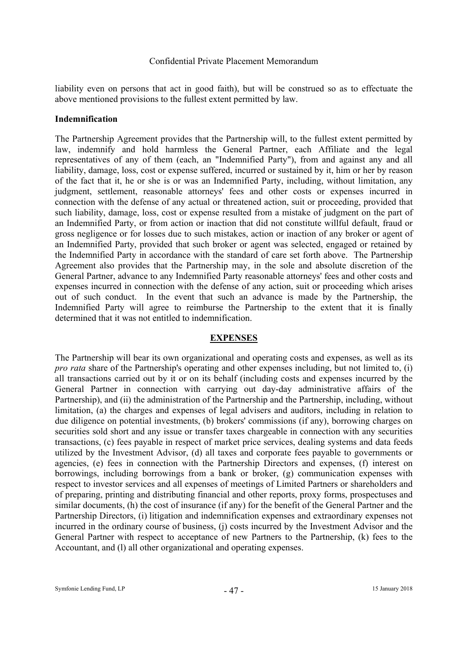liability even on persons that act in good faith), but will be construed so as to effectuate the above mentioned provisions to the fullest extent permitted by law.

#### **Indemnification**

The Partnership Agreement provides that the Partnership will, to the fullest extent permitted by law, indemnify and hold harmless the General Partner, each Affiliate and the legal representatives of any of them (each, an "Indemnified Party"), from and against any and all liability, damage, loss, cost or expense suffered, incurred or sustained by it, him or her by reason of the fact that it, he or she is or was an Indemnified Party, including, without limitation, any judgment, settlement, reasonable attorneys' fees and other costs or expenses incurred in connection with the defense of any actual or threatened action, suit or proceeding, provided that such liability, damage, loss, cost or expense resulted from a mistake of judgment on the part of an Indemnified Party, or from action or inaction that did not constitute willful default, fraud or gross negligence or for losses due to such mistakes, action or inaction of any broker or agent of an Indemnified Party, provided that such broker or agent was selected, engaged or retained by the Indemnified Party in accordance with the standard of care set forth above. The Partnership Agreement also provides that the Partnership may, in the sole and absolute discretion of the General Partner, advance to any Indemnified Party reasonable attorneys' fees and other costs and expenses incurred in connection with the defense of any action, suit or proceeding which arises out of such conduct. In the event that such an advance is made by the Partnership, the Indemnified Party will agree to reimburse the Partnership to the extent that it is finally determined that it was not entitled to indemnification.

#### **EXPENSES**

The Partnership will bear its own organizational and operating costs and expenses, as well as its *pro rata* share of the Partnership's operating and other expenses including, but not limited to, (i) all transactions carried out by it or on its behalf (including costs and expenses incurred by the General Partner in connection with carrying out day-day administrative affairs of the Partnership), and (ii) the administration of the Partnership and the Partnership, including, without limitation, (a) the charges and expenses of legal advisers and auditors, including in relation to due diligence on potential investments, (b) brokers' commissions (if any), borrowing charges on securities sold short and any issue or transfer taxes chargeable in connection with any securities transactions, (c) fees payable in respect of market price services, dealing systems and data feeds utilized by the Investment Advisor, (d) all taxes and corporate fees payable to governments or agencies, (e) fees in connection with the Partnership Directors and expenses, (f) interest on borrowings, including borrowings from a bank or broker, (g) communication expenses with respect to investor services and all expenses of meetings of Limited Partners or shareholders and of preparing, printing and distributing financial and other reports, proxy forms, prospectuses and similar documents, (h) the cost of insurance (if any) for the benefit of the General Partner and the Partnership Directors, (i) litigation and indemnification expenses and extraordinary expenses not incurred in the ordinary course of business, (j) costs incurred by the Investment Advisor and the General Partner with respect to acceptance of new Partners to the Partnership, (k) fees to the Accountant, and (1) all other organizational and operating expenses.

Symfonie Lending Fund, LP  $\overline{47}$  -  $\overline{47}$  - 15 January 2018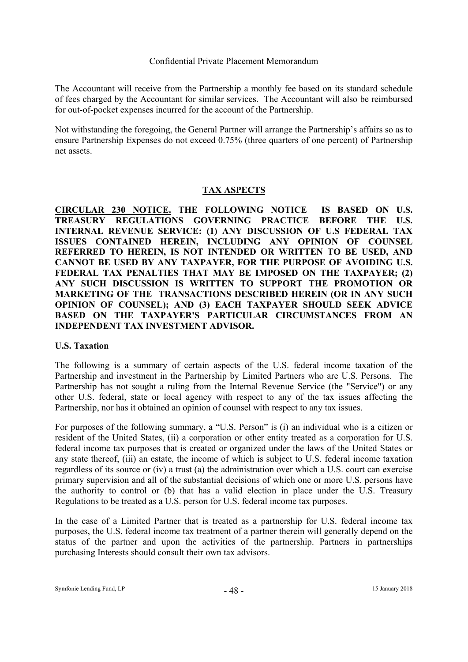The Accountant will receive from the Partnership a monthly fee based on its standard schedule of fees charged by the Accountant for similar services. The Accountant will also be reimbursed for out-of-pocket expenses incurred for the account of the Partnership.

Not withstanding the foregoing, the General Partner will arrange the Partnership's affairs so as to ensure Partnership Expenses do not exceed 0.75% (three quarters of one percent) of Partnership net assets.

# **TAX ASPECTS**

**CIRCULAR 230 NOTICE. THE FOLLOWING NOTICE IS BASED ON U.S. TREASURY REGULATIONS GOVERNING PRACTICE BEFORE THE U.S. INTERNAL REVENUE SERVICE: (1) ANY DISCUSSION OF U.S FEDERAL TAX ISSUES CONTAINED HEREIN, INCLUDING ANY OPINION OF COUNSEL REFERRED TO HEREIN, IS NOT INTENDED OR WRITTEN TO BE USED, AND CANNOT BE USED BY ANY TAXPAYER, FOR THE PURPOSE OF AVOIDING U.S. FEDERAL TAX PENALTIES THAT MAY BE IMPOSED ON THE TAXPAYER; (2) ANY SUCH DISCUSSION IS WRITTEN TO SUPPORT THE PROMOTION OR MARKETING OF THE TRANSACTIONS DESCRIBED HEREIN (OR IN ANY SUCH OPINION OF COUNSEL); AND (3) EACH TAXPAYER SHOULD SEEK ADVICE BASED ON THE TAXPAYER'S PARTICULAR CIRCUMSTANCES FROM AN INDEPENDENT TAX INVESTMENT ADVISOR.** 

# **U.S. Taxation**

The following is a summary of certain aspects of the U.S. federal income taxation of the Partnership and investment in the Partnership by Limited Partners who are U.S. Persons. The Partnership has not sought a ruling from the Internal Revenue Service (the "Service") or any other U.S. federal, state or local agency with respect to any of the tax issues affecting the Partnership, nor has it obtained an opinion of counsel with respect to any tax issues.

For purposes of the following summary, a "U.S. Person" is (i) an individual who is a citizen or resident of the United States, (ii) a corporation or other entity treated as a corporation for U.S. federal income tax purposes that is created or organized under the laws of the United States or any state thereof, (iii) an estate, the income of which is subject to U.S. federal income taxation regardless of its source or (iv) a trust (a) the administration over which a U.S. court can exercise primary supervision and all of the substantial decisions of which one or more U.S. persons have the authority to control or (b) that has a valid election in place under the U.S. Treasury Regulations to be treated as a U.S. person for U.S. federal income tax purposes.

In the case of a Limited Partner that is treated as a partnership for U.S. federal income tax purposes, the U.S. federal income tax treatment of a partner therein will generally depend on the status of the partner and upon the activities of the partnership. Partners in partnerships purchasing Interests should consult their own tax advisors.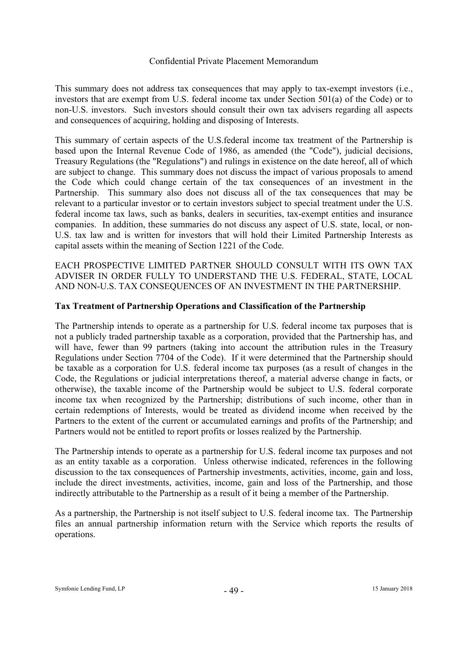This summary does not address tax consequences that may apply to tax-exempt investors (i.e., investors that are exempt from U.S. federal income tax under Section 501(a) of the Code) or to non-U.S. investors. Such investors should consult their own tax advisers regarding all aspects and consequences of acquiring, holding and disposing of Interests.

This summary of certain aspects of the U.S.federal income tax treatment of the Partnership is based upon the Internal Revenue Code of 1986, as amended (the "Code"), judicial decisions, Treasury Regulations (the "Regulations") and rulings in existence on the date hereof, all of which are subject to change. This summary does not discuss the impact of various proposals to amend the Code which could change certain of the tax consequences of an investment in the Partnership. This summary also does not discuss all of the tax consequences that may be relevant to a particular investor or to certain investors subject to special treatment under the U.S. federal income tax laws, such as banks, dealers in securities, tax-exempt entities and insurance companies. In addition, these summaries do not discuss any aspect of U.S. state, local, or non-U.S. tax law and is written for investors that will hold their Limited Partnership Interests as capital assets within the meaning of Section 1221 of the Code.

EACH PROSPECTIVE LIMITED PARTNER SHOULD CONSULT WITH ITS OWN TAX ADVISER IN ORDER FULLY TO UNDERSTAND THE U.S. FEDERAL, STATE, LOCAL AND NON-U.S. TAX CONSEQUENCES OF AN INVESTMENT IN THE PARTNERSHIP.

# **Tax Treatment of Partnership Operations and Classification of the Partnership**

The Partnership intends to operate as a partnership for U.S. federal income tax purposes that is not a publicly traded partnership taxable as a corporation, provided that the Partnership has, and will have, fewer than 99 partners (taking into account the attribution rules in the Treasury Regulations under Section 7704 of the Code). If it were determined that the Partnership should be taxable as a corporation for U.S. federal income tax purposes (as a result of changes in the Code, the Regulations or judicial interpretations thereof, a material adverse change in facts, or otherwise), the taxable income of the Partnership would be subject to U.S. federal corporate income tax when recognized by the Partnership; distributions of such income, other than in certain redemptions of Interests, would be treated as dividend income when received by the Partners to the extent of the current or accumulated earnings and profits of the Partnership; and Partners would not be entitled to report profits or losses realized by the Partnership.

The Partnership intends to operate as a partnership for U.S. federal income tax purposes and not as an entity taxable as a corporation. Unless otherwise indicated, references in the following discussion to the tax consequences of Partnership investments, activities, income, gain and loss, include the direct investments, activities, income, gain and loss of the Partnership, and those indirectly attributable to the Partnership as a result of it being a member of the Partnership.

As a partnership, the Partnership is not itself subject to U.S. federal income tax. The Partnership files an annual partnership information return with the Service which reports the results of operations.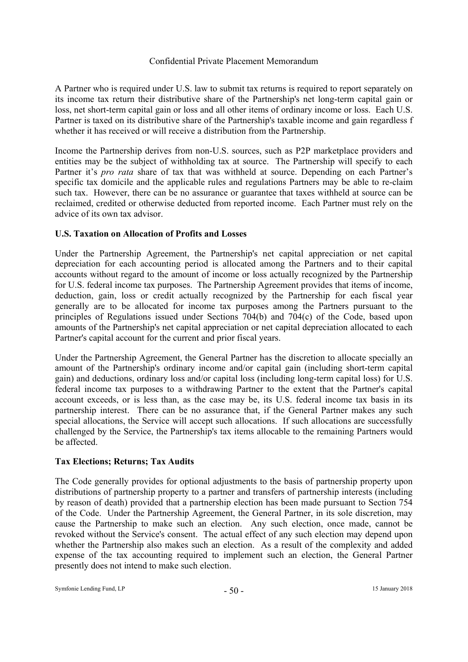A Partner who is required under U.S. law to submit tax returns is required to report separately on its income tax return their distributive share of the Partnership's net long-term capital gain or loss, net short-term capital gain or loss and all other items of ordinary income or loss. Each U.S. Partner is taxed on its distributive share of the Partnership's taxable income and gain regardless f whether it has received or will receive a distribution from the Partnership.

Income the Partnership derives from non-U.S. sources, such as P2P marketplace providers and entities may be the subject of withholding tax at source. The Partnership will specify to each Partner it's *pro rata* share of tax that was withheld at source. Depending on each Partner's specific tax domicile and the applicable rules and regulations Partners may be able to re-claim such tax. However, there can be no assurance or guarantee that taxes withheld at source can be reclaimed, credited or otherwise deducted from reported income. Each Partner must rely on the advice of its own tax advisor.

# **U.S. Taxation on Allocation of Profits and Losses**

Under the Partnership Agreement, the Partnership's net capital appreciation or net capital depreciation for each accounting period is allocated among the Partners and to their capital accounts without regard to the amount of income or loss actually recognized by the Partnership for U.S. federal income tax purposes. The Partnership Agreement provides that items of income, deduction, gain, loss or credit actually recognized by the Partnership for each fiscal year generally are to be allocated for income tax purposes among the Partners pursuant to the principles of Regulations issued under Sections 704(b) and 704(c) of the Code, based upon amounts of the Partnership's net capital appreciation or net capital depreciation allocated to each Partner's capital account for the current and prior fiscal years.

Under the Partnership Agreement, the General Partner has the discretion to allocate specially an amount of the Partnership's ordinary income and/or capital gain (including short-term capital gain) and deductions, ordinary loss and/or capital loss (including long-term capital loss) for U.S. federal income tax purposes to a withdrawing Partner to the extent that the Partner's capital account exceeds, or is less than, as the case may be, its U.S. federal income tax basis in its partnership interest. There can be no assurance that, if the General Partner makes any such special allocations, the Service will accept such allocations. If such allocations are successfully challenged by the Service, the Partnership's tax items allocable to the remaining Partners would be affected.

# **Tax Elections; Returns; Tax Audits**

The Code generally provides for optional adjustments to the basis of partnership property upon distributions of partnership property to a partner and transfers of partnership interests (including by reason of death) provided that a partnership election has been made pursuant to Section 754 of the Code. Under the Partnership Agreement, the General Partner, in its sole discretion, may cause the Partnership to make such an election. Any such election, once made, cannot be revoked without the Service's consent. The actual effect of any such election may depend upon whether the Partnership also makes such an election. As a result of the complexity and added expense of the tax accounting required to implement such an election, the General Partner presently does not intend to make such election.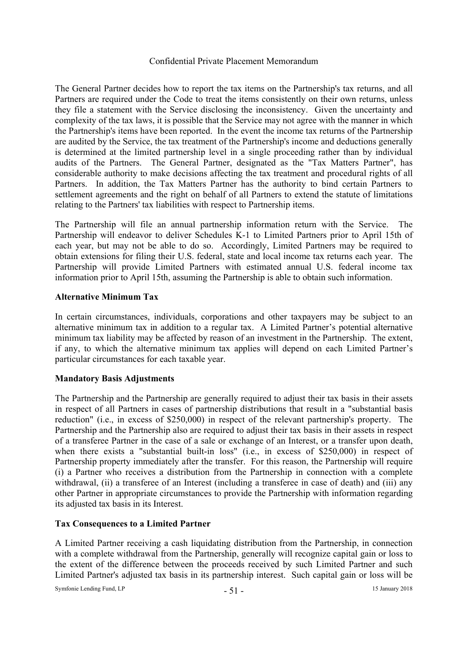The General Partner decides how to report the tax items on the Partnership's tax returns, and all Partners are required under the Code to treat the items consistently on their own returns, unless they file a statement with the Service disclosing the inconsistency. Given the uncertainty and complexity of the tax laws, it is possible that the Service may not agree with the manner in which the Partnership's items have been reported. In the event the income tax returns of the Partnership are audited by the Service, the tax treatment of the Partnership's income and deductions generally is determined at the limited partnership level in a single proceeding rather than by individual audits of the Partners. The General Partner, designated as the "Tax Matters Partner", has considerable authority to make decisions affecting the tax treatment and procedural rights of all Partners. In addition, the Tax Matters Partner has the authority to bind certain Partners to settlement agreements and the right on behalf of all Partners to extend the statute of limitations relating to the Partners' tax liabilities with respect to Partnership items.

The Partnership will file an annual partnership information return with the Service. The Partnership will endeavor to deliver Schedules K-1 to Limited Partners prior to April 15th of each year, but may not be able to do so. Accordingly, Limited Partners may be required to obtain extensions for filing their U.S. federal, state and local income tax returns each year. The Partnership will provide Limited Partners with estimated annual U.S. federal income tax information prior to April 15th, assuming the Partnership is able to obtain such information.

# **Alternative Minimum Tax**

In certain circumstances, individuals, corporations and other taxpayers may be subject to an alternative minimum tax in addition to a regular tax. A Limited Partner's potential alternative minimum tax liability may be affected by reason of an investment in the Partnership. The extent, if any, to which the alternative minimum tax applies will depend on each Limited Partner's particular circumstances for each taxable year.

#### **Mandatory Basis Adjustments**

The Partnership and the Partnership are generally required to adjust their tax basis in their assets in respect of all Partners in cases of partnership distributions that result in a "substantial basis reduction" (i.e., in excess of \$250,000) in respect of the relevant partnership's property. The Partnership and the Partnership also are required to adjust their tax basis in their assets in respect of a transferee Partner in the case of a sale or exchange of an Interest, or a transfer upon death, when there exists a "substantial built-in loss" (i.e., in excess of \$250,000) in respect of Partnership property immediately after the transfer. For this reason, the Partnership will require (i) a Partner who receives a distribution from the Partnership in connection with a complete withdrawal, (ii) a transferee of an Interest (including a transferee in case of death) and (iii) any other Partner in appropriate circumstances to provide the Partnership with information regarding its adjusted tax basis in its Interest.

# **Tax Consequences to a Limited Partner**

A Limited Partner receiving a cash liquidating distribution from the Partnership, in connection with a complete withdrawal from the Partnership, generally will recognize capital gain or loss to the extent of the difference between the proceeds received by such Limited Partner and such Limited Partner's adjusted tax basis in its partnership interest. Such capital gain or loss will be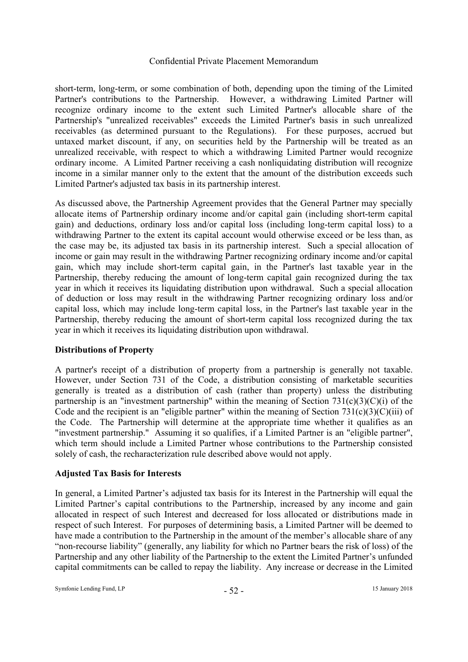short-term, long-term, or some combination of both, depending upon the timing of the Limited Partner's contributions to the Partnership. However, a withdrawing Limited Partner will recognize ordinary income to the extent such Limited Partner's allocable share of the Partnership's "unrealized receivables" exceeds the Limited Partner's basis in such unrealized receivables (as determined pursuant to the Regulations). For these purposes, accrued but untaxed market discount, if any, on securities held by the Partnership will be treated as an unrealized receivable, with respect to which a withdrawing Limited Partner would recognize ordinary income. A Limited Partner receiving a cash nonliquidating distribution will recognize income in a similar manner only to the extent that the amount of the distribution exceeds such Limited Partner's adjusted tax basis in its partnership interest.

As discussed above, the Partnership Agreement provides that the General Partner may specially allocate items of Partnership ordinary income and/or capital gain (including short-term capital gain) and deductions, ordinary loss and/or capital loss (including long-term capital loss) to a withdrawing Partner to the extent its capital account would otherwise exceed or be less than, as the case may be, its adjusted tax basis in its partnership interest. Such a special allocation of income or gain may result in the withdrawing Partner recognizing ordinary income and/or capital gain, which may include short-term capital gain, in the Partner's last taxable year in the Partnership, thereby reducing the amount of long-term capital gain recognized during the tax year in which it receives its liquidating distribution upon withdrawal. Such a special allocation of deduction or loss may result in the withdrawing Partner recognizing ordinary loss and/or capital loss, which may include long-term capital loss, in the Partner's last taxable year in the Partnership, thereby reducing the amount of short-term capital loss recognized during the tax year in which it receives its liquidating distribution upon withdrawal.

# **Distributions of Property**

A partner's receipt of a distribution of property from a partnership is generally not taxable. However, under Section 731 of the Code, a distribution consisting of marketable securities generally is treated as a distribution of cash (rather than property) unless the distributing partnership is an "investment partnership" within the meaning of Section  $731(c)(3)(C)(i)$  of the Code and the recipient is an "eligible partner" within the meaning of Section  $731(c)(3)(C)(iii)$  of the Code. The Partnership will determine at the appropriate time whether it qualifies as an "investment partnership." Assuming it so qualifies, if a Limited Partner is an "eligible partner", which term should include a Limited Partner whose contributions to the Partnership consisted solely of cash, the recharacterization rule described above would not apply.

# **Adjusted Tax Basis for Interests**

In general, a Limited Partner's adjusted tax basis for its Interest in the Partnership will equal the Limited Partner's capital contributions to the Partnership, increased by any income and gain allocated in respect of such Interest and decreased for loss allocated or distributions made in respect of such Interest. For purposes of determining basis, a Limited Partner will be deemed to have made a contribution to the Partnership in the amount of the member's allocable share of any "non-recourse liability" (generally, any liability for which no Partner bears the risk of loss) of the Partnership and any other liability of the Partnership to the extent the Limited Partner's unfunded capital commitments can be called to repay the liability. Any increase or decrease in the Limited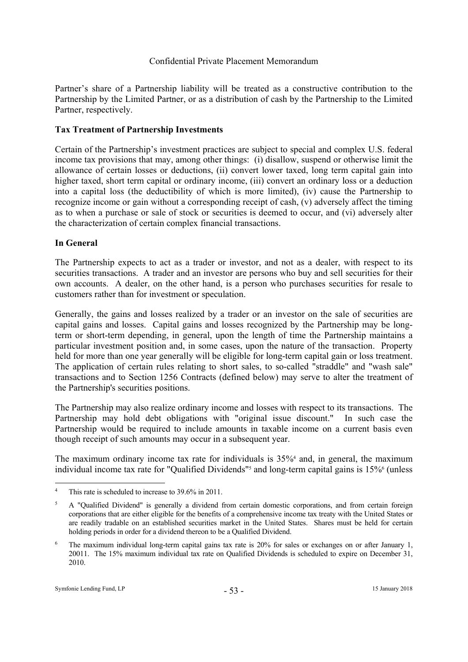Partner's share of a Partnership liability will be treated as a constructive contribution to the Partnership by the Limited Partner, or as a distribution of cash by the Partnership to the Limited Partner, respectively.

# **Tax Treatment of Partnership Investments**

Certain of the Partnership's investment practices are subject to special and complex U.S. federal income tax provisions that may, among other things: (i) disallow, suspend or otherwise limit the allowance of certain losses or deductions, (ii) convert lower taxed, long term capital gain into higher taxed, short term capital or ordinary income, (iii) convert an ordinary loss or a deduction into a capital loss (the deductibility of which is more limited), (iv) cause the Partnership to recognize income or gain without a corresponding receipt of cash, (v) adversely affect the timing as to when a purchase or sale of stock or securities is deemed to occur, and (vi) adversely alter the characterization of certain complex financial transactions.

# **In General**

The Partnership expects to act as a trader or investor, and not as a dealer, with respect to its securities transactions. A trader and an investor are persons who buy and sell securities for their own accounts. A dealer, on the other hand, is a person who purchases securities for resale to customers rather than for investment or speculation.

Generally, the gains and losses realized by a trader or an investor on the sale of securities are capital gains and losses. Capital gains and losses recognized by the Partnership may be longterm or short-term depending, in general, upon the length of time the Partnership maintains a particular investment position and, in some cases, upon the nature of the transaction. Property held for more than one year generally will be eligible for long-term capital gain or loss treatment. The application of certain rules relating to short sales, to so-called "straddle" and "wash sale" transactions and to Section 1256 Contracts (defined below) may serve to alter the treatment of the Partnership's securities positions.

The Partnership may also realize ordinary income and losses with respect to its transactions. The Partnership may hold debt obligations with "original issue discount." In such case the Partnership would be required to include amounts in taxable income on a current basis even though receipt of such amounts may occur in a subsequent year.

The maximum ordinary income tax rate for individuals is 35%<sup>4</sup> and, in general, the maximum individual income tax rate for "Qualified Dividends"<sup>5</sup> and long-term capital gains is 15%<sup>6</sup> (unless

 $\overline{a}$ 

<sup>4</sup> This rate is scheduled to increase to 39.6% in 2011.

<sup>5</sup> A "Qualified Dividend" is generally a dividend from certain domestic corporations, and from certain foreign corporations that are either eligible for the benefits of a comprehensive income tax treaty with the United States or are readily tradable on an established securities market in the United States. Shares must be held for certain holding periods in order for a dividend thereon to be a Qualified Dividend.

<sup>6</sup> The maximum individual long-term capital gains tax rate is 20% for sales or exchanges on or after January 1, 20011. The 15% maximum individual tax rate on Qualified Dividends is scheduled to expire on December 31, 2010.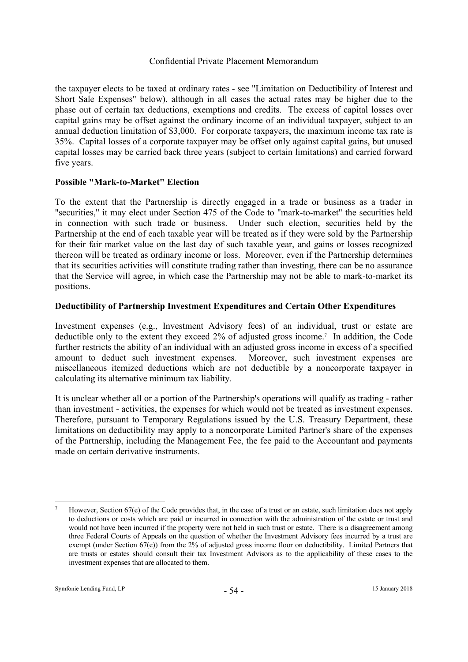the taxpayer elects to be taxed at ordinary rates - see "Limitation on Deductibility of Interest and Short Sale Expenses" below), although in all cases the actual rates may be higher due to the phase out of certain tax deductions, exemptions and credits. The excess of capital losses over capital gains may be offset against the ordinary income of an individual taxpayer, subject to an annual deduction limitation of \$3,000. For corporate taxpayers, the maximum income tax rate is 35%. Capital losses of a corporate taxpayer may be offset only against capital gains, but unused capital losses may be carried back three years (subject to certain limitations) and carried forward five years.

# **Possible "Mark-to-Market" Election**

To the extent that the Partnership is directly engaged in a trade or business as a trader in "securities," it may elect under Section 475 of the Code to "mark-to-market" the securities held in connection with such trade or business. Under such election, securities held by the Partnership at the end of each taxable year will be treated as if they were sold by the Partnership for their fair market value on the last day of such taxable year, and gains or losses recognized thereon will be treated as ordinary income or loss. Moreover, even if the Partnership determines that its securities activities will constitute trading rather than investing, there can be no assurance that the Service will agree, in which case the Partnership may not be able to mark-to-market its positions.

# **Deductibility of Partnership Investment Expenditures and Certain Other Expenditures**

Investment expenses (e.g., Investment Advisory fees) of an individual, trust or estate are deductible only to the extent they exceed 2% of adjusted gross income.7 In addition, the Code further restricts the ability of an individual with an adjusted gross income in excess of a specified amount to deduct such investment expenses. Moreover, such investment expenses are miscellaneous itemized deductions which are not deductible by a noncorporate taxpayer in calculating its alternative minimum tax liability.

It is unclear whether all or a portion of the Partnership's operations will qualify as trading - rather than investment - activities, the expenses for which would not be treated as investment expenses. Therefore, pursuant to Temporary Regulations issued by the U.S. Treasury Department, these limitations on deductibility may apply to a noncorporate Limited Partner's share of the expenses of the Partnership, including the Management Fee, the fee paid to the Accountant and payments made on certain derivative instruments.

 $\overline{a}$ 7 However, Section 67(e) of the Code provides that, in the case of a trust or an estate, such limitation does not apply to deductions or costs which are paid or incurred in connection with the administration of the estate or trust and would not have been incurred if the property were not held in such trust or estate. There is a disagreement among three Federal Courts of Appeals on the question of whether the Investment Advisory fees incurred by a trust are exempt (under Section 67(e)) from the 2% of adjusted gross income floor on deductibility. Limited Partners that are trusts or estates should consult their tax Investment Advisors as to the applicability of these cases to the investment expenses that are allocated to them.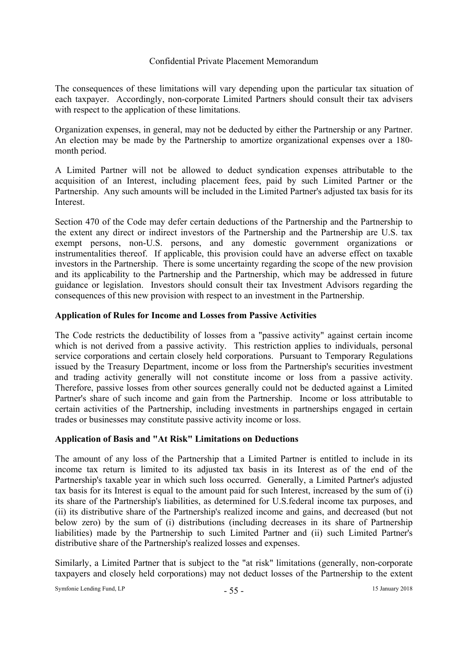The consequences of these limitations will vary depending upon the particular tax situation of each taxpayer. Accordingly, non-corporate Limited Partners should consult their tax advisers with respect to the application of these limitations.

Organization expenses, in general, may not be deducted by either the Partnership or any Partner. An election may be made by the Partnership to amortize organizational expenses over a 180 month period.

A Limited Partner will not be allowed to deduct syndication expenses attributable to the acquisition of an Interest, including placement fees, paid by such Limited Partner or the Partnership. Any such amounts will be included in the Limited Partner's adjusted tax basis for its Interest.

Section 470 of the Code may defer certain deductions of the Partnership and the Partnership to the extent any direct or indirect investors of the Partnership and the Partnership are U.S. tax exempt persons, non-U.S. persons, and any domestic government organizations or instrumentalities thereof. If applicable, this provision could have an adverse effect on taxable investors in the Partnership. There is some uncertainty regarding the scope of the new provision and its applicability to the Partnership and the Partnership, which may be addressed in future guidance or legislation. Investors should consult their tax Investment Advisors regarding the consequences of this new provision with respect to an investment in the Partnership.

# **Application of Rules for Income and Losses from Passive Activities**

The Code restricts the deductibility of losses from a "passive activity" against certain income which is not derived from a passive activity. This restriction applies to individuals, personal service corporations and certain closely held corporations. Pursuant to Temporary Regulations issued by the Treasury Department, income or loss from the Partnership's securities investment and trading activity generally will not constitute income or loss from a passive activity. Therefore, passive losses from other sources generally could not be deducted against a Limited Partner's share of such income and gain from the Partnership. Income or loss attributable to certain activities of the Partnership, including investments in partnerships engaged in certain trades or businesses may constitute passive activity income or loss.

# **Application of Basis and "At Risk" Limitations on Deductions**

The amount of any loss of the Partnership that a Limited Partner is entitled to include in its income tax return is limited to its adjusted tax basis in its Interest as of the end of the Partnership's taxable year in which such loss occurred. Generally, a Limited Partner's adjusted tax basis for its Interest is equal to the amount paid for such Interest, increased by the sum of (i) its share of the Partnership's liabilities, as determined for U.S.federal income tax purposes, and (ii) its distributive share of the Partnership's realized income and gains, and decreased (but not below zero) by the sum of (i) distributions (including decreases in its share of Partnership liabilities) made by the Partnership to such Limited Partner and (ii) such Limited Partner's distributive share of the Partnership's realized losses and expenses.

Similarly, a Limited Partner that is subject to the "at risk" limitations (generally, non-corporate taxpayers and closely held corporations) may not deduct losses of the Partnership to the extent

Symfonie Lending Fund, LP - 55 - 15 January 2018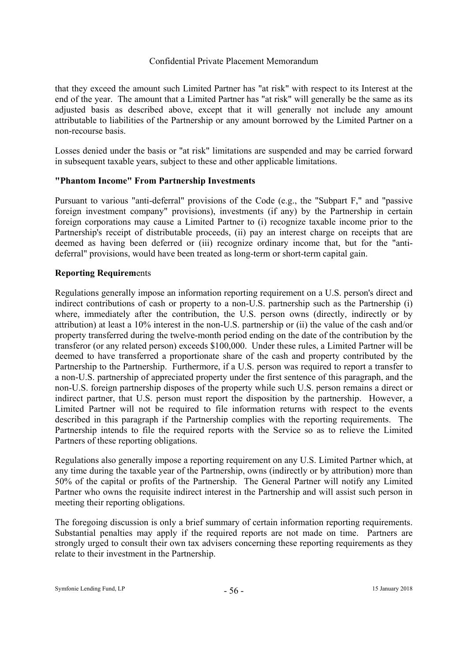that they exceed the amount such Limited Partner has "at risk" with respect to its Interest at the end of the year. The amount that a Limited Partner has "at risk" will generally be the same as its adjusted basis as described above, except that it will generally not include any amount attributable to liabilities of the Partnership or any amount borrowed by the Limited Partner on a non-recourse basis.

Losses denied under the basis or "at risk" limitations are suspended and may be carried forward in subsequent taxable years, subject to these and other applicable limitations.

# **"Phantom Income" From Partnership Investments**

Pursuant to various "anti-deferral" provisions of the Code (e.g., the "Subpart F," and "passive foreign investment company" provisions), investments (if any) by the Partnership in certain foreign corporations may cause a Limited Partner to (i) recognize taxable income prior to the Partnership's receipt of distributable proceeds, (ii) pay an interest charge on receipts that are deemed as having been deferred or (iii) recognize ordinary income that, but for the "antideferral" provisions, would have been treated as long-term or short-term capital gain.

# **Reporting Requirem**ents

Regulations generally impose an information reporting requirement on a U.S. person's direct and indirect contributions of cash or property to a non-U.S. partnership such as the Partnership (i) where, immediately after the contribution, the U.S. person owns (directly, indirectly or by attribution) at least a 10% interest in the non-U.S. partnership or (ii) the value of the cash and/or property transferred during the twelve-month period ending on the date of the contribution by the transferor (or any related person) exceeds \$100,000. Under these rules, a Limited Partner will be deemed to have transferred a proportionate share of the cash and property contributed by the Partnership to the Partnership. Furthermore, if a U.S. person was required to report a transfer to a non-U.S. partnership of appreciated property under the first sentence of this paragraph, and the non-U.S. foreign partnership disposes of the property while such U.S. person remains a direct or indirect partner, that U.S. person must report the disposition by the partnership. However, a Limited Partner will not be required to file information returns with respect to the events described in this paragraph if the Partnership complies with the reporting requirements. The Partnership intends to file the required reports with the Service so as to relieve the Limited Partners of these reporting obligations.

Regulations also generally impose a reporting requirement on any U.S. Limited Partner which, at any time during the taxable year of the Partnership, owns (indirectly or by attribution) more than 50% of the capital or profits of the Partnership. The General Partner will notify any Limited Partner who owns the requisite indirect interest in the Partnership and will assist such person in meeting their reporting obligations.

The foregoing discussion is only a brief summary of certain information reporting requirements. Substantial penalties may apply if the required reports are not made on time. Partners are strongly urged to consult their own tax advisers concerning these reporting requirements as they relate to their investment in the Partnership.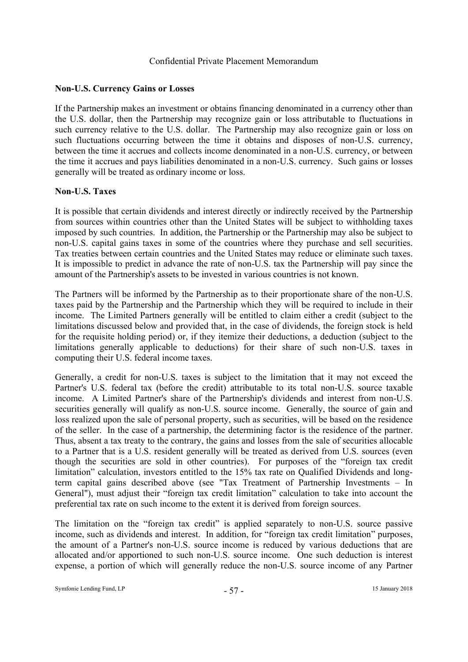# **Non-U.S. Currency Gains or Losses**

If the Partnership makes an investment or obtains financing denominated in a currency other than the U.S. dollar, then the Partnership may recognize gain or loss attributable to fluctuations in such currency relative to the U.S. dollar. The Partnership may also recognize gain or loss on such fluctuations occurring between the time it obtains and disposes of non-U.S. currency, between the time it accrues and collects income denominated in a non-U.S. currency, or between the time it accrues and pays liabilities denominated in a non-U.S. currency. Such gains or losses generally will be treated as ordinary income or loss.

# **Non-U.S. Taxes**

It is possible that certain dividends and interest directly or indirectly received by the Partnership from sources within countries other than the United States will be subject to withholding taxes imposed by such countries. In addition, the Partnership or the Partnership may also be subject to non-U.S. capital gains taxes in some of the countries where they purchase and sell securities. Tax treaties between certain countries and the United States may reduce or eliminate such taxes. It is impossible to predict in advance the rate of non-U.S. tax the Partnership will pay since the amount of the Partnership's assets to be invested in various countries is not known.

The Partners will be informed by the Partnership as to their proportionate share of the non-U.S. taxes paid by the Partnership and the Partnership which they will be required to include in their income. The Limited Partners generally will be entitled to claim either a credit (subject to the limitations discussed below and provided that, in the case of dividends, the foreign stock is held for the requisite holding period) or, if they itemize their deductions, a deduction (subject to the limitations generally applicable to deductions) for their share of such non-U.S. taxes in computing their U.S. federal income taxes.

Generally, a credit for non-U.S. taxes is subject to the limitation that it may not exceed the Partner's U.S. federal tax (before the credit) attributable to its total non-U.S. source taxable income. A Limited Partner's share of the Partnership's dividends and interest from non-U.S. securities generally will qualify as non-U.S. source income. Generally, the source of gain and loss realized upon the sale of personal property, such as securities, will be based on the residence of the seller. In the case of a partnership, the determining factor is the residence of the partner. Thus, absent a tax treaty to the contrary, the gains and losses from the sale of securities allocable to a Partner that is a U.S. resident generally will be treated as derived from U.S. sources (even though the securities are sold in other countries). For purposes of the "foreign tax credit limitation" calculation, investors entitled to the 15% tax rate on Qualified Dividends and longterm capital gains described above (see "Tax Treatment of Partnership Investments – In General"), must adjust their "foreign tax credit limitation" calculation to take into account the preferential tax rate on such income to the extent it is derived from foreign sources.

The limitation on the "foreign tax credit" is applied separately to non-U.S. source passive income, such as dividends and interest. In addition, for "foreign tax credit limitation" purposes, the amount of a Partner's non-U.S. source income is reduced by various deductions that are allocated and/or apportioned to such non-U.S. source income. One such deduction is interest expense, a portion of which will generally reduce the non-U.S. source income of any Partner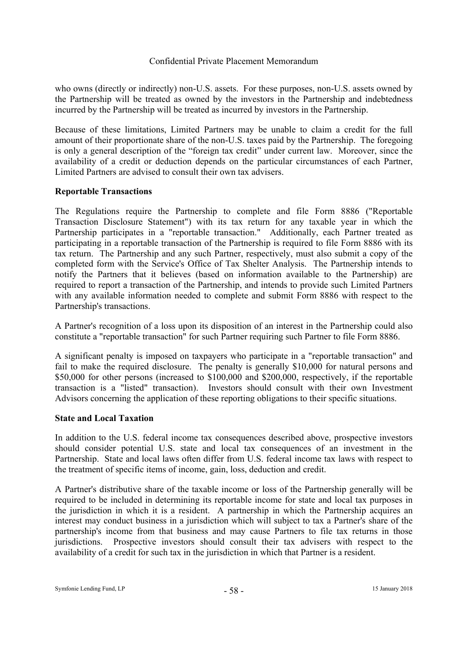who owns (directly or indirectly) non-U.S. assets. For these purposes, non-U.S. assets owned by the Partnership will be treated as owned by the investors in the Partnership and indebtedness incurred by the Partnership will be treated as incurred by investors in the Partnership.

Because of these limitations, Limited Partners may be unable to claim a credit for the full amount of their proportionate share of the non-U.S. taxes paid by the Partnership. The foregoing is only a general description of the "foreign tax credit" under current law. Moreover, since the availability of a credit or deduction depends on the particular circumstances of each Partner, Limited Partners are advised to consult their own tax advisers.

# **Reportable Transactions**

The Regulations require the Partnership to complete and file Form 8886 ("Reportable Transaction Disclosure Statement") with its tax return for any taxable year in which the Partnership participates in a "reportable transaction." Additionally, each Partner treated as participating in a reportable transaction of the Partnership is required to file Form 8886 with its tax return. The Partnership and any such Partner, respectively, must also submit a copy of the completed form with the Service's Office of Tax Shelter Analysis. The Partnership intends to notify the Partners that it believes (based on information available to the Partnership) are required to report a transaction of the Partnership, and intends to provide such Limited Partners with any available information needed to complete and submit Form 8886 with respect to the Partnership's transactions.

A Partner's recognition of a loss upon its disposition of an interest in the Partnership could also constitute a "reportable transaction" for such Partner requiring such Partner to file Form 8886.

A significant penalty is imposed on taxpayers who participate in a "reportable transaction" and fail to make the required disclosure. The penalty is generally \$10,000 for natural persons and \$50,000 for other persons (increased to \$100,000 and \$200,000, respectively, if the reportable transaction is a "listed" transaction). Investors should consult with their own Investment Advisors concerning the application of these reporting obligations to their specific situations.

#### **State and Local Taxation**

In addition to the U.S. federal income tax consequences described above, prospective investors should consider potential U.S. state and local tax consequences of an investment in the Partnership. State and local laws often differ from U.S. federal income tax laws with respect to the treatment of specific items of income, gain, loss, deduction and credit.

A Partner's distributive share of the taxable income or loss of the Partnership generally will be required to be included in determining its reportable income for state and local tax purposes in the jurisdiction in which it is a resident. A partnership in which the Partnership acquires an interest may conduct business in a jurisdiction which will subject to tax a Partner's share of the partnership's income from that business and may cause Partners to file tax returns in those jurisdictions. Prospective investors should consult their tax advisers with respect to the availability of a credit for such tax in the jurisdiction in which that Partner is a resident.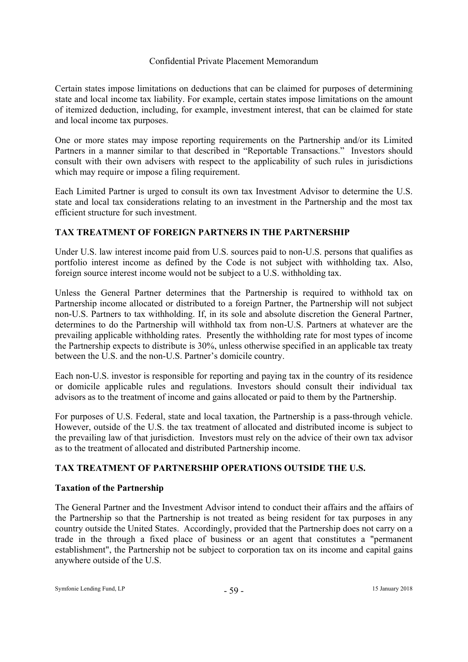Certain states impose limitations on deductions that can be claimed for purposes of determining state and local income tax liability. For example, certain states impose limitations on the amount of itemized deduction, including, for example, investment interest, that can be claimed for state and local income tax purposes.

One or more states may impose reporting requirements on the Partnership and/or its Limited Partners in a manner similar to that described in "Reportable Transactions." Investors should consult with their own advisers with respect to the applicability of such rules in jurisdictions which may require or impose a filing requirement.

Each Limited Partner is urged to consult its own tax Investment Advisor to determine the U.S. state and local tax considerations relating to an investment in the Partnership and the most tax efficient structure for such investment.

# **TAX TREATMENT OF FOREIGN PARTNERS IN THE PARTNERSHIP**

Under U.S. law interest income paid from U.S. sources paid to non-U.S. persons that qualifies as portfolio interest income as defined by the Code is not subject with withholding tax. Also, foreign source interest income would not be subject to a U.S. withholding tax.

Unless the General Partner determines that the Partnership is required to withhold tax on Partnership income allocated or distributed to a foreign Partner, the Partnership will not subject non-U.S. Partners to tax withholding. If, in its sole and absolute discretion the General Partner, determines to do the Partnership will withhold tax from non-U.S. Partners at whatever are the prevailing applicable withholding rates. Presently the withholding rate for most types of income the Partnership expects to distribute is 30%, unless otherwise specified in an applicable tax treaty between the U.S. and the non-U.S. Partner's domicile country.

Each non-U.S. investor is responsible for reporting and paying tax in the country of its residence or domicile applicable rules and regulations. Investors should consult their individual tax advisors as to the treatment of income and gains allocated or paid to them by the Partnership.

For purposes of U.S. Federal, state and local taxation, the Partnership is a pass-through vehicle. However, outside of the U.S. the tax treatment of allocated and distributed income is subject to the prevailing law of that jurisdiction. Investors must rely on the advice of their own tax advisor as to the treatment of allocated and distributed Partnership income.

# **TAX TREATMENT OF PARTNERSHIP OPERATIONS OUTSIDE THE U.S.**

# **Taxation of the Partnership**

The General Partner and the Investment Advisor intend to conduct their affairs and the affairs of the Partnership so that the Partnership is not treated as being resident for tax purposes in any country outside the United States. Accordingly, provided that the Partnership does not carry on a trade in the through a fixed place of business or an agent that constitutes a "permanent establishment", the Partnership not be subject to corporation tax on its income and capital gains anywhere outside of the U.S.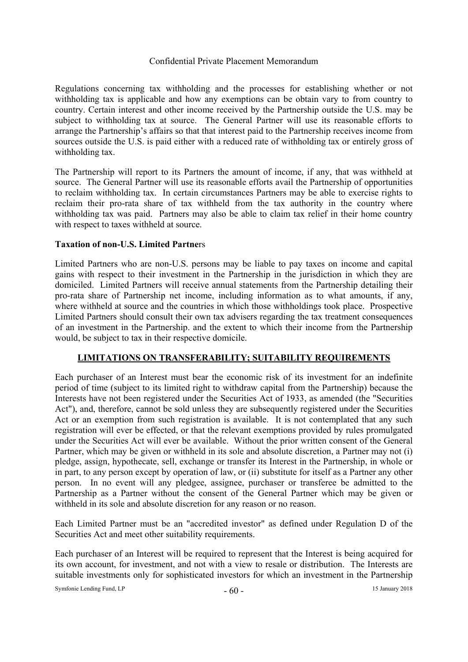Regulations concerning tax withholding and the processes for establishing whether or not withholding tax is applicable and how any exemptions can be obtain vary to from country to country. Certain interest and other income received by the Partnership outside the U.S. may be subject to withholding tax at source. The General Partner will use its reasonable efforts to arrange the Partnership's affairs so that that interest paid to the Partnership receives income from sources outside the U.S. is paid either with a reduced rate of withholding tax or entirely gross of withholding tax.

The Partnership will report to its Partners the amount of income, if any, that was withheld at source. The General Partner will use its reasonable efforts avail the Partnership of opportunities to reclaim withholding tax. In certain circumstances Partners may be able to exercise rights to reclaim their pro-rata share of tax withheld from the tax authority in the country where withholding tax was paid. Partners may also be able to claim tax relief in their home country with respect to taxes withheld at source.

# **Taxation of non-U.S. Limited Partne**rs

Limited Partners who are non-U.S. persons may be liable to pay taxes on income and capital gains with respect to their investment in the Partnership in the jurisdiction in which they are domiciled. Limited Partners will receive annual statements from the Partnership detailing their pro-rata share of Partnership net income, including information as to what amounts, if any, where withheld at source and the countries in which those withholdings took place. Prospective Limited Partners should consult their own tax advisers regarding the tax treatment consequences of an investment in the Partnership. and the extent to which their income from the Partnership would, be subject to tax in their respective domicile.

# **LIMITATIONS ON TRANSFERABILITY; SUITABILITY REQUIREMENTS**

Each purchaser of an Interest must bear the economic risk of its investment for an indefinite period of time (subject to its limited right to withdraw capital from the Partnership) because the Interests have not been registered under the Securities Act of 1933, as amended (the "Securities Act"), and, therefore, cannot be sold unless they are subsequently registered under the Securities Act or an exemption from such registration is available. It is not contemplated that any such registration will ever be effected, or that the relevant exemptions provided by rules promulgated under the Securities Act will ever be available. Without the prior written consent of the General Partner, which may be given or withheld in its sole and absolute discretion, a Partner may not (i) pledge, assign, hypothecate, sell, exchange or transfer its Interest in the Partnership, in whole or in part, to any person except by operation of law, or (ii) substitute for itself as a Partner any other person. In no event will any pledgee, assignee, purchaser or transferee be admitted to the Partnership as a Partner without the consent of the General Partner which may be given or withheld in its sole and absolute discretion for any reason or no reason.

Each Limited Partner must be an "accredited investor" as defined under Regulation D of the Securities Act and meet other suitability requirements.

Each purchaser of an Interest will be required to represent that the Interest is being acquired for its own account, for investment, and not with a view to resale or distribution. The Interests are suitable investments only for sophisticated investors for which an investment in the Partnership

Symfonie Lending Fund, LP  $-60 -$  15 January 2018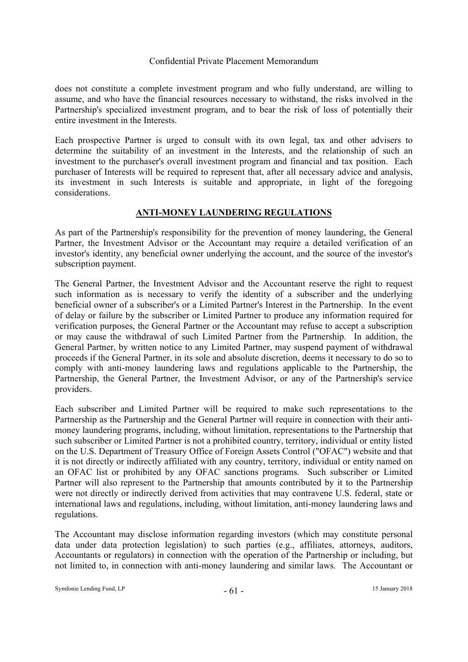does not constitute a complete investment program and who fully understand, are willing to assume, and who have the financial resources necessary to withstand, the risks involved in the Partnership's specialized investment program, and to bear the risk of loss of potentially their entire investment in the Interests.

Each prospective Partner is urged to consult with its own legal, tax and other advisers to determine the suitability of an investment in the Interests, and the relationship of such an investment to the purchaser's overall investment program and financial and tax position. Each purchaser of Interests will be required to represent that, after all necessary advice and analysis, its investment in such Interests is suitable and appropriate, in light of the foregoing considerations.

# **ANTI-MONEY LAUNDERING REGULATIONS**

As part of the Partnership's responsibility for the prevention of money laundering, the General Partner, the Investment Advisor or the Accountant may require a detailed verification of an investor's identity, any beneficial owner underlying the account, and the source of the investor's subscription payment.

The General Partner, the Investment Advisor and the Accountant reserve the right to request such information as is necessary to verify the identity of a subscriber and the underlying beneficial owner of a subscriber's or a Limited Partner's Interest in the Partnership. In the event of delay or failure by the subscriber or Limited Partner to produce any information required for verification purposes, the General Partner or the Accountant may refuse to accept a subscription or may cause the withdrawal of such Limited Partner from the Partnership. In addition, the General Partner, by written notice to any Limited Partner, may suspend payment of withdrawal proceeds if the General Partner, in its sole and absolute discretion, deems it necessary to do so to comply with anti-money laundering laws and regulations applicable to the Partnership, the Partnership, the General Partner, the Investment Advisor, or any of the Partnership's service providers.

Each subscriber and Limited Partner will be required to make such representations to the Partnership as the Partnership and the General Partner will require in connection with their antimoney laundering programs, including, without limitation, representations to the Partnership that such subscriber or Limited Partner is not a prohibited country, territory, individual or entity listed on the U.S. Department of Treasury Office of Foreign Assets Control ("OFAC") website and that it is not directly or indirectly affiliated with any country, territory, individual or entity named on an OFAC list or prohibited by any OFAC sanctions programs. Such subscriber or Limited Partner will also represent to the Partnership that amounts contributed by it to the Partnership were not directly or indirectly derived from activities that may contravene U.S. federal, state or international laws and regulations, including, without limitation, anti-money laundering laws and regulations.

The Accountant may disclose information regarding investors (which may constitute personal data under data protection legislation) to such parties (e.g., affiliates, attorneys, auditors, Accountants or regulators) in connection with the operation of the Partnership or including, but not limited to, in connection with anti-money laundering and similar laws. The Accountant or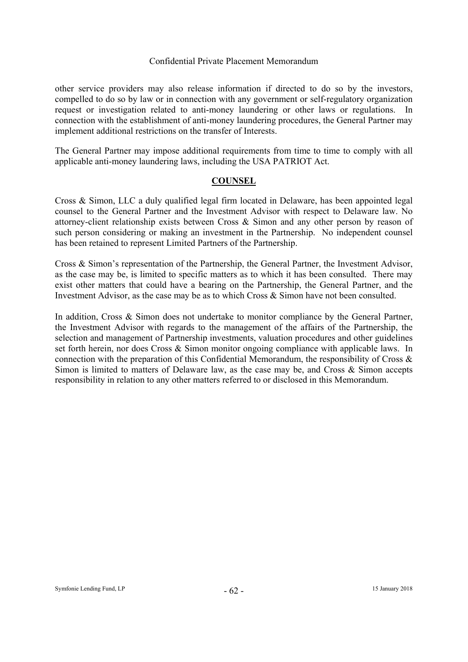other service providers may also release information if directed to do so by the investors, compelled to do so by law or in connection with any government or self-regulatory organization request or investigation related to anti-money laundering or other laws or regulations. In connection with the establishment of anti-money laundering procedures, the General Partner may implement additional restrictions on the transfer of Interests.

The General Partner may impose additional requirements from time to time to comply with all applicable anti-money laundering laws, including the USA PATRIOT Act.

# **COUNSEL**

Cross & Simon, LLC a duly qualified legal firm located in Delaware, has been appointed legal counsel to the General Partner and the Investment Advisor with respect to Delaware law. No attorney-client relationship exists between Cross & Simon and any other person by reason of such person considering or making an investment in the Partnership. No independent counsel has been retained to represent Limited Partners of the Partnership.

Cross & Simon's representation of the Partnership, the General Partner, the Investment Advisor, as the case may be, is limited to specific matters as to which it has been consulted. There may exist other matters that could have a bearing on the Partnership, the General Partner, and the Investment Advisor, as the case may be as to which Cross & Simon have not been consulted.

In addition, Cross & Simon does not undertake to monitor compliance by the General Partner, the Investment Advisor with regards to the management of the affairs of the Partnership, the selection and management of Partnership investments, valuation procedures and other guidelines set forth herein, nor does Cross & Simon monitor ongoing compliance with applicable laws. In connection with the preparation of this Confidential Memorandum, the responsibility of Cross & Simon is limited to matters of Delaware law, as the case may be, and Cross & Simon accepts responsibility in relation to any other matters referred to or disclosed in this Memorandum.